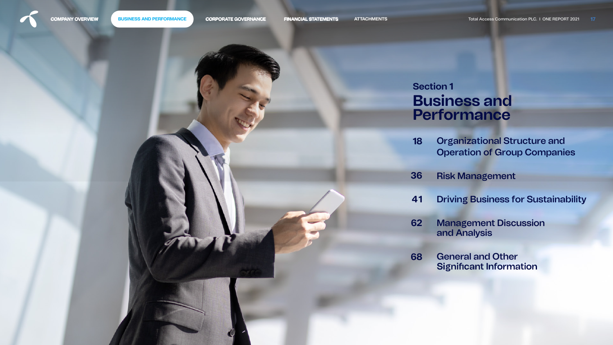

<span id="page-0-0"></span>**COMPANY OVERVIEW** BUSINESS AND PERFORMANCE CORPORATE GOVERNANCE FINANCIAL STATEMENTS ATTACHMENTS Total Access Communication PLC. I ONE REPORT 2021 17

- Organizational Structure and [Operation of Group Companies](#page-1-0)  **18**
- [Risk Management](#page-19-0) **36**
- [Driving Business for Sustainability](#page-24-0) **41**
- [Management Discussion](#page-45-0)  and Analysis **62**
- **General and Other<br>Significant Information 68**







# **B usiness and Section 1 Performance**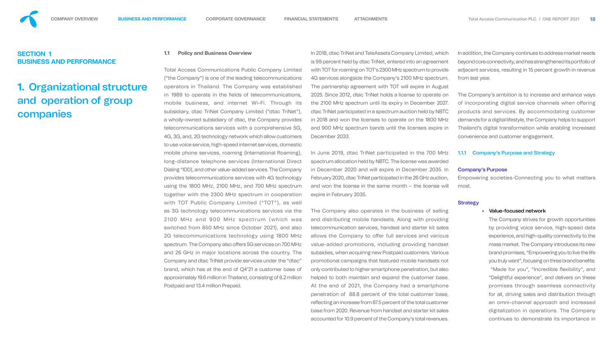## <span id="page-1-0"></span>**SECTION 1 BUSINESS AND PERFORMANCE**

# **1.** Organizational structure and operation of group companies

**1.1 Policy and Business Overview**  Total Access Communications Public Company Limited ("the Company") is one of the leading telecommunications operators in Thailand. The Company was established in 1989 to operate in the fields of telecommunications, mobile business, and internet Wi-Fi. Through its subsidiary, dtac TriNet Company Limited ("dtac TriNet"), a wholly-owned subsidiary of dtac, the Company provides telecommunications services with a comprehensive 5G, 4G, 3G, and, 2G technology network which allow customers to use voice service, high-speed internet services, domestic mobile phone services, roaming (International Roaming), long-distance telephone services (International Direct Dialing "IDD), and other value-added services. The Company provides telecommunications services with 4G technology using the 1800 MHz, 2100 MHz, and 700 MHz spectrum together with the 2300 MHz spectrum in cooperation with TOT Public Company Limited ("TOT"), as well as 3G technology telecommunications services via the 2100 MHz and 900 MHz spectrum (which was switched from 850 MHz since October 2021), and also 2G telecommunications technology using 1800 MHz spectrum. The Company also offers 5G services on 700 MHz and 26 GHz in major locations across the country. The Company and dtac TriNet provide services under the "dtac" brand, which has at the end of Q4'21 a customer base of approximately 19.6 million in Thailand, consisting of 6.2 million Postpaid and 13.4 million Prepaid. In 2018, dtac TriNet and TeleAssets Company Limited, which is 99 percent held by dtac TriNet, entered into an agreement with TOT for roaming on TOT's 2300 MHz spectrum to provide 4G services alongside the Company's 2100 MHz spectrum. The partnership agreement with TOT will expire in August 2025. Since 2012, dtac TriNet holds a license to operate on the 2100 MHz spectrum until its expiry in December 2027. dtac TriNet participated in a spectrum auction held by NBTC in 2018 and won the licenses to operate on the 1800 MHz and 900 MHz spectrum bands until the licenses expire in December 2033. In June 2019, dtac TriNet participated in the 700 MHz spectrum allocation held by NBTC. The license was awarded in December 2020 and will expire in December 2035. In February 2020, dtac TriNet participated in the 26 GHz auction, and won the license in the same month – the license will expire in February 2035. The Company also operates in the business of selling and distributing mobile handsets. Along with providing telecommunication services, handset and starter kit sales allows the Company to offer full services and various value-added promotions, including providing handset subsidies, when acquiring new Postpaid customers. Various promotional campaigns that featured mobile handsets not only contributed to higher smartphone penetration, but also helped to both maintain and expand the customer base. At the end of 2021, the Company had a smartphone penetration of 88.8 percent of the total customer base, reflecting an increase from 87.5 percent of the total customer base from 2020. Revenue from handset and starter kit sales accounted for 10.9 percent of the Company's total revenues. In addition, the Company continues to address market needs beyond core connectivity, and has strengthened its portfolio of adjacent services, resulting in 15 percent growth in revenue from last year. The Company's ambition is to increase and enhance ways of incorporating digital service channels when offering products and services. By accommodating customer demands for a digital lifestyle, the Company helps to support Thailand's digital transformation while enabling increased convenience and customer engagement. 1.1.1 Company's Purpose and Strategy Company's Purpose Empowering societies-Connecting you to what matters most. **Strategy** • Value-focused network The Company strives for growth opportunities by providing voice service, high-speed data experience, and high-quality connectivity to the mass market. The Company introduces its new brand promises, "Empowering you to live the life you truly want", focusing on three brand benefits: "Made for you", "Incredible flexibility", and "Delightful experience", and delivers on these promises through seamless connectivity for all, driving sales and distribution through an omni-channel approach and increased digitalization in operations. The Company continues to demonstrate its importance in



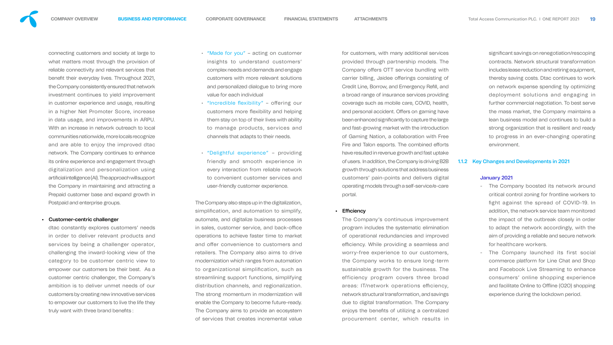

connecting customers and society at large to what matters most through the provision of reliable connectivity and relevant services that benefit their everyday lives. Throughout 2021, the Company consistently ensured that network investment continues to yield improvement in customer experience and usage, resulting in a higher Net Promoter Score, increase in data usage, and improvements in ARPU. With an increase in network outreach to local communities nationwide, more locals recognize and are able to enjoy the improved dtac network. The Company continues to enhance its online experience and engagement through digitalization and personalization using artificial intelligence (AI). The approach will support the Company in maintaining and attracting a Prepaid customer base and expand growth in Postpaid and enterprise groups.

dtac constantly explores customers' needs in order to deliver relevant products and services by being a challenger operator, challenging the inward-looking view of the category to be customer centric view to empower our customers be their best. As a customer centric challenger, the Company's ambition is to deliver unmet needs of our customers by creating new innovative services to empower our customers to live the life they truly want with three brand benefits :

## • Customer-centric challenger

- "Made for you" acting on customer insights to understand customers' complex needs and demands and engage customers with more relevant solutions and personalized dialogue to bring more value for each individual
- "Incredible flexibility" offering our customers more flexibility and helping them stay on top of their lives with ability to manage products, services and channels that adapts to their needs.
- "Delightful experience" providing friendly and smooth experience in every interaction from reliable network to convenient customer services and user-friendly customer experience.

significant savings on renegotiation/rescoping contracts. Network structural transformation includes lease reduction and retiring equipment, thereby saving costs. Dtac continues to work on network expense spending by optimizing deployment solutions and engaging in further commercial negotiation. To best serve the mass market, the Company maintains a lean business model and continues to build a strong organization that is resilient and ready to progress in an ever-changing operating environment.

The Company also steps up in the digitalization, simplification, and automation to simplify, automate, and digitalize business processes in sales, customer service, and back-office operations to achieve faster time to market and offer convenience to customers and retailers. The Company also aims to drive modernization which ranges from automation to organizational simplification, such as streamlining support functions, simplifying distribution channels, and regionalization. The strong momentum in modernization will enable the Company to become future-ready. The Company aims to provide an ecosystem of services that creates incremental value

for customers, with many additional services provided through partnership models. The Company offers OTT service bundling with carrier billing, Jaidee offerings consisting of Credit Line, Borrow, and Emergency Refill, and a broad range of insurance services providing coverage such as mobile care, COVID, health, and personal accident. Offers on gaming have been enhanced significantly to capture the large and fast-growing market with the introduction of Gaming Nation, a collaboration with Free Fire and Talon esports. The combined efforts have resulted in revenue growth and fast uptake of users. In addition, the Company is driving B2B growth through solutions that address business customers' pain-points and delivers digital operating models through a self-service/e-care portal.

## • Efficiency

The Company's continuous improvement program includes the systematic elimination of operational redundancies and improved efficiency. While providing a seamless and worry-free experience to our customers, the Company works to ensure long-term sustainable growth for the business. The efficiency program covers three broad areas: IT/network operations efficiency, network structural transformation, and savings due to digital transformation. The Company enjoys the benefits of utilizing a centralized procurement center, which results in

## 1.1.2 Key Changes and Developments in 2021

## January 2021

- The Company boosted its network around critical control zoning for frontline workers to ght against the spread of COVID-19. In addition, the network service team monitored the impact of the outbreak closely in order to adapt the network accordingly, with the aim of providing a reliable and secure network for healthcare workers.
- The Company launched its first social commerce platform for Line Chat and Shop and Facebook Live Streaming to enhance consumers' online shopping experience and facilitate Online to Offline (O2O) shopping experience during the lockdown period.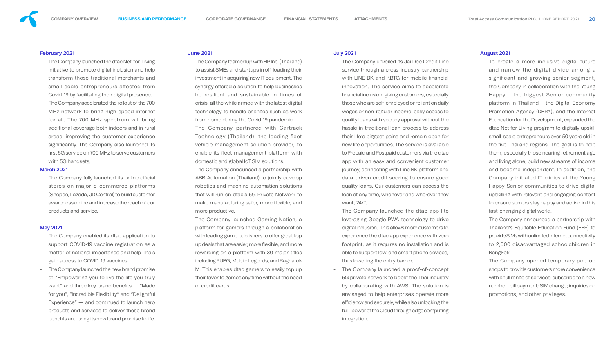

## February 2021

- The Company launched the dtac Net-for-Living initiative to promote digital inclusion and help transform those traditional merchants and small-scale entrepreneurs affected from Covid-19 by facilitating their digital presence.
- The Company accelerated the rollout of the 700 MHz network to bring high-speed internet for all. The 700 MHz spectrum will bring additional coverage both indoors and in rural areas, improving the customer experience significantly. The Company also launched its first 5G service on 700 MHz to serve customers with 5G handsets.

- The Company fully launched its online official stores on major e-commerce platforms (Shopee, Lazada, JD Central) to build customer awareness online and increase the reach of our products and service.

- The Company enabled its dtac application to support COVID-19 vaccine registration as a matter of national importance and help Thais gain access to COVID-19 vaccines.
- The Company launched the new brand promise of "Empowering you to live the life you truly want" and three key brand benefits - "Made for you", "Incredible Flexibility" and "Delightful Experience" — and continued to launch hero products and services to deliver these brand benefits and bring its new brand promise to life.

### March 2021

## May 2021

## June 2021

- The Company teamed up with HP Inc. (Thailand) to assist SMEs and startups in off-loading their investment in acquiring new IT equipment. The synergy offered a solution to help businesses be resilient and sustainable in times of crisis, all the while armed with the latest digital technology to handle changes such as work from home during the Covid-19 pandemic.
- The Company partnered with Cartrack Technology (Thailand), the leading fleet vehicle management solution provider, to enable its fleet management platform with domestic and global IoT SIM solutions.
- The Company announced a partnership with ABB Automation (Thailand) to jointly develop robotics and machine automation solutions that will run on dtac's 5G Private Network to make manufacturing safer, more flexible, and more productive.
- The Company launched Gaming Nation, a platform for gamers through a collaboration with leading game publishers to offer great top up deals that are easier, more flexible, and more rewarding on a platform with 30 major titles including PUBG, Mobile Legends, and Ragnarok M. This enables dtac gamers to easily top up their favorite games any time without the need of credit cards.

## July 2021

- The Company unveiled its Jai Dee Credit Line service through a cross-industry partnership with LINE BK and KBTG for mobile financial innovation. The service aims to accelerate nancial inclusion, giving customers, especially those who are self-employed or reliant on daily wages or non-regular income, easy access to quality loans with speedy approval without the hassle in traditional loan process to address their life's biggest pains and remain open for new life opportunities. The service is available to Prepaid and Postpaid customers via the dtac app with an easy and convenient customer journey, connecting with Line BK platform and data-driven credit scoring to ensure good quality loans. Our customers can access the loan at any time, whenever and wherever they want, 24/7.
	- The Company launched the dtac app lite leveraging Google PWA technology to drive digital inclusion. This allows more customers to experience the dtac app experience with zero footprint, as it requires no installation and is able to support low-end smart phone devices, thus lowering the entry barrier.
	- The Company launched a proof-of-concept 5G private network to boost the Thai industry by collaborating with AWS. The solution is envisaged to help enterprises operate more efficiency and securely, while also unlocking the full - power of the Cloud through edge computing integration.

## August 2021

- To create a more inclusive digital future and narrow the digital divide among a significant and growing senior segment, the Company in collaboration with the Young Happy – the biggest Senior community platform in Thailand – the Digital Economy Promotion Agency (DEPA), and the Internet Foundation for the Development, expanded the dtac Net for Living program to digitally upskill small-scale entrepreneurs over 50 years old in the five Thailand regions. The goal is to help them, especially those nearing retirement age and living alone, build new streams of income and become independent. In addition, the Company initiated IT clinics at the Young Happy Senior communities to drive digital upskilling with relevant and engaging content to ensure seniors stay happy and active in this fast-changing digital world.
- The Company announced a partnership with Thailand's Equitable Education Fund (EEF) to provide SIMs with unlimited internet connectivity to 2,000 disadvantaged schoolchildren in Bangkok.
- The Company opened temporary pop-up shops to provide customers more convenience with a full range of services: subscribe to a new number; bill payment; SIM change; inquiries on promotions; and other privileges.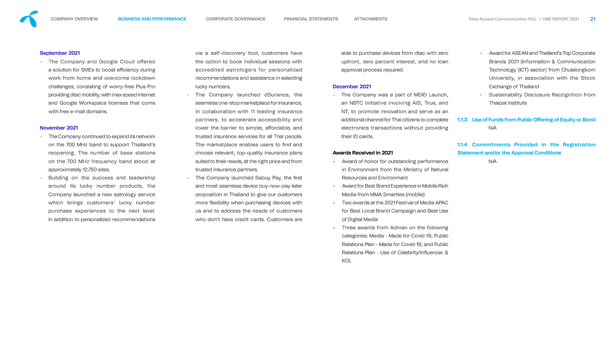

## September 2021

- The Company and Google Cloud offered a solution for SMEs to boost efficiency during work from home and overcome lockdown challenges, consisting of worry-free Plus Pro providing dtac mobility, with max speed internet and Google Workspace licenses that come with free e-mail domains.

- The Company continued to expand its network on the 700 MHz band to support Thailand's reopening. The number of base stations on the 700 MHz frequency band stood at approximately 12,750 sites.
- Building on the success and leadership around its lucky number products, the Company launched a new astrology service which brings customers' lucky number purchase experiences to the next level. In addition to personalized recommendations

## November 2021

via a self-discovery tool, customers have the option to book individual sessions with accredited astrologers for personalized recommendations and assistance in selecting lucky numbers.

- The Company launched dSurance, the seamless one-stop marketplace for insurance, in collaboration with 11 leading insurance partners, to accelerate accessibility and lower the barrier to simple, affordable, and trusted insurance services for all Thai people. The marketplace enables users to find and choose relevant, top-quality insurance plans suited to their needs, at the right price and from trusted insurance partners.
- The Company launched Sabuy Pay, the first and most seamless device buy-now-pay-later proposition in Thailand to give our customers more flexibility when purchasing devices with us and to address the needs of customers who don't have credit cards. Customers are

able to purchase devices from dtac with zero upfront, zero percent interest, and no loan approval process required.

## December 2021

- The Company was a part of MDID Launch, an NBTC initiative involving AIS, True, and NT, to promote innovation and serve as an additional channel for Thai citizens to complete electronics transactions without providing their ID cards.

## Awards Received in 2021

- Award of honor for outstanding performance in Environment from the Ministry of Natural Resources and Environment
- Award for Best Brand Experience in Mobile Rich Media from MMA Smarties (mobile)
- Two awards at the 2021 Festival of Media APAC for Best Local Brand Campaign and Best Use of Digital Media
- Three awards from Adman on the following categories: Media - Made for Covid-19; Public Relations Plan - Made for Covid-19; and Public Relations Plan - Use of Celebrity/Influencer & KOL
- Award for ASEAN and Thailand's Top Corporate Brands 2021 (Information & Communication Technology (ICT) sector) from Chulalongkorn University, in association with the Stock Exchange of Thailand
- Sustainability Disclosure Recognition from Thaipat Institute
- 1.1.3 Use of Funds from Public Offering of Equity or Bond N/A

## 1.1.4 Commitments Provided in the Registration Statement and/or the Approval Conditions

N/A



- 
- 
-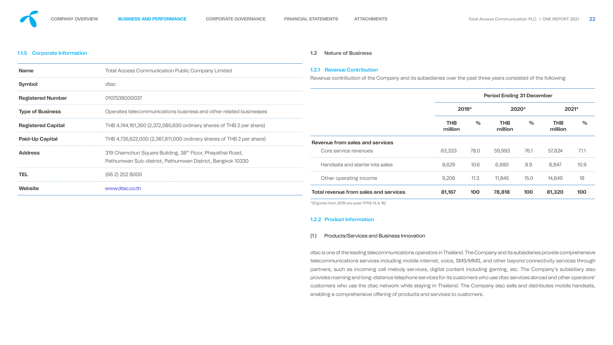## 1.1.5 Corporate Information

| <b>Name</b>               | <b>Total Access Communication Public Company Limited</b>                                                                            |
|---------------------------|-------------------------------------------------------------------------------------------------------------------------------------|
| <b>Symbol</b>             | dtac                                                                                                                                |
| <b>Registered Number</b>  | 0107538000037                                                                                                                       |
| <b>Type of Business</b>   | Operates telecommunications business and other related businesses                                                                   |
| <b>Registered Capital</b> | THB 4,744,161,260 (2,372,080,630 ordinary shares of THB 2 per share)                                                                |
| <b>Paid-Up Capital</b>    | THB 4,735,622,000 (2,367,811,000 ordinary shares of THB 2 per share)                                                                |
| <b>Address</b>            | 319 Chamchuri Square Building, 38 <sup>th</sup> Floor, Phayathai Road,<br>Pathumwan Sub-district, Pathumwan District, Bangkok 10330 |
| <b>TEL</b>                | (66 2) 202 8000                                                                                                                     |
| <b>Website</b>            | www.dtac.co.th                                                                                                                      |

## **1.2 Nature of Business**

## 1.2.1 Revenue Contribution

dtac is one of the leading telecommunications operators in Thailand. The Company and its subsidiaries provide comprehensive telecommunications services including mobile internet, voice, SMS/MMS, and other beyond connectivity services through partners, such as incoming call melody services, digital content including gaming, etc. The Company's subsidiary also provides roaming and long-distance telephone services for its customers who use dtac services abroad and other operators' customers who use the dtac network while staying in Thailand. The Company also sells and distributes mobile handsets, enabling a comprehensive offering of products and services to customers.



Revenue contribution of the Company and its subsidiaries over the past three years consisted of the following:



|                                              | <b>Period Ending 31 December</b> |         |                       |         |                       |               |
|----------------------------------------------|----------------------------------|---------|-----------------------|---------|-----------------------|---------------|
|                                              |                                  | $2019*$ |                       | $2020*$ |                       | 2021*         |
|                                              | <b>THB</b><br>million            | $\%$    | <b>THB</b><br>million | $\%$    | <b>THB</b><br>million | $\frac{O}{C}$ |
| Revenue from sales and services              |                                  |         |                       |         |                       |               |
| Core service revenues                        | 63,333                           | 78.0    | 59,993                | 76.1    | 57,824                | 71.1          |
| Handsets and starter kits sales              | 8,629                            | 10.6    | 6,980                 | 8.9     | 8,847                 | 10.9          |
| Other operating income                       | 9,206                            | 11.3    | 11,845                | 15.0    | 14,649                | 18            |
| <b>Total revenue from sales and services</b> | 81,167                           | 100     | 78,818                | 100     | 81,320                | 100           |

\*(Figures from 2019 are post-TFRS 15 & 16)

## 1.2.2 Product Information

## (1 ) Products/Services and Business Innovation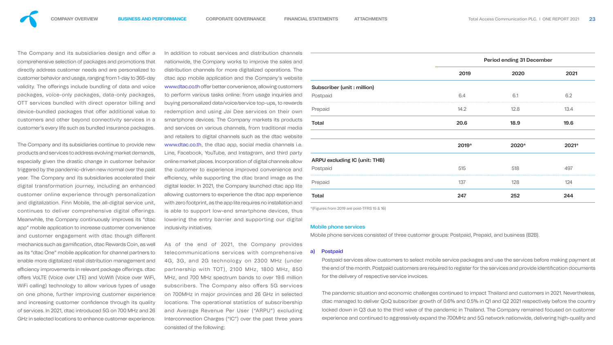The Company and its subsidiaries design and offer a comprehensive selection of packages and promotions that directly address customer needs and are personalized to customer behavior and usage, ranging from 1-day to 365-day validity. The offerings include bundling of data and voice packages, voice-only packages, data-only packages, OTT services bundled with direct operator billing and device-bundled packages that offer additional value to customers and other beyond connectivity services in a customer's every life such as bundled insurance packages.

The Company and its subsidiaries continue to provide new products and services to address evolving market demands, especially given the drastic change in customer behavior triggered by the pandemic-driven new normal over the past year. The Company and its subsidiaries accelerated their digital transformation journey, including an enhanced customer online experience through personalization and digitalization. Finn Mobile, the all-digital service unit, continues to deliver comprehensive digital offerings. Meanwhile, the Company continuously improves its "dtac app" mobile application to increase customer convenience and customer engagement with dtac though different mechanics such as gamification, dtac Rewards Coin, as well as its "dtac One" mobile application for channel partners to enable more digitalized retail distribution management and efficiency improvements in relevant package offerings. dtac offers VoLTE (Voice over LTE) and VoWifi (Voice over WiFi, WiFi calling) technology to allow various types of usage on one phone, further improving customer experience and increasing customer confidence through its quality of services. In 2021, dtac introduced 5G on 700 MHz and 26 GHz in selected locations to enhance customer experience.

In addition to robust services and distribution channels nationwide, the Company works to improve the sales and distribution channels for more digitalized operations. The dtac app mobile application and the Company's website www.dtac.co.th offer better convenience, allowing customers to perform various tasks online: from usage inquiries and buying personalized data/voice/service top-ups, to reward redemption and using Jai Dee services on their own smartphone devices. The Company markets its product and services on various channels, from traditional media and retailers to digital channels such as the dtac website www.dtac.co.th, the dtac app, social media channels i. Line, Facebook, YouTube, and Instagram, and third part online market places. Incorporation of digital channels allow the customer to experience improved convenience and efficiency, while supporting the dtac brand image as the digital leader. In 2021, the Company launched dtac app lit allowing customers to experience the dtac app experience with zero footprint, as the app lite requires no installation an is able to support low-end smartphone devices, thus lowering the entry barrier and supporting our digital inclusivity initiatives.

As of the end of 2021, the Company provides telecommunications services with comprehensive 4G, 3G, and 2G technology on 2300 MHz (under partnership with TOT), 2100 MHz, 1800 MHz, 850 MHz, and 700 MHz spectrum bands to over 19.6 million subscribers. The Company also offers 5G services on 700MHz in major provinces and 26 GHz in selected locations. The operational statistics of subscribership and Average Revenue Per User ("ARPU") excluding Interconnection Charges ("IC") over the past three years consisted of the following:



|                                      |       | <b>Period ending 31 December</b> |       |
|--------------------------------------|-------|----------------------------------|-------|
|                                      | 2019  | 2020                             | 2021  |
| <b>Subscriber (unit : million)</b>   |       |                                  |       |
| Postpaid                             | 6.4   | 6.1                              | 6.2   |
| Prepaid                              | 14.2  | 12.8                             | 13.4  |
| <b>Total</b>                         | 20.6  | 18.9                             | 19.6  |
|                                      | 2019* | 2020*                            | 2021* |
| <b>ARPU excluding IC (unit: THB)</b> |       |                                  |       |
| Postpaid                             | 515   | 518                              | 497   |
| Prepaid                              | 137   | 128                              | 124   |
| <b>Total</b>                         | 247   | 252                              | 244   |
|                                      |       |                                  |       |

\*(Figures from 2019 are post-TFRS 15 & 16)

## Mobile phone services

Mobile phone services consisted of three customer groups: Postpaid, Prepaid, and business (B2B).

## a) Postpaid

Postpaid services allow customers to select mobile service packages and use the services before making payment at the end of the month. Postpaid customers are required to register for the services and provide identification documents for the delivery of respective service invoices.

The pandemic situation and economic challenges continued to impact Thailand and customers in 2021. Nevertheless, dtac managed to deliver QoQ subscriber growth of 0.6% and 0.5% in Q1 and Q2 2021 respectively before the country locked down in Q3 due to the third wave of the pandemic in Thailand. The Company remained focused on customer experience and continued to aggressively expand the 700MHz and 5G network nationwide, delivering high-quality and

| iyment a        |
|-----------------|
| cuments         |
|                 |
|                 |
| <u>utholoss</u> |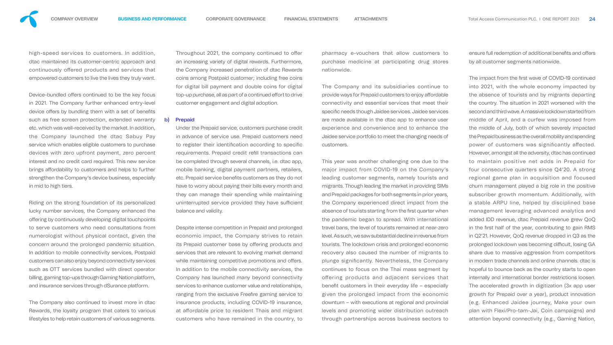pharmacy e-vouchers that allow customers to purchase medicine at participating drug stores nationwide.

The Company and its subsidiaries continue to provide ways for Prepaid customers to enjoy affordable connectivity and essential services that meet their specific needs though Jaidee services. Jaidee services are made available in the dtac app to enhance user experience and convenience and to enhance the Jaidee service portfolio to meet the changing needs of customers.

ensure full redemption of additional benefits and offers by all customer segments nationwide.

This year was another challenging one due to the major impact from COVID-19 on the Company's leading customer segments, namely tourists and migrants. Though leading the market in providing SIMs and Prepaid packages for both segments in prior years, the Company experienced direct impact from the absence of tourists starting from the first quarter when the pandemic began to spread. With international travel bans, the level of tourists remained at near-zero level. As such, we saw substantial decline in revenue from tourists. The lockdown crisis and prolonged economic recovery also caused the number of migrants to plunge signicantly. Nevertheless, the Company continues to focus on the Thai mass segment by offering products and adjacent services that benefit customers in their everyday life - especially given the prolonged impact from the economic downturn – with executions at regional and provincial levels and promoting wider distribution outreach through partnerships across business sectors to

The impact from the first wave of COVID-19 continued into 2021, with the whole economy impacted by the absence of tourists and by migrants departing the country. The situation in 2021 worsened with the second and third wave. A massive lockdown started from middle of April, and a curfew was imposed from the middle of July, both of which severely impacted the Prepaid business as the overall mobility and spending power of customers was significantly affected. However, amongst all the adversity, dtac has continued to maintain positive net adds in Prepaid for four consecutive quarters since Q4'20. A strong regional game plan in acquisition and focused churn management played a big role in the positive subscriber growth momentum. Additionally, with a stable ARPU line, helped by disciplined base management leveraging advanced analytics and added IDD revenue, dtac Prepaid revenue grew QoQ in the first half of the year, contributing to gain RMS in Q2'21. However, QoQ revenue dropped in Q3 as the prolonged lockdown was becoming difficult, losing GA share due to massive aggression from competitors in modern trade channels and online channels. dtac is hopeful to bounce back as the country starts to open internally and international border restrictions loosen. The accelerated growth in digitization (3x app user growth for Prepaid over a year), product innovation (e.g. Enhanced Jaidee journey, Make your own plan with Flexi/Pro-tam-Jai, Coin campaigns) and attention beyond connectivity (e.g., Gaming Nation,

Device-bundled offers continued to be the key focus in 2021. The Company further enhanced entry-level device offers by bundling them with a set of benefits such as free screen protection, extended warranty etc. which was well-received by the market. In addition, the Company launched the dtac Sabuy Pay service which enables eligible customers to purchase devices with zero upfront payment, zero percent interest and no credit card required. This new service brings affordability to customers and helps to further strengthen the Company's device business, especially in mid to high tiers.

Throughout 2021, the company continued to offer an increasing variety of digital rewards. Furthermore, the Company increased penetration of dtac Rewards coins among Postpaid customer; including free coins for digital bill payment and double coins for digital top-up purchase, all as part of a continued effort to drive customer engagement and digital adoption.

high-speed services to customers. In addition, dtac maintained its customer-centric approach and continuously offered products and services that empowered customers to live the lives they truly want.

Riding on the strong foundation of its personalized lucky number services, the Company enhanced the offering by continuously developing digital touchpoints to serve customers who need consultations from numerologist without physical contact, given the concern around the prolonged pandemic situation. In addition to mobile connectivity services, Postpaid customers can also enjoy beyond connectivity services such as OTT services bundled with direct operator billing, gaming top-ups through Gaming Nation platform, and insurance services through dSurance platform.

The Company also continued to invest more in dtac Rewards, the loyalty program that caters to various lifestyles to help retain customers of various segments.

### b) Prepaid

Under the Prepaid service, customers purchase credit in advance of service use. Prepaid customers need to register their identification according to specific requirements. Prepaid credit refill transactions can be completed through several channels, i.e. dtac app, mobile banking, digital payment partners, retailers, etc. Prepaid service benefits customers as they do not have to worry about paying their bills every month and they can manage their spending while maintaining uninterrupted service provided they have sufficient balance and validity.

Despite intense competition in Prepaid and prolonged economic impact, the Company strives to retain its Prepaid customer base by offering products and services that are relevant to evolving market demand while maintaining competitive promotions and offers. In addition to the mobile connectivity services, the Company has launched many beyond connectivity services to enhance customer value and relationships, ranging from the exclusive Freefire gaming service to insurance products, including COVID-19 insurance, at affordable price to resident Thais and migrant customers who have remained in the country, to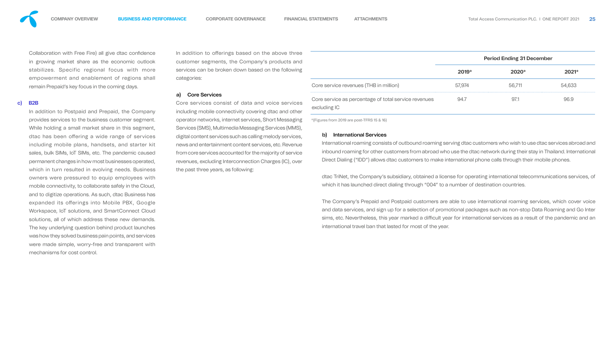Collaboration with Free Fire) all give dtac confidence in growing market share as the economic outlook stabilizes. Specific regional focus with more empowerment and enablement of regions shall remain Prepaid's key focus in the coming days.

## c) B2B

In addition to offerings based on the above customer segments, the Company's products services can be broken down based on the following categories:

In addition to Postpaid and Prepaid, the Company provides services to the business customer segment. While holding a small market share in this segment, dtac has been offering a wide range of services including mobile plans, handsets, and starter kit sales, bulk SIMs, IoT SIMs, etc. The pandemic caused permanent changes in how most businesses operated, which in turn resulted in evolving needs. Business owners were pressured to equip employees with mobile connectivity, to collaborate safely in the Cloud, and to digitize operations. As such, dtac Business has expanded its offerings into Mobile PBX, Google Workspace, IoT solutions, and SmartConnect Cloud solutions, all of which address these new demands. The key underlying question behind product launches was how they solved business pain points, and services were made simple, worry-free and transparent with mechanisms for cost control.

Core services consist of data and voice services including mobile connectivity covering dtac and operator networks, internet services, Short Messa Services (SMS), Multimedia Messaging Services (M digital content services such as calling melody services news and entertainment content services, etc. Rev from core services accounted for the majority of se revenues, excluding Interconnection Charges (IC), the past three years, as following:

## a) Core Services

sims, etc. Nevertheless, this year marked a difficult year for international services as a result of the pandemic and an international travel ban that lasted for most of the year.

|                                                                                                                                                                                                                                                                                                                                                                                                   |        | <b>Period Ending 31 December</b> |        |
|---------------------------------------------------------------------------------------------------------------------------------------------------------------------------------------------------------------------------------------------------------------------------------------------------------------------------------------------------------------------------------------------------|--------|----------------------------------|--------|
|                                                                                                                                                                                                                                                                                                                                                                                                   | 2019*  | 2020*                            | 2021*  |
| Core service revenues (THB in million)                                                                                                                                                                                                                                                                                                                                                            | 57,974 | 56,711                           | 54,633 |
| Core service as percentage of total service revenues<br>excluding IC                                                                                                                                                                                                                                                                                                                              | 94.7   | 97.1                             | 96.9   |
| *(Figures from 2019 are post-TFRS 15 & 16)                                                                                                                                                                                                                                                                                                                                                        |        |                                  |        |
| <b>International Services</b><br>b)<br>International roaming consists of outbound roaming serving dtac customers who wish to use dtac services abroad and<br>inbound roaming for other customers from abroad who use the dtac network during their stay in Thailand. International<br>Direct Dialing ("IDD") allows dtac customers to make international phone calls through their mobile phones. |        |                                  |        |
| dtac TriNet, the Company's subsidiary, obtained a license for operating international telecommunications services, of                                                                                                                                                                                                                                                                             |        |                                  |        |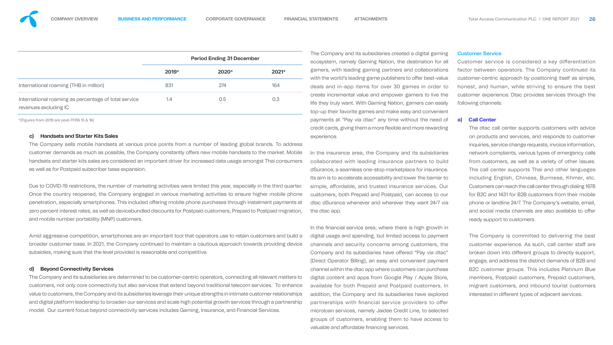|                                                                               | <b>Period Ending 31 December</b> |       |  |  |
|-------------------------------------------------------------------------------|----------------------------------|-------|--|--|
|                                                                               | $2019*$                          | 2020* |  |  |
| International roaming (THB in million)                                        | 831                              | 274   |  |  |
| International roaming as percentage of total service<br>revenues excluding IC |                                  | N 5   |  |  |

\*(Figures from 2019 are post-TFRS 15 & 16)

## c) Handsets and Starter Kits Sales

The Company sells mobile handsets at various price points from a number of leading global brands. To address customer demands as much as possible, the Company constantly offers new mobile handsets to the market. Mobile handsets and starter kits sales are considered an important driver for increased data usage amongst Thai consumers as well as for Postpaid subscriber base expansion.

Due to COVID-19 restrictions, the number of marketing activities were limited this year, especially in the third quarter. Once the country reopened, the Company engaged in various marketing activities to ensure higher mobile phone penetration, especially smartphones. This included offering mobile phone purchases through instalment payments at zero percent interest rates, as well as devicebundled discounts for Postpaid customers, Prepaid to Postpaid migration, and mobile number portability (MNP) customers.

Amid aggressive competition, smartphones are an important tool that operators use to retain customers and build a broader customer base. In 2021, the Company continued to maintain a cautious approach towards providing device subsidies, making sure that the level provided is reasonable and competitive.

## d) Beyond Connectivity Services

The Company and its subsidiaries are determined to be customer-centric operators, connecting all relevant matters to customers, not only core connectivity but also services that extend beyond traditional telecom services. To enhance value to customers, the Company and its subsidiaries leverage their unique strengths in intimate customer relationships and digital platform leadership to broaden our services and scale high potential growth services through a partnership model. Our current focus beyond connectivity services includes Gaming, Insurance, and Financial Services.

Customer service is considered a key differentiation factor between operators. The Company continued its customer-centric approach by positioning itself as simple, honest, and human, while striving to ensure the best customer experience. Dtac provides services through the following channels:

The Company and its subsidiaries created a digital gaming ecosystem, namely Gaming Nation, the destination for all gamers, with leading gaming partners and collaborations with the world's leading game publishers to offer best-value deals and in-app items for over 30 games in order to create incremental value and empower gamers to live the life they truly want. With Gaming Nation, gamers can easily top-up their favorite games and make easy and convenient payments at "Pay via dtac" any time without the need of credit cards, giving them a more flexible and more rewarding experience.

> The Company is committed to delivering the best customer experience. As such, call center staff are broken down into different groups to directly support, engage, and address the distinct demands of B2B and B2C customer groups. This includes Platinum Blue members, Postpaid customers, Prepaid customers, migrant customers, and inbound tourist customers interested in different types of adjacent services.

In the insurance area, the Company and its subsidiaries collaborated with leading insurance partners to build dSurance, a seamless one-stop marketplace for insurance. Its aim is to accelerate accessibility and lower the barrier to simple, affordable, and trusted insurance services. Our customers, both Prepaid and Postpaid, can access to our dtac dSurance whenever and wherever they want 24/7 via the dtac app.

In the financial service area, where there is high growth in digital usage and spending, but limited access to payment channels and security concerns among customers, the Company and its subsidiaries have offered "Pay via dtac" (Direct Operator Billing), an easy and convenient payment channel within the dtac app where customers can purchase digital content and apps from Google Play / Apple Store, available for both Prepaid and Postpaid customers. In addition, the Company and its subsidiaries have explored partnerships with financial service providers to offer microloan services, namely Jaidee Credit Line, to selected groups of customers, enabling them to have access to valuable and affordable financing services.

## Customer Service

## **a) Call Center**

The dtac call center supports customers with advice on products and services, and responds to customer inquiries, service change requests, invoice information, network complaints, various types of emergency calls from customers, as well as a variety of other issues. The call center supports Thai and other languages including English, Chinese, Burmese, Khmer, etc. Customers can reach the call center through dialing 1678 for B2C and 1431 for B2B customers from their mobile phone or landline 24/7. The Company's website, email, and social media channels are also available to offer ready support to customers.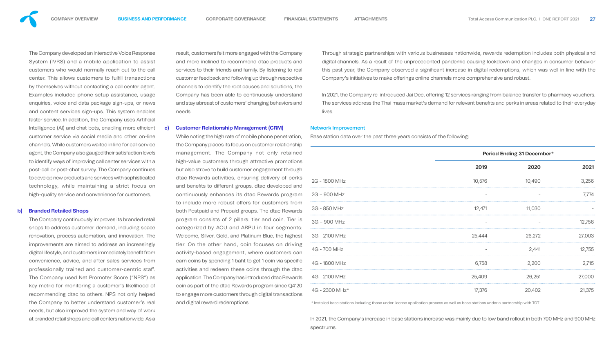The Company developed an Interactive Voice Response System (IVRS) and a mobile application to assist customers who would normally reach out to the call center. This allows customers to fulfill transactions by themselves without contacting a call center agent. Examples included phone setup assistance, usage enquiries, voice and data package sign-ups, or news and content services sign-ups. This system enables faster service. In addition, the Company uses Artificial Intelligence (AI) and chat bots, enabling more efficient customer service via social media and other on-line channels. While customers waited in line for call service agent, the Company also gauged their satisfaction levels to identify ways of improving call center services with a post-call or post-chat survey. The Company continues to develop new products and services with sophisticated technology, while maintaining a strict focus on high-quality service and convenience for customers.

#### **b) Branded Retailed Shops**

The Company continuously improves its branded retail shops to address customer demand, including space renovation, process automation, and innovation. The improvements are aimed to address an increasingly digital lifestyle, and customers immediately benefit from convenience, advice, and after-sales services from professionally trained and customer-centric staff. The Company used Net Promoter Score ("NPS") as key metric for monitoring a customer's likelihood of recommending dtac to others. NPS not only helped the Company to better understand customer's real needs, but also improved the system and way of work at branded retail shops and call centers nationwide. As a

## **c) Customer Relationship Management (CRM)**

result, customers felt more engaged with the Company and more inclined to recommend dtac products and services to their friends and family. By listening to real customer feedback and following up through respective channels to identify the root causes and solutions, the Company has been able to continuously understand and stay abreast of customers' changing behaviors and needs. Through strategic partnerships with various businesses nationwide, rewards redemption includes both physical and digital channels. As a result of the unprecedented pandemic causing lockdown and changes in consumer behavior this past year, the Company observed a significant increase in digital redemptions, which was well in line with the Company's initiatives to make offerings online channels more comprehensive and robust. In 2021, the Company re-introduced Jai Dee, offering 12 services ranging from balance transfer to pharmacy vouchers. The services address the Thai mass market's demand for relevant benefits and perks in areas related to their everyday lives.

While noting the high rate of mobile phone penetration, the Company places its focus on customer relationship management. The Company not only retained high-value customers through attractive promotions but also strove to build customer engagement through dtac Rewards activities, ensuring delivery of perks and benefits to different groups. dtac developed and continuously enhances its dtac Rewards program to include more robust offers for customers from both Postpaid and Prepaid groups. The dtac Rewards program consists of 2 pillars: tier and coin. Tier is categorized by AOU and ARPU in four segments: Welcome, Silver, Gold, and Platinum Blue, the highest tier. On the other hand, coin focuses on driving activity-based engagement, where customers can earn coins by spending 1 baht to get 1 coin via specific activities and redeem these coins through the dtac application. The Company has introduced dtac Rewards coin as part of the dtac Rewards program since Q4'20 to engage more customers through digital transactions and digital reward redemptions. Base station data over the past three years consists of the following: \* Installed base stations including those under license application process as well as base stations under a partnership with TOT



## Network Improvement

|                | <b>Period Ending 31 December*</b> |        |                          |  |
|----------------|-----------------------------------|--------|--------------------------|--|
|                | 2019                              | 2020   | 2021                     |  |
| 2G - 1800 MHz  | 10,576                            | 10,490 | 3,256                    |  |
| 2G - 900 MHz   | $\overline{\phantom{m}}$          |        | 7,774                    |  |
| 3G - 850 MHz   | 12,471                            | 11,030 | $\overline{\phantom{0}}$ |  |
| 3G - 900 MHz   |                                   |        | 12,756                   |  |
| 3G - 2100 MHz  | 25,444                            | 26,272 | 27,003                   |  |
| 4G - 700 MHz   |                                   | 2,441  | 12,755                   |  |
| 4G - 1800 MHz  | 6,758                             | 2,200  | 2,715                    |  |
| 4G - 2100 MHz  | 25,409                            | 26,251 | 27,000                   |  |
| 4G - 2300 MHz* | 17,376                            | 20,402 | 21,375                   |  |

In 2021, the Company's increase in base stations increase was mainly due to low band rollout in both 700 MHz and 900 MHz spectrums.

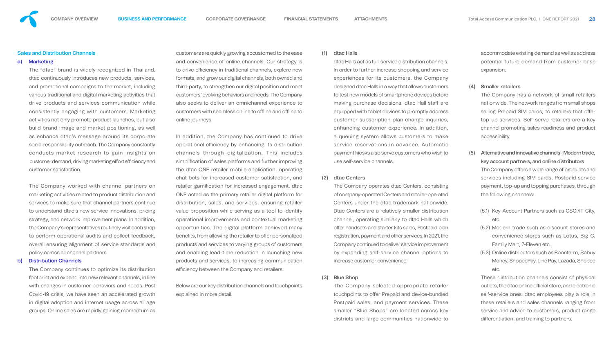### Sales and Distribution Channels

#### a) Marketing

The "dtac" brand is widely recognized in Thailand. dtac continuously introduces new products, services, and promotional campaigns to the market, including various traditional and digital marketing activities that drive products and services communication while consistently engaging with customers. Marketing activities not only promote product launches, but also build brand image and market positioning, as well as enhance dtac's message around its corporate social responsibility outreach. The Company constantly conducts market research to gain insights on customer demand, driving marketing effort efficiency and customer satisfaction.

The Company worked with channel partners on marketing activities related to product distribution and services to make sure that channel partners continue to understand dtac's new service innovations, pricing strategy, and network improvement plans. In addition, the Company's representatives routinely visit each shop to perform operational audits and collect feedback, overall ensuring alignment of service standards and policy across all channel partners.

In addition, the Company has continued to drive operational efficiency by enhancing its distribution channels through digitalization. This includes simplification of sales platforms and further improving the dtac ONE retailer mobile application, operating chat bots for increased customer satisfaction, and retailer gamification for increased engagement. dtac ONE acted as the primary retailer digital platform for distribution, sales, and services, ensuring retailer value proposition while serving as a tool to identify operational improvements and contextual marketing opportunities. The digital platform achieved many benefits, from allowing the retailer to offer personalized products and services to varying groups of customers and enabling lead-time reduction in launching new products and services, to increasing communication efficiency between the Company and retailers.

#### b) Distribution Channels

The Company continues to optimize its distribution footprint and expand into new relevant channels, in line with changes in customer behaviors and needs. Post Covid-19 crisis, we have seen an accelerated growth in digital adoption and internet usage across all age groups. Online sales are rapidly gaining momentum as

customers are quickly growing accustomed to the ease and convenience of online channels. Our strategy is to drive efficiency in traditional channels, explore new formats, and grow our digital channels, both owned and third-party, to strengthen our digital position and meet customers' evolving behaviors and needs. The Company also seeks to deliver an omnichannel experience to customers with seamless online to offline and offline to online journeys.

> These distribution channels consist of physical outlets, the dtac online official store, and electronic self-service ones. dtac employees play a role in these retailers and sales channels ranging from service and advice to customers, product range differentiation, and training to partners.

Below are our key distribution channels and touchpoints explained in more detail.

## (1) dtac Halls

dtac Halls act as full-service distribution channels. In order to further increase shopping and service experiences for its customers, the Company designed dtac Halls in a way that allows customers to test new models of smartphone devices before making purchase decisions. dtac Hall staff are equipped with tablet devices to promptly address customer subscription plan change inquiries, enhancing customer experience. In addition, a queuing system allows customers to make service reservations in advance. Automatic payment kiosks also serve customers who wish to use self-service channels.

## (2) dtac Centers

The Company operates dtac Centers, consisting of company-operated Centers and retailer-operated Centers under the dtac trademark nationwide. Dtac Centers are a relatively smaller distribution channel, operating similarly to dtac Halls which offer handsets and starter kits sales, Postpaid plan registration, payment and other services. In 2021, the Company continued to deliver service improvement by expanding self-service channel options to increase customer convenience.

(3) Blue Shop

## The Company selected appropriate retailer touchpoints to offer Prepaid and device-bundled Postpaid sales, and payment services. These smaller "Blue Shops" are located across key districts and large communities nationwide to

accommodate existing demand as well as address potential future demand from customer base expansion.

## (4) Smaller retailers

The Company has a network of small retailers nationwide. The network ranges from small shops selling Prepaid SIM cards, to retailers that offer top-up services. Self-serve retailers are a key channel promoting sales readiness and product accessibility.

- (5) Alternative and innovative channels Modern trade, key account partners, and online distributors The Company offers a wide range of products and services including SIM cards, Postpaid service payment, top-up and topping purchases, through the following channels:
	- (5.1) Key Account Partners such as CSCi/IT City, etc.
	- (5.2) Modern trade such as discount stores and convenience stores such as Lotus, Big-C, Family Mart, 7-Eleven etc.
	- (5.3) Online distributors such as Boonterm, Sabuy Money, ShopeePay, Line Pay, Lazada, Shopee etc.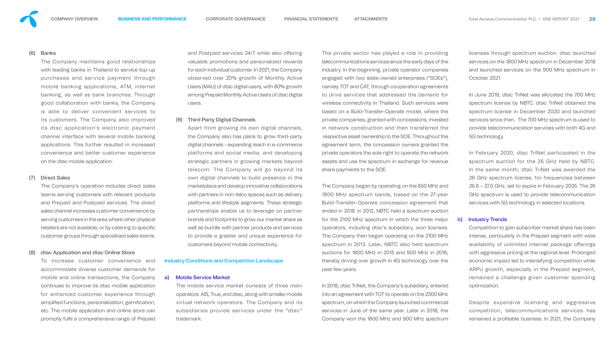

## (6) Banks

The Company maintains good relationships with leading banks in Thailand to service top-up purchases and service payment through mobile banking applications, ATM, internet banking, as well as bank branches. Through good collaboration with banks, the Company is able to deliver convenient services to its customers. The Company also improved its dtac application's electronic payment channel interface with several mobile banking applications. This further resulted in increased convenience and better customer experience on the dtac mobile application.

To increase customer convenience and accommodate diverse customer demands for mobile and online transactions, the Company continues to improve its dtac mobile application for enhanced customer experience through simplified functions, personalization, gamification, etc. The mobile application and online store can promptly fulfil a comprehensive range of Prepaid

## (7) Direct Sales

The Company's operation includes direct sales teams serving customers with relevant products and Prepaid and Postpaid services. The direct sales channel increases customer convenience by serving customers in the area where other physical retailers are not available, or by catering to specific customer groups through specialized sales teams.

## dtac Application and dtac Online Store

and Postpaid services 24/7 while also offering valuable promotions and personalized rewards for each individual customer. In 2021, the Company observed over 20% growth of Monthly Active Users (MAU) of dtac digital users, with 80% growth among Prepaid Monthly Active Users of dtac digital users.

### (9) Third Party Digital Channels

Apart from growing its own digital channels, the Company also has plans to grow third-party digital channels - expanding reach in e-commerce platforms and social media, and developing strategic partners in growing markets beyond telecom. The Company will go beyond its own digital channels to build presence in the marketplace and develop innovative collaborations with partners in non-telco spaces such as delivery platforms and lifestyle segments. These strategic partnerships enable us to leverage on partner brands and footprints to grow our market share as well as bundle with partner products and services to provide a greater and unique experience for customers beyond mobile connectivity.

### Industry Conditions and Competition Landscape

## a) Mobile Service Market

Despite expensive licensing and aggressive competition, telecommunications services has remained a profitable business. In 2021, the Company

The private sector has played a role in providing telecommunications services since the early days of the industry. In the beginning, private operator companies engaged with two state-owned enterprises ("SOEs"), namely TOT and CAT, through cooperation agreements to drive services that addressed the demand for wireless connectivity in Thailand. Such services were based on a Build-Transfer-Operate model, where the private companies, granted with concessions, invested in network construction and then transferred the respective asset ownership to the SOE. Throughout the agreement term, the concession owners granted the private operators the sole right to operate the network assets and use the spectrum in exchange for revenue share payments to the SOE.

The mobile service market consists of three main operators: AIS, True, and dtac, along with smaller mobile virtual network operators. The Company and its subsidiaries provide services under the "dtac" trademark. In 2018, dtac TriNet, the Company's subsidiary, entered into an agreement with TOT to operate on the 2300 MHz spectrum, on which the Company launched commercial services in June of the same year. Later in 2018, the Company won the 1800 MHz and 900 MHz spectrum

The Company began by operating on the 850 MHz and 1800 MHz spectrum bands, based on the 27-year Build-Transfer-Operate concession agreement that ended in 2018. In 2012, NBTC held a spectrum auction for the 2100 MHz spectrum in which the three major operators, including dtac's subsidiary, won licenses. The Company then began operating on the 2100 MHz spectrum in 2013. Later, NBTC also held spectrum auctions for 1800 MHz in 2015 and 900 MHz in 2016, thereby driving over growth in 4G technology over the past few years.

licenses through spectrum auction. dtac launched services on the 1800 MHz spectrum in December 2018 and launched services on the 900 MHz spectrum in October 2021.

In June 2019, dtac TriNet was allocated the 700 MHz spectrum license by NBTC. dtac TriNet obtained the spectrum license in December 2020 and launched services since then. The 700 MHz spectrum is used to provide telecommunication services with both 4G and 5G technology.

In February 2020, dtac TriNet participated in the spectrum auction for the 26 GHz held by NBTC. In the same month, dtac TriNet was awarded the 26 GHz spectrum license, for frequencies between 26.8 – 27.0 GHz, set to expire in February 2035. The 26 GHz spectrum is used to provide telecommunication services with 5G technology in selected locations.

## b) Industry Trends

Competition to gain subscriber market share has been intense, particularly in the Prepaid segment with wide availability of unlimited internet package offerings with aggressive pricing at the regional level. Prolonged economic impact led to intensifying competition while ARPU growth, especially in the Prepaid segment, remained a challenge given customer spending optimization.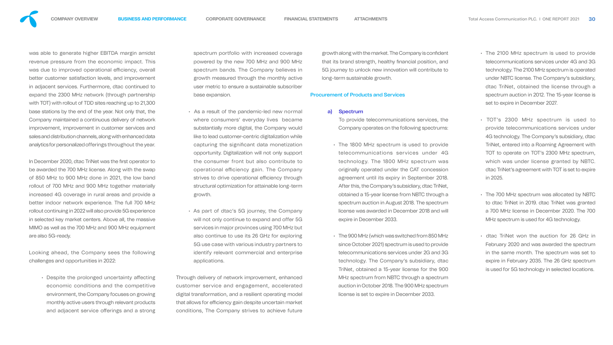

was able to generate higher EBITDA margin amidst revenue pressure from the economic impact. This was due to improved operational efficiency, overall better customer satisfaction levels, and improvement in adjacent services. Furthermore, dtac continued to expand the 2300 MHz network (through partnership with TOT) with rollout of TDD sites reaching up to 21,300 base stations by the end of the year. Not only that, the Company maintained a continuous delivery of network improvement, improvement in customer services and sales and distribution channels, along with enhanced data analytics for personalized offerings throughout the year.

In December 2020, dtac TriNet was the first operator to be awarded the 700 MHz license. Along with the swap of 850 MHz to 900 MHz done in 2021, the low band rollout of 700 MHz and 900 MHz together materially increased 4G coverage in rural areas and provide a better indoor network experience. The full 700 MHz rollout continuing in 2022 will also provide 5G experience in selected key market centers. Above all, the massive MIMO as well as the 700 MHz and 900 MHz equipment are also 5G-ready.

spectrum portfolio with increased coveraged powered by the new 700 MHz and 900 spectrum bands. The Company believes growth measured through the monthly user metric to ensure a sustainable subscriber base expansion.

Looking ahead, the Company sees the following challenges and opportunities in 2022:

> $\cdot$  Despite the prolonged uncertainty affecting economic conditions and the competitive environment, the Company focuses on growing monthly active users through relevant products and adjacent service offerings and a strong

- As a result of the pandemic-led new normal where consumers' everyday lives became substantially more digital, the Company would like to lead customer-centric digitalization while capturing the significant data monetization opportunity. Digitalization will not only support the consumer front but also contribute to operational efficiency gain. The Company strives to drive operational efficiency through structural optimization for attainable long-term growth.
- As part of dtac's 5G journey, the Company will not only continue to expand and offer 5G services in major provinces using 700 MHz but also continue to use its 26 GHz for exploring 5G use case with various industry partners to identify relevant commercial and enterprise applications.

Through delivery of network improvement, enhanced customer service and engagement, accelerated digital transformation, and a resilient operating model that allows for efficiency gain despite uncertain market conditions, The Company strives to achieve future

| erage  | growth along with the market. The Company is confident   |
|--------|----------------------------------------------------------|
| 3 MHz  | that its brand strength, healthy financial position, and |
| ves in | 5G journey to unlock new innovation will contribute to   |
| active | long-term sustainable growth.                            |
|        |                                                          |

## Procurement of Products and Services

### a) Spectrum

To provide telecommunications services, the Company operates on the following spectrums:

- The 1800 MHz spectrum is used to provide telecommunications services under 4G technology. The 1800 MHz spectrum was originally operated under the CAT concession agreement until its expiry in September 2018. After this, the Company's subsidiary, dtac TriNet, obtained a 15-year license from NBTC through a spectrum auction in August 2018. The spectrum license was awarded in December 2018 and will expire in December 2033.
- The 900 MHz (which was switched from 850 MHz since October 2021) spectrum is used to provide telecommunications services under 2G and 3G technology. The Company's subsidiary, dtac TriNet, obtained a 15-year license for the 900 MHz spectrum from NBTC through a spectrum auction in October 2018. The 900 MHz spectrum license is set to expire in December 2033.
- The 2100 MHz spectrum is used to provide telecommunications services under 4G and 3G technology. The 2100 MHz spectrum is operated under NBTC license. The Company's subsidiary, dtac TriNet, obtained the license through a spectrum auction in 2012. The 15-year license is set to expire in December 2027.
- TOT's 2300 MHz spectrum is used to provide telecommunications services under 4G technology. The Company's subsidiary, dtac TriNet, entered into a Roaming Agreement with TOT to operate on TOT's 2300 MHz spectrum, which was under license granted by NBTC. dtac TriNet's agreement with TOT is set to expire in 2025.
- The 700 MHz spectrum was allocated by NBTC to dtac TriNet in 2019. dtac TriNet was granted a 700 MHz license in December 2020. The 700 MHz spectrum is used for 4G technology.
- dtac TriNet won the auction for 26 GHz in February 2020 and was awarded the spectrum in the same month. The spectrum was set to expire in February 2035. The 26 GHz spectrum is used for 5G technology in selected locations.

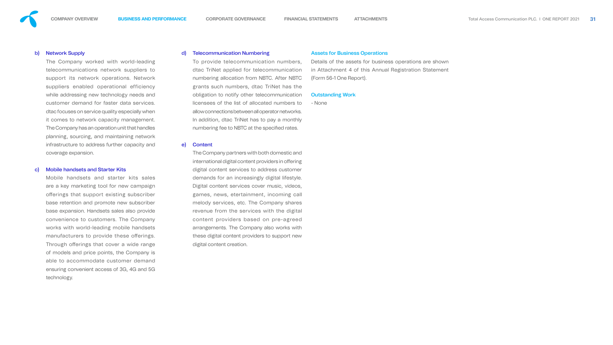

## b) Network Supply

The Company worked with world-leading telecommunications network suppliers to support its network operations. Network suppliers enabled operational efficiency while addressing new technology needs and customer demand for faster data services. dtac focuses on service quality especially when it comes to network capacity management. The Company has an operation unit that handles planning, sourcing, and maintaining network infrastructure to address further capacity and coverage expansion.

## c) Mobile handsets and Starter Kits

Mobile handsets and starter kits sales are a key marketing tool for new campaign offerings that support existing subscriber base retention and promote new subscriber base expansion. Handsets sales also provide convenience to customers. The Company works with world-leading mobile handsets manufacturers to provide these offerings. Through offerings that cover a wide range of models and price points, the Company is able to accommodate customer demand ensuring convenient access of 3G, 4G and 5G technology.

The Company partners with both domest international digital content providers in digital content services to address cu demands for an increasingly digital li Digital content services cover music, games, news, etertainment, incomi melody services, etc. The Company revenue from the services with the content providers based on pre-agreed arrangements. The Company also work these digital content providers to support digital content creation.

## d) Telecommunication Numbering

To provide telecommunication num dtac TriNet applied for telecommun numbering allocation from NBTC. After grants such numbers, dtac TriNet has obligation to notify other telecommur licensees of the list of allocated num allow connections between all operator networks. In addition, dtac TriNet has to pay a r numbering fee to NBTC at the specified

## e) Content

## Assets for Business Operations

| mbers,          | Details of the assets for business operations are shown |
|-----------------|---------------------------------------------------------|
| iication        | in Attachment 4 of this Annual Registration Statement   |
| er NBTC         | (Form 56-1 One Report).                                 |
| าas the         |                                                         |
| <b>nication</b> | <b>Outstanding Work</b>                                 |
| bers to         | - None                                                  |
| etworks.        |                                                         |
| monthly         |                                                         |
| rates.          |                                                         |
|                 |                                                         |
|                 |                                                         |
| stic and        |                                                         |
| <b>offering</b> |                                                         |
| <b>ustomer</b>  |                                                         |
| ifestyle.       |                                                         |
| videos,         |                                                         |
| ing call        |                                                         |
| shares          |                                                         |
| digital         |                                                         |
| agreed          |                                                         |
| rks with        |                                                         |
| ort new         |                                                         |
|                 |                                                         |

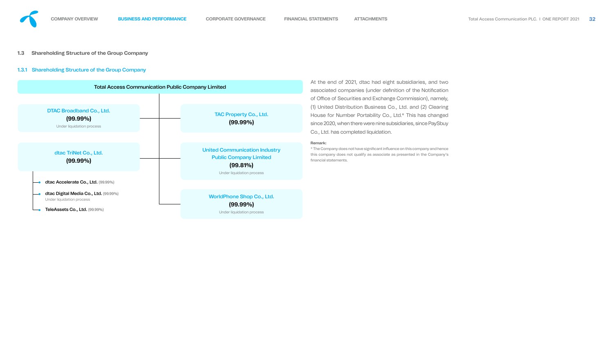## **1.3 Shareholding Structure of the Group Company**

## 1.3.1 Shareholding Structure of the Group Company



 $\,^*$  The Company does not have significant influence on this company and hence this company does not qualify as associate as presented in the Company's nancial statements.

At the end of 2021, dtac had eight subsidiaries, and two associated companies (under definition of the Notification of Office of Securities and Exchange Commission), namely, (1) United Distribution Business Co., Ltd. and (2) Clearing House for Number Portability Co., Ltd.\* This has changed since 2020, when there were nine subsidiaries, since PaySbuy Co., Ltd. has completed liquidation.

#### **Remark:**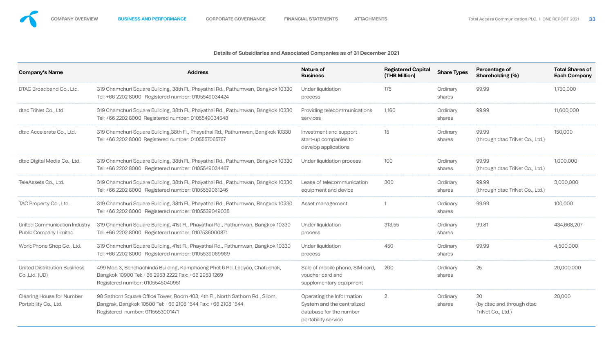## **Details of Subsidiaries and Associated Companies as of 31 December 2021**



| <b>Company's Name</b>                                          | <b>Address</b>                                                                                                                                                                   | <b>Nature of</b><br><b>Business</b>                                                                       | <b>Registered Capital</b><br>(THB Million) | <b>Share Types</b> | Percentage of<br><b>Shareholding (%)</b>             | <b>Total Share</b><br><b>Each Comp</b> |
|----------------------------------------------------------------|----------------------------------------------------------------------------------------------------------------------------------------------------------------------------------|-----------------------------------------------------------------------------------------------------------|--------------------------------------------|--------------------|------------------------------------------------------|----------------------------------------|
| DTAC Broadband Co., Ltd.                                       | 319 Chamchuri Square Building, 38th Fl., Phayathai Rd., Pathumwan, Bangkok 10330<br>Tel: +66 2202 8000 Registered number: 0105549034424                                          | Under liquidation<br>process                                                                              | 175                                        | Ordinary<br>shares | 99.99                                                | 1,750,000                              |
| dtac TriNet Co., Ltd.                                          | 319 Chamchuri Square Building, 38th Fl., Phayathai Rd., Pathumwan, Bangkok 10330<br>Tel: +66 2202 8000 Registered number: 0105549034548                                          | Providing telecommunications<br>services                                                                  | 1,160                                      | Ordinary<br>shares | 99.99                                                | 11,600,000                             |
| dtac Accelerate Co., Ltd.                                      | 319 Chamchuri Square Building, 38th Fl., Phayathai Rd., Pathumwan, Bangkok 10330<br>Tel: +66 2202 8000 Registered number: 0105557065767                                          | Investment and support<br>start-up companies to<br>develop applications                                   | 15 <sup>15</sup>                           | Ordinary<br>shares | 99.99<br>(through dtac TriNet Co., Ltd.)             | 150,000                                |
| dtac Digital Media Co., Ltd.                                   | 319 Chamchuri Square Building, 38th Fl., Phayathai Rd., Pathumwan, Bangkok 10330<br>Tel: +66 2202 8000 Registered number: 0105549034467                                          | Under liquidation process                                                                                 | 100                                        | Ordinary<br>shares | 99.99<br>(through dtac TriNet Co., Ltd.)             | 1,000,000                              |
| TeleAssets Co., Ltd.                                           | 319 Chamchuri Square Building, 38th Fl., Phayathai Rd., Pathumwan, Bangkok 10330<br>Tel: +66 2202 8000 Registered number: 0105559061246                                          | Lease of telecommunication<br>equipment and device                                                        | 300                                        | Ordinary<br>shares | 99.99<br>(through dtac TriNet Co., Ltd.)             | 3,000,000                              |
| TAC Property Co., Ltd.                                         | 319 Chamchuri Square Building, 38th Fl., Phayathai Rd., Pathumwan, Bangkok 10330<br>Tel: +66 2202 8000 Registered number: 0105539049038                                          | Asset management                                                                                          |                                            | Ordinary<br>shares | 99.99                                                | 100,000                                |
| United Communication Industry<br><b>Public Company Limited</b> | 319 Chamchuri Square Building, 41st Fl., Phayathai Rd., Pathumwan, Bangkok 10330<br>Tel: +66 2202 8000 Registered number: 0107536000871                                          | Under liquidation<br>process                                                                              | 313.55                                     | Ordinary<br>shares | 99.81                                                | 434,668,207                            |
| WorldPhone Shop Co., Ltd.                                      | 319 Chamchuri Square Building, 41st Fl., Phayathai Rd., Pathumwan, Bangkok 10330<br>Tel: +66 2202 8000 Registered number: 0105539069969                                          | Under liquidation<br>process                                                                              | 450                                        | Ordinary<br>shares | 99.99                                                | 4,500,000                              |
| <b>United Distribution Business</b><br>$Co.$ , Ltd. $(UD)$     | 499 Moo 3, Benchachinda Building, Kamphaeng Phet 6 Rd. Ladyao, Chatuchak,<br>Bangkok 10900 Tel: +66 2953 2222 Fax: +66 2953 1269<br>Registered number: 0105545040951             | Sale of mobile phone, SIM card,<br>voucher card and<br>supplementary equipment                            | 200                                        | Ordinary<br>shares | 25                                                   | 20,000,000                             |
| <b>Clearing House for Number</b><br>Portability Co., Ltd.      | 98 Sathorn Square Office Tower, Room 403, 4th Fl., North Sathorn Rd., Silom,<br>Bangrak, Bangkok 10500 Tel: +66 2108 1544 Fax: +66 2108 1544<br>Registered number: 0115553001471 | Operating the Information<br>System and the centralized<br>database for the number<br>portability service | $\overline{2}$                             | Ordinary<br>shares | 20<br>(by dtac and through dtac<br>TriNet Co., Ltd.) | 20,000                                 |

| ٠                                | v<br>$\sim$ |
|----------------------------------|-------------|
| n e s<br>I<br>×<br>w<br>. .<br>w | ×<br>٠<br>٠ |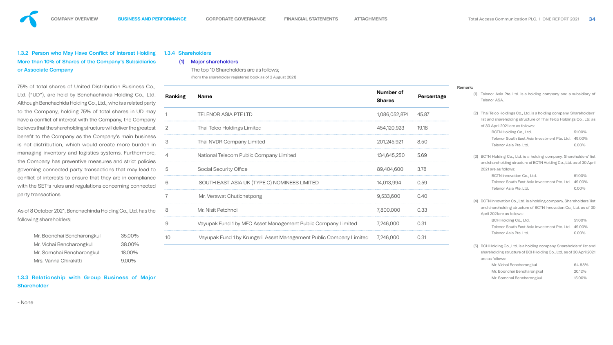## 1.3.2 Person who May Have Conflict of Interest Holding More than 10% of Shares of the Company's Subsidiaries or Associate Company

75% of total shares of United Distribution Business Co., Ltd. ("UD"), are held by Benchachinda Holding Co., Ltd. Although Benchachida Holding Co., Ltd., who is a related party to the Company, holding 75% of total shares in UD may have a conflict of interest with the Company, the Company believes that the shareholding structure will deliver the greatest benefit to the Company as the Company's main business is not distribution, which would create more burden in managing inventory and logistics systems. Furthermore, the Company has preventive measures and strict policies governing connected party transactions that may lead to conflict of interests to ensure that they are in compliance with the SET's rules and regulations concerning connected party transactions.

As of 8 October 2021, Benchachinda Holding Co., Ltd. has the following shareholders:

| Mr. Boonchai Bencharongkul | 35.00%   |
|----------------------------|----------|
| Mr. Vichai Bencharongkul   | 38.00%   |
| Mr. Somchai Bencharongkul  | 18.00%   |
| Mrs. Vanna Chirakitti      | $9.00\%$ |

## 1.3.3 Relationship with Group Business of Major Shareholder

- None

## 1.3.4 Shareholders

## (1) Major shareholders

The top 10 Shareholders are as follows; (from the shareholder registered book as of 2 August 2021)

| <b>Ranking</b> | <b>Name</b>                                                        | <b>Number of</b><br><b>Shares</b> | Percentage |
|----------------|--------------------------------------------------------------------|-----------------------------------|------------|
| 1              | <b>TELENOR ASIA PTE LTD</b>                                        | 1,086,052,874                     | 45.87      |
| $\overline{2}$ | <b>Thai Telco Holdings Limited</b>                                 | 454,120,923                       | 19.18      |
| 3              | <b>Thai NVDR Company Limited</b>                                   | 201,245,921                       | 8.50       |
| 4              | National Telecom Public Company Limited                            | 134,645,250                       | 5.69       |
| 5              | <b>Social Security Office</b>                                      | 89,404,600                        | 3.78       |
| 6              | SOUTH EAST ASIA UK (TYPE C) NOMINEES LIMITED                       | 14,013,994                        | 0.59       |
| $\overline{7}$ | Mr. Verawat Chutichetpong                                          | 9,533,600                         | 0.40       |
| 8              | Mr. Nisit Petchnoi                                                 | 7,800,000                         | 0.33       |
| 9              | Vayupak Fund 1 by MFC Asset Management Public Company Limited      | 7,246,000                         | 0.31       |
| 10             | Vayupak Fund 1 by Krungsri Asset Management Public Company Limited | 7,246,000                         | 0.31       |

- (1) Telenor Asia Pte. Ltd. is a holding company and a subsidiary of Telenor ASA.
- (2) Thai Telco Holdings Co., Ltd. is a holding company. Shareholders' list and shareholding structure of Thai Telco Holdings Co., Ltd as of 30 April 2021 are as follows:

BCTN Holding Co., Ltd. 61.00% Telenor South East Asia Investment Pte. Ltd. 49.00% Telenor Asia Pte. Ltd. 6.000%

(3) BCTN Holding Co., Ltd. is a holding company. Shareholders' list and shareholding structure of BCTN Holding Co., Ltd. as of 30 April 2021 are as follows:

> BCTN Innovation Co., Ltd. 61.00% Telenor South East Asia Investment Pte. Ltd. 49.00% Telenor Asia Pte. Ltd. 6.00%

- (4) BCTN Innovation Co., Ltd. is a holding company. Shareholders' list and shareholding structure of BCTN Innovation Co., Ltd. as of 30 April 2021are as follows:
	- BCH Holding Co., Ltd. 61.00% Telenor South East Asia Investment Pte. Ltd. 49.00% Telenor Asia Pte. Ltd. 6.000%
- (5) BCH Holding Co., Ltd. is a holding company. Shareholders' list and shareholding structure of BCH Holding Co., Ltd. as of 30 April 2021 are as follows:

| Mr. Vichai Bencharongkul   | 64.88% |
|----------------------------|--------|
| Mr. Boonchai Bencharongkul | 20.12% |
| Mr. Somchai Bencharongkul  | 15.00% |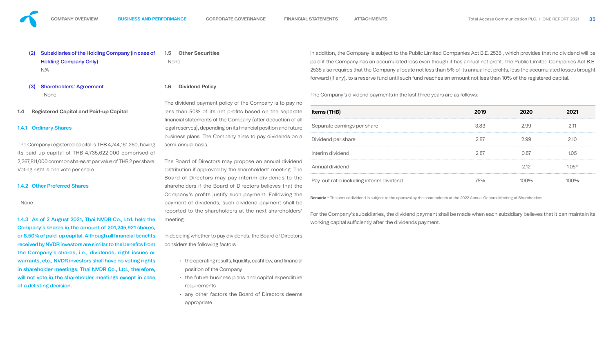- Subsidiaries of the Holding Company (in case of Holding Company Only) N/A
- (3) Shareholders' Agreement - None

## **1.4 Registered Capital and Paid-up Capital**

## 1.4.1 Ordinary Shares

The Company registered capital is THB 4,744,161,260, having its paid-up capital of THB 4,735,622,000 comprised of 2,367,811,000 common shares at par value of THB 2 per share. Voting right is one vote per share.

## 1.4.2 Other Preferred Shares

- None

1.4.3 As of 2 August 2021, Thai NVDR Co., Ltd. held the Company's shares in the amount of 201,245,921 shares, or 8.50% of paid-up capital. Although all financial benefits received by NVDR investors are similar to the benefits from the Company's shares, i.e., dividends, right issues or warrants, etc., NVDR investors shall have no voting rights in shareholder meetings. Thai NVDR Co., Ltd., therefore, will not vote in the shareholder meetings except in case of a delisting decision.

**1.5 Other Securities** - None

## **1.6 Dividend Policy**

- $\cdot$  the operating results, liquidity, cashflow, and financial position of the Company
- the future business plans and capital expenditure requirements
- any other factors the Board of Directors deems appropriate

The dividend payment policy of the Company is to pay no less than 50% of its net profits based on the separate nancial statements of the Company (after deduction of all legal reserves), depending on its financial position and future business plans. The Company aims to pay dividends on a semi-annual basis.

> For the Company's subsidiaries, the dividend payment shall be made when each subsidiary believes that it can maintain its working capital sufficiently after the dividends payment.





The Board of Directors may propose an annual dividend distribution if approved by the shareholders' meeting. The Board of Directors may pay interim dividends to the shareholders if the Board of Directors believes that the Company's profits justify such payment. Following the payment of dividends, such dividend payment shall be reported to the shareholders at the next shareholders' meeting.

In deciding whether to pay dividends, the Board of Directors considers the following factors

In addition, the Company is subject to the Public Limited Companies Act B.E. 2535 , which provides that no dividend will be paid if the Company has an accumulated loss even though it has annual net profit. The Public Limited Companies Act B.E. 2535 also requires that the Company allocate not less than 5% of its annual net profits, less the accumulated losses brought forward (if any), to a reserve fund until such fund reaches an amount not less than 10% of the registered capital.

The Company's dividend payments in the last three years are as follows:

| <b>Items (THB)</b>                       | 2019   | 2020 |          |
|------------------------------------------|--------|------|----------|
| Separate earnings per share              | 3.83   | 2.99 |          |
| Dividend per share                       | 2.87   | 2.99 |          |
| Interim dividend                         | 2.87   | N 87 | $\Omega$ |
| Annual dividend                          |        | 2 12 | $0.5*$   |
| Pay-out ratio including interim dividend | $/5\%$ |      |          |
|                                          |        |      |          |

**Remark:** \* The annual dividend is subject to the approval by the shareholders at the 2022 Annual General Meeting of Shareholders.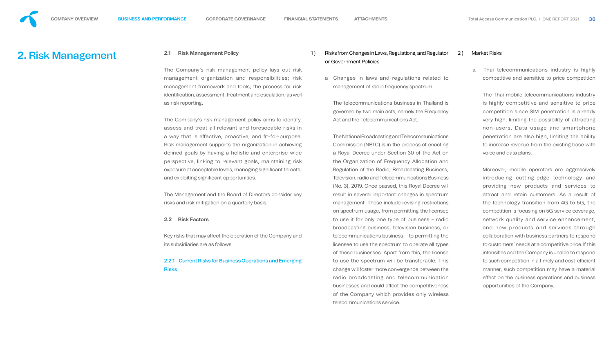<span id="page-19-0"></span>

# **2.** Risk Management **2.1 Risk Management Policy**

The Company's risk management policy lays out management organization and responsibilities; management framework and tools; the process for identification, assessment, treatment and escalation; as as risk reporting.

The Company's risk management policy aims to identify assess and treat all relevant and foreseeable risks a way that is effective, proactive, and fit-for-purpor Risk management supports the organization in achiev defined goals by having a holistic and enterprise-w perspective, linking to relevant goals, maintaining exposure at acceptable levels, managing significant threatand exploiting significant opportunities.

The Management and the Board of Directors consider risks and risk mitigation on a quarterly basis.

Key risks that may affect the operation of the Company its subsidiaries are as follows:

## 2.2.1 Current Risks for Business Operations and Emerg Risks

## **2.2 Risk Factors**

|        | 1) |    | Risks from Changes in Laws, Regulations, and Regulator   | 2) |   | <b>Market Ri</b> |
|--------|----|----|----------------------------------------------------------|----|---|------------------|
|        |    |    | or Government Policies                                   |    |   |                  |
| risk   |    |    |                                                          |    | a | Thai             |
| risk   |    | a. | Changes in laws and regulations related to               |    |   | com              |
| risk   |    |    | management of radio frequency spectrum                   |    |   |                  |
| well   |    |    |                                                          |    |   | The              |
|        |    |    | The telecommunications business in Thailand is           |    |   | is hi            |
|        |    |    | governed by two main acts, namely the Frequency          |    |   | com              |
| itify, |    |    | Act and the Telecommunications Act.                      |    |   | very             |
| s in   |    |    |                                                          |    |   | non              |
| DSe.   |    |    | The National Broadcasting and Telecommunications         |    |   | pene             |
| ving   |    |    | Commission (NBTC) is in the process of enacting          |    |   | to in            |
| vide   |    |    | a Royal Decree under Section 30 of the Act on            |    |   | <b>VOIC6</b>     |
| risk   |    |    | the Organization of Frequency Allocation and             |    |   |                  |
| ats,   |    |    | Regulation of the Radio, Broadcasting Business,          |    |   | More             |
|        |    |    | <b>Television, radio and Telecommunications Business</b> |    |   | intro            |
|        |    |    | (No. 3), 2019. Once passed, this Royal Decree will       |    |   | prov             |
| key    |    |    | result in several important changes in spectrum          |    |   | attra            |
|        |    |    | management. These include revising restrictions          |    |   | the 1            |
|        |    |    | on spectrum usage, from permitting the licensee          |    |   | com              |
|        |    |    | to use it for only one type of business - radio          |    |   | netv             |
|        |    |    | broadcasting business, television business, or           |    |   | and              |
| and    |    |    | telecommunications business $-$ to permitting the        |    |   | colla            |
|        |    |    | licensee to use the spectrum to operate all types        |    |   | to cu            |
|        |    |    | of these businesses. Apart from this, the license        |    |   | inter            |
| ging   |    |    | to use the spectrum will be transferable. This           |    |   | to su            |
|        |    |    | change will foster more convergence between the          |    |   | man              |
|        |    |    | radio broadcasting and telecommunication                 |    |   | effec            |
|        |    |    | businesses and could affect the competitiveness          |    |   | oppo             |
|        |    |    | of the Company which provides only wireless              |    |   |                  |
|        |    |    | telecommunications service.                              |    |   |                  |

## 2 ) Market Risks

telecommunications industry is highly apetitive and sensitive to price competition

Thai mobile telecommunications industry ighly competitive and sensitive to price npetition since SIM penetration is already high, limiting the possibility of attracting n-users. Data usage and smartphone etration are also high, limiting the ability ncrease revenue from the existing base with e and data plans.

reover, mobile operators are aggressively oducing cutting-edge technology and viding new products and services to act and retain customers. As a result of technology transition from 4G to 5G, the npetition is focusing on 5G service coverage, work quality and service enhancement, new products and services through aboration with business partners to respond ustomers' needs at a competitive price. If this nsifies and the Company is unable to respond uch competition in a timely and cost-efficient nner, such competition may have a material ct on the business operations and business ortunities of the Company.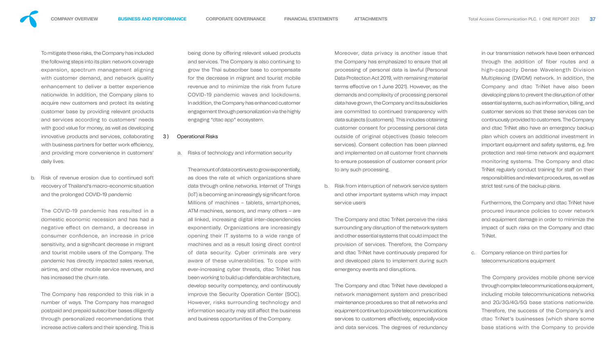

To mitigate these risks, the Company has included the following steps into its plan: network coverage expansion, spectrum management aligning with customer demand, and network quality enhancement to deliver a better experience nationwide. In addition, the Company plans to acquire new customers and protect its existing customer base by providing relevant products and services according to customers' needs with good value for money, as well as developing innovative products and services, collaborating with business partners for better work efficiency, and providing more convenience in customers' daily lives.

b. Risk of revenue erosion due to continued soft recovery of Thailand's macro-economic situation and the prolonged COVID-19 pandemic

being done by offering relevant valued products and services. The Company is also continuing to grow the Thai subscriber base to compensate for the decrease in migrant and tourist mobile revenue and to minimize the risk from future COVID-19 pandemic waves and lockdowns. In addition, the Company has enhanced customer engagement through personalization via the highly engaging "dtac app" ecosystem.

The COVID-19 pandemic has resulted in a domestic economic recession and has had a negative effect on demand, a decrease in consumer confidence, an increase in price sensitivity, and a significant decrease in migrant and tourist mobile users of the Company. The pandemic has directly impacted sales revenue, airtime, and other mobile service revenues, and has increased the churn rate.

The Company has responded to this risk in a number of ways. The Company has managed postpaid and prepaid subscriber bases diligently through personalized recommendations that increase active callers and their spending. This is

## 3 ) Operational Risks

a. Risks of technology and information security

The amount of data continues to grow exponentially, as does the rate at which organizations share data through online networks. Internet of Things (IoT) is becoming an increasingly significant force. Millions of machines – tablets, smartphones, ATM machines, sensors, and many others – are all linked, increasing digital inter-dependencies exponentially. Organizations are increasingly opening their IT systems to a wide range of machines and as a result losing direct control of data security. Cyber criminals are very aware of these vulnerabilities. To cope with ever-increasing cyber threats, dtac TriNet has been working to build up defendable architecture, develop security competency, and continuously improve the Security Operation Center (SOC). However, risks surrounding technology and information security may still affect the business and business opportunities of the Company.

Moreover, data privacy is another issue that the Company has emphasized to ensure that all processing of personal data is lawful (Personal Data Protection Act 2019, with remaining material terms effective on 1 June 2021). However, as the demands and complexity of processing personal data have grown, the Company and its subsidiaries are committed to continued transparency with data subjects (customers). This includes obtaining customer consent for processing personal data outside of original objectives (basic telecom services). Consent collection has been planned and implemented on all customer front channels to ensure possession of customer consent prior to any such processing.

b. Risk from interruption of network service system and other important systems which may impact service users

The Company and dtac TriNet perceive the risks surrounding any disruption of the network system and other essential systems that could impact the provision of services. Therefore, the Company and dtac TriNet have continuously prepared for and developed plans to implement during such emergency events and disruptions.

The Company and dtac TriNet have developed a network management system and prescribed maintenance procedures so that all networks and equipment continue to provide telecommunications services to customers effectively, especiallyvoice and data services. The degrees of redundancy

in our transmission network have been enhanced through the addition of fiber routes and a high-capacity Dense Wavelength Division Multiplexing (DWDM) network. In addition, the Company and dtac TriNet have also been developing plans to prevent the disruption of other essential systems, such as information, billing, and customer services so that these services can be continuously provided to customers. The Company and dtac TriNet also have an emergency backup plan which covers an additional investment in important equipment and safety systems, e.g. fire protection and real-time network and equipment monitoring systems. The Company and dtac TriNet regularly conduct training for staff on their responsibilities and relevant procedures, as well as strict test runs of the backup plans.

Furthermore, the Company and dtac TriNet have procured insurance policies to cover network and equipment damage in order to minimize the impact of such risks on the Company and dtac TriNet.

c. Company reliance on third parties for telecommunications equipment

The Company provides mobile phone service through complex telecommunications equipment, including mobile telecommunications networks and 2G/3G/4G/5G base stations nationwide. Therefore, the success of the Company's and dtac TriNet's businesses (which share some base stations with the Company to provide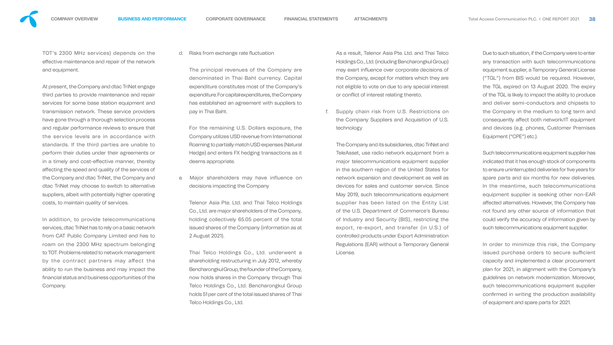

TOT's 2300 MHz services) depends on the effective maintenance and repair of the network and equipment.

At present, the Company and dtac TriNet engage third parties to provide maintenance and repair services for some base station equipment and transmission network. These service providers have gone through a thorough selection process and regular performance reviews to ensure that the service levels are in accordance with standards. If the third parties are unable to perform their duties under their agreements or in a timely and cost-effective manner, thereby affecting the speed and quality of the services of the Company and dtac TriNet, the Company and dtac TriNet may choose to switch to alternative suppliers, albeit with potentially higher operating costs, to maintain quality of services.

In addition, to provide telecommunications services, dtac TriNet has to rely on a basic network from CAT Public Company Limited and has to roam on the 2300 MHz spectrum belonging to TOT. Problems related to network management by the contract partners may affect the ability to run the business and may impact the nancial status and business opportunities of the Company.

d. Risks from exchange rate fluctuation

As a result, Telenor Asia Pte. Ltd. and Thai Telco Holdings Co., Ltd. (including Bencharongkul Group) may exert influence over corporate decisions of the Company, except for matters which they are not eligible to vote on due to any special interest or conflict of interest relating thereto.

The principal revenues of the Company are denominated in Thai Baht currency. Capital expenditure constitutes most of the Company's expenditure. For capital expenditures, the Company has established an agreement with suppliers to pay in Thai Baht.

For the remaining U.S. Dollars exposure, the Company utilizes USD revenue from International Roaming to partially match USD expenses (Natural Hedge) and enters FX hedging transactions as it deems appropriate.

e. Major shareholders may have influence on decisions impacting the Company

Telenor Asia Pte. Ltd. and Thai Telco Holdings Co., Ltd. are major shareholders of the Company, holding collectively 65.05 percent of the total issued shares of the Company (information as at 2 August 2021).

Thai Telco Holdings Co., Ltd. underwent a shareholding restructuring in July 2012, whereby Bencharongkul Group, the founder of the Company, now holds shares in the Company through Thai Telco Holdings Co., Ltd. Bencharongkul Group holds 51 per cent of the total issued shares of Thai Telco Holdings Co., Ltd.

f. Supply chain risk from U.S. Restrictions on the Company Suppliers and Acquisition of U.S. technology

The Company and its subsidiaries, dtac TriNet and TeleAsset, use radio network equipment from a major telecommunications equipment supplier in the southern region of the United States for network expansion and development as well as devices for sales and customer service. Since May 2019, such telecommunications equipment supplier has been listed on the Entity List of the U.S. Department of Commerce's Bureau of Industry and Security (BIS), restricting the export, re-export, and transfer (in U.S.) of controlled products under Export Administration Regulations (EAR) without a Temporary General License.

Due to such situation, if the Company were to enter any transaction with such telecommunications equipment supplier, a Temporary General License ("TGL") from BIS would be required. However, the TGL expired on 13 August 2020. The expiry of the TGL is likely to impact the ability to produce and deliver semi-conductors and chipsets to the Company in the medium to long term and consequently affect both network/IT equipment and devices (e.g. phones, Customer Premises Equipment ("CPE") etc.).

Such telecommunications equipment supplier has indicated that it has enough stock of components to ensure uninterrupted deliveries for five years for spare parts and six months for new deliveries. In the meantime, such telecommunications equipment supplier is seeking other non-EAR affected alternatives. However, the Company has not found any other source of information that could verify the accuracy of information given by such telecommunications equipment supplier.

In order to minimize this risk, the Company issued purchase orders to secure sufficient capacity and implemented a clear procurement plan for 2021, in alignment with the Company's guidelines on network modernization. Moreover, such telecommunications equipment supplier confirmed in writing the production availability of equipment and spare parts for 2021.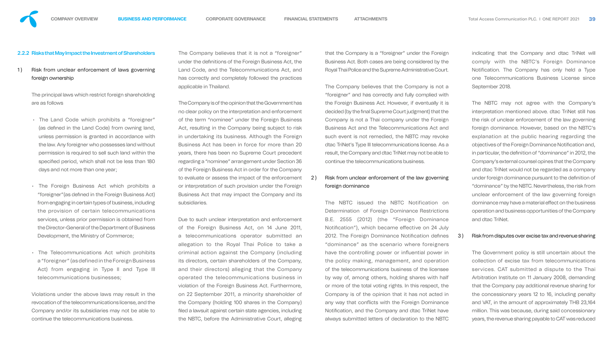## 2.2.2 Risks that May Impact the Investment of Shareholders

1) Risk from unclear enforcement of laws governing foreign ownership

> The principal laws which restrict foreign shareholding are as follows

- The Land Code which prohibits a "foreigner" (as defined in the Land Code) from owning land, unless permission is granted in accordance with the law. Any foreigner who possesses land without permission is required to sell such land within the specified period, which shall not be less than 180 days and not more than one year;
- The Foreign Business Act which prohibits a "foreigner" (as defined in the Foreign Business Act) from engaging in certain types of business, including the provision of certain telecommunications services, unless prior permission is obtained from the Director-General of the Department of Business Development, the Ministry of Commerce;
- The Telecommunications Act which prohibits a "foreigner" (as defined in the Foreign Business Act) from engaging in Type II and Type III telecommunications businesses;

Violations under the above laws may result in the revocation of the telecommunications license, and the Company and/or its subsidiaries may not be able to continue the telecommunications business.

The Company believes that it is not a "foreigner" under the definitions of the Foreign Business Act, the Land Code, and the Telecommunications Act, and has correctly and completely followed the practices applicable in Thailand.

## 2) Risk from unclear enforcement of the law governing foreign dominance

The Company is of the opinion that the Government has no clear policy on the interpretation and enforcement of the term "nominee" under the Foreign Business Act, resulting in the Company being subject to risk in undertaking its business. Although the Foreign Business Act has been in force for more than 20 years, there has been no Supreme Court precedent regarding a "nominee" arrangement under Section 36 of the Foreign Business Act in order for the Company to evaluate or assess the impact of the enforcement or interpretation of such provision under the Foreign Business Act that may impact the Company and its subsidiaries.

Due to such unclear interpretation and enforcement of the Foreign Business Act, on 14 June 2011, a telecommunications operator submitted an allegation to the Royal Thai Police to take a criminal action against the Company (including its directors, certain shareholders of the Company, and their directors) alleging that the Company operated the telecommunications business in violation of the Foreign Business Act. Furthermore, on 22 September 2011, a minority shareholder of the Company (holding 100 shares in the Company) filed a lawsuit against certain state agencies, including the NBTC, before the Administrative Court, alleging that the Company is a "foreigner" under the Foreign Business Act. Both cases are being considered by the Royal Thai Police and the Supreme Administrative Court.

The Company believes that the Company is not a "foreigner" and has correctly and fully complied with the Foreign Business Act. However, if eventually it is decided (by the final Supreme Court judgment) that the Company is not a Thai company under the Foreign Business Act and the Telecommunications Act and such event is not remedied, the NBTC may revoke dtac TriNet's Type III telecommunications license. As a result, the Company and dtac TriNet may not be able to continue the telecommunications business.

The NBTC issued the NBTC Notification on Determination of Foreign Dominance Restrictions B.E. 2555 (2012) (the "Foreign Dominance Notification"), which became effective on 24 July 2012. The Foreign Dominance Notification defines "dominance" as the scenario where foreigners have the controlling power or influential power in the policy making, management, and operation of the telecommunications business of the licensee by way of, among others, holding shares with half or more of the total voting rights. In this respect, the Company is of the opinion that it has not acted in any way that conflicts with the Foreign Dominance Notification, and the Company and dtac TriNet have always submitted letters of declaration to the NBTC

indicating that the Company and dtac TriNet will comply with the NBTC's Foreign Dominance Notification. The Company has only held a Type one Telecommunications Business License since September 2018.

The NBTC may not agree with the Company's interpretation mentioned above. dtac TriNet still has the risk of unclear enforcement of the law governing foreign dominance. However, based on the NBTC's explanation at the public hearing regarding the objectives of the Foreign Dominance Notification and, in particular, the definition of "dominance" in 2012, the Company's external counsel opines that the Company and dtac TriNet would not be regarded as a company under foreign dominance pursuant to the definition of "dominance" by the NBTC. Nevertheless, the risk from unclear enforcement of the law governing foreign dominance may have a material effect on the business operation and business opportunities of the Company and dtac TriNet.

## 3 ) Risk from disputes over excise tax and revenue sharing

The Government policy is still uncertain about the collection of excise tax from telecommunications services. CAT submitted a dispute to the Thai Arbitration Institute on 11 January 2008, demanding that the Company pay additional revenue sharing for the concessionary years 12 to 16, including penalty and VAT, in the amount of approximately THB 23,164 million. This was because, during said concessionary years, the revenue sharing payable to CAT was reduced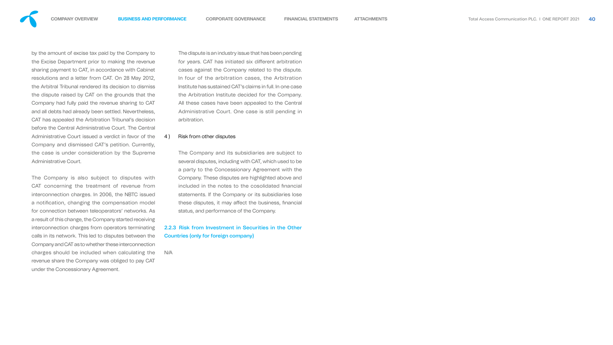

by the amount of excise tax paid by the Company to the Excise Department prior to making the revenue sharing payment to CAT, in accordance with Cabinet resolutions and a letter from CAT. On 28 May 2012, the Arbitral Tribunal rendered its decision to dismiss the dispute raised by CAT on the grounds that the Company had fully paid the revenue sharing to CAT and all debts had already been settled. Nevertheless, CAT has appealed the Arbitration Tribunal's decision before the Central Administrative Court. The Central Administrative Court issued a verdict in favor of the Company and dismissed CAT's petition. Currently, the case is under consideration by the Supreme Administrative Court.

The Company is also subject to disputes with CAT concerning the treatment of revenue from interconnection charges. In 2006, the NBTC issued a notification, changing the compensation model for connection between teleoperators' networks. As a result of this change, the Company started receiving interconnection charges from operators terminating calls in its network. This led to disputes between the Company and CAT as to whether these interconnection charges should be included when calculating the revenue share the Company was obliged to pay CAT under the Concessionary Agreement.

The dispute is an industry issue that has been pending for years. CAT has initiated six different arbitration cases against the Company related to the dispute. In four of the arbitration cases, the Arbitration Institute has sustained CAT's claims in full. In one case the Arbitration Institute decided for the Company. All these cases have been appealed to the Central Administrative Court. One case is still pending in arbitration.

## 4) Risk from other disputes

The Company and its subsidiaries are subject to several disputes, including with CAT, which used to be a party to the Concessionary Agreement with the Company. These disputes are highlighted above and included in the notes to the cosolidated financial statements. If the Company or its subsidiaries lose these disputes, it may affect the business, financial status, and performance of the Company.

## 2.2.3 Risk from Investment in Securities in the Other Countries (only for foreign company)

N/A

- 
- 
- 
- 
- 
- 
- 
- 

- 
- 
- 
- 
- 
- 
- 
- 

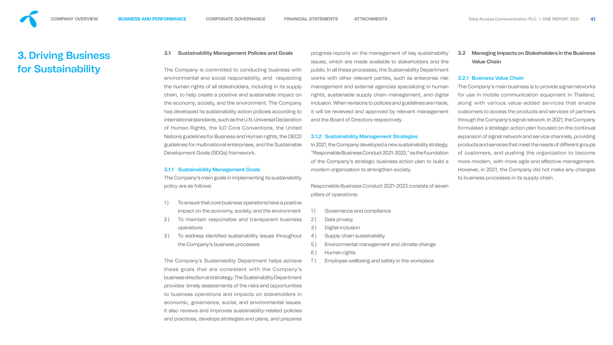# <span id="page-24-0"></span>**3.** Driving Business for Sustainability

## **3.1 Sustainability Management Policies and Goal**

The Company is committed to conducting business environmental and social responsibility, and respe the human rights of all stakeholders, including in its s chain, to help create a positive and sustainable impa the economy, society, and the environment. The Company has developed its sustainability action policies accord international standards, such as the U.N. Universal Decla of Human Rights, the ILO Core Conventions, the U Nations guidelines for Business and Human rights, the guidelines for multinational enterprises, and the Sustai Development Goals (SDGs) framework.

The Company's main goals in implementing its sustaina policy are as follows:

- 1) To ensure that core business operations have a position impact on the economy, society, and the environ
- 2) To maintain responsible and transparent business operations
- 3) To address identified sustainability issues through the Company's business processes

## 3.1.1 Sustainability Management Goals

The Company's Sustainability Department helps ac these goals that are consistent with the Company's business direction and strategy. The Sustainability Depart provides timely assessments of the risks and opportu to business operations and impacts on stakeholders in economic, governance, social, and environmental issues. It also reviews and improves sustainability-related policies and practices, develops strategies and plans, and prepares

| lls                   |    | progress reports on the management of key sustainability<br>issues, which are made available to stakeholders and the | 3.             |  |
|-----------------------|----|----------------------------------------------------------------------------------------------------------------------|----------------|--|
| s with                |    | public. In all these processes, the Sustainability Department                                                        |                |  |
| ecting                |    | works with other relevant parties, such as enterprise risk                                                           | 3.             |  |
| supply                |    | management and external agencies specializing in human                                                               | Tł             |  |
| act on                |    |                                                                                                                      | fc             |  |
|                       |    | rights, sustainable supply chain management, and digital                                                             |                |  |
| npany                 |    | inclusion. When revisions to policies and guidelines are made,                                                       | a <sub>l</sub> |  |
| ling to               |    | it will be reviewed and approved by relevant management                                                              | C(             |  |
| ration<br>Jnited      |    | and the Board of Directors respectively.                                                                             | th<br>fc       |  |
| OECD                  |    | <b>3.1.2 Sustainability Management Strategies</b>                                                                    | $\Theta$       |  |
| inable                |    | In 2021, the Company developed a new sustainability strategy,                                                        | $\mathsf{D}$   |  |
|                       |    | "Responsible Business Conduct 2021-2023," as the foundation                                                          |                |  |
|                       |    | of the Company's strategic business action plan to build a                                                           | $\circ$<br>m   |  |
|                       |    | modern organization to strengthen society.                                                                           | H              |  |
| ability               |    |                                                                                                                      |                |  |
|                       |    |                                                                                                                      | tc             |  |
|                       |    | Responsible Business Conduct 2021-2023 consists of seven                                                             |                |  |
|                       |    | pillars of operations:                                                                                               |                |  |
| psitive               |    |                                                                                                                      |                |  |
| ıment                 | 1) | Governance and compliance                                                                                            |                |  |
| siness                | 2) | Data privacy                                                                                                         |                |  |
|                       | 3) | Digital inclusion                                                                                                    |                |  |
| ghout                 | 4) | Supply chain sustainability                                                                                          |                |  |
|                       | 5) | Environmental management and climate change                                                                          |                |  |
|                       | 6) | Human rights                                                                                                         |                |  |
| chieve                | 7) | Employee wellbeing and safety in the workplace                                                                       |                |  |
| any's                 |    |                                                                                                                      |                |  |
| tment                 |    |                                                                                                                      |                |  |
| <i><b>inities</b></i> |    |                                                                                                                      |                |  |

- 
- 
- 
- 

**3.2 Managing Impacts on Stakeholders in the Business Value Chain**

## 3.2.1 Business Value Chain

he Company's main business is to provide signal networks or use in mobile communication equipment in Thailand, long with various value-added services that enable ustomers to access the products and services of partners hrough the Company's signal network. In 2021, the Company ormulated a strategic action plan focused on the continual expansion of signal network and service channels, providing roducts and services that meet the needs of different groups customers, and pushing the organization to become nore modern, with more agile and effective management. lowever, in 2021, the Company did not make any changes o business processes in its supply chain.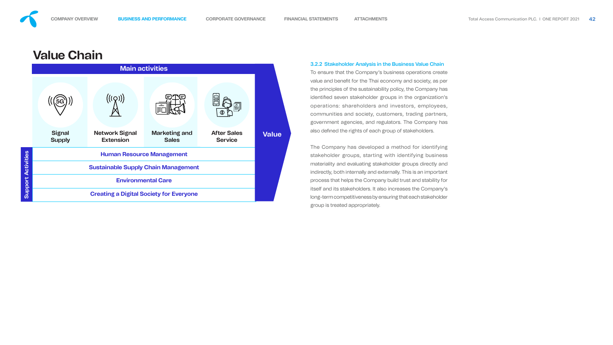# **Value Chain**



To ensure that the Company's business operations create value and benefit for the Thai economy and society, as per the principles of the sustainability policy, the Company has identified seven stakeholder groups in the organization's operations: shareholders and investors, employees, communities and society, customers, trading partners, government agencies, and regulators. The Company has also defined the rights of each group of stakeholders.

## 3.2.2 Stakeholder Analysis in the Business Value Chain

The Company has developed a method for identifying stakeholder groups, starting with identifying business materiality and evaluating stakeholder groups directly and indirectly, both internally and externally. This is an important process that helps the Company build trust and stability for itself and its stakeholders. It also increases the Company's long-term competitiveness by ensuring that each stakeholder group is treated appropriately.

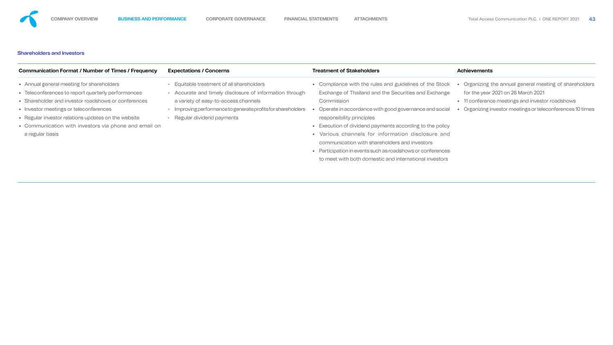## Shareholders and Investors

| <b>Communication Format / Number of Times / Frequency</b>                                                                                                                                                                                                                                                                           | <b>Expectations / Concerns</b>                                                                                                                                                                                                      | <b>Treatment of Stakeholders</b>                                                                                                                                                                                                                                                                                                                                                                                                                                                                            | <b>Achievements</b>                                                                                                                                                                        |
|-------------------------------------------------------------------------------------------------------------------------------------------------------------------------------------------------------------------------------------------------------------------------------------------------------------------------------------|-------------------------------------------------------------------------------------------------------------------------------------------------------------------------------------------------------------------------------------|-------------------------------------------------------------------------------------------------------------------------------------------------------------------------------------------------------------------------------------------------------------------------------------------------------------------------------------------------------------------------------------------------------------------------------------------------------------------------------------------------------------|--------------------------------------------------------------------------------------------------------------------------------------------------------------------------------------------|
| • Annual general meeting for shareholders<br>• Teleconferences to report quarterly performances<br>• Shareholder and investor roadshows or conferences<br>• Investor meetings or teleconferences<br>• Regular investor relations updates on the website<br>• Communication with investors via phone and email on<br>a regular basis | Equitable treatment of all shareholders<br>Accurate and timely disclosure of information through<br>a variety of easy-to-access channels<br>Improving performance to generate profits for shareholders<br>Regular dividend payments | Compliance with the rules and guidelines of the Stock<br>Exchange of Thailand and the Securities and Exchange<br>Commission<br>Operate in accordance with good governance and social<br>responsibility principles<br>• Execution of dividend payments according to the policy<br>• Various channels for information disclosure and<br>communication with shareholders and investors<br>• Participation in events such as roadshows or conferences<br>to meet with both domestic and international investors | Organizing the annual general meeting of share<br>for the year 2021 on 26 March 2021<br>• 11 conference meetings and investor roadshows<br>Organizing investor meetings or teleconferences |
|                                                                                                                                                                                                                                                                                                                                     |                                                                                                                                                                                                                                     |                                                                                                                                                                                                                                                                                                                                                                                                                                                                                                             |                                                                                                                                                                                            |





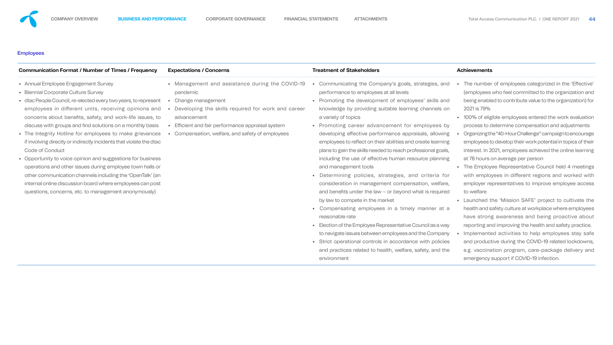## **Employees**

**•** The Employee Representative Council held 4 meetings ked with e access

*ivate the* mployees ve about practice.  $\frac{1}{2}$ **i**stay safe ckdowns, very and

*<u>Effective'</u>* ation and ation) for

**• valuation** itments *ncourage* cs of their e learning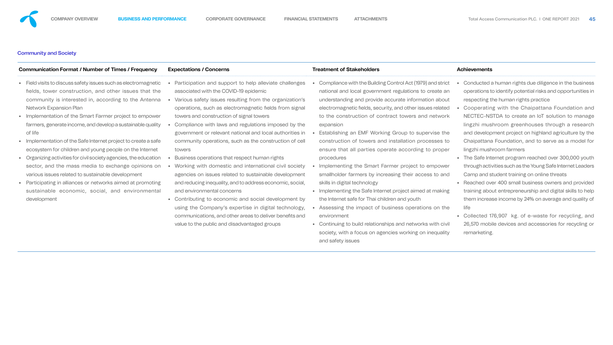## Community and Society

**•** Cooperating with the Chaipattana Foundation and o manage research ure by the model for

**000 youth** et Leaders

**h** provided ills to help l quality of

**•** Collected 176,907 kg. of e-waste for recycling, and excling or

| <b>Communication Format / Number of Times / Frequency</b>                                                                                                                                                                                                                                                                                                                                                                                                                                                                                                                                                                                                                                                                                                                                            | <b>Expectations / Concerns</b>                                                                                                                                                                                                                                                                                                                                                                                                                                                                                                                                                                                                                                                                                                                                                                                                                                                                                                                   | <b>Treatment of Stakeholders</b>                                                                                                                                                                                                                                                                                                                                                                                                                                                                                                                                                                                                                                                                                                                                                                                                                                                                                                                                               | <b>Achievements</b>                                                                                                                                                                                                                                                                                                                                                                                                                                                                                                                                                                                                                                                                                                                                                                                                                                |
|------------------------------------------------------------------------------------------------------------------------------------------------------------------------------------------------------------------------------------------------------------------------------------------------------------------------------------------------------------------------------------------------------------------------------------------------------------------------------------------------------------------------------------------------------------------------------------------------------------------------------------------------------------------------------------------------------------------------------------------------------------------------------------------------------|--------------------------------------------------------------------------------------------------------------------------------------------------------------------------------------------------------------------------------------------------------------------------------------------------------------------------------------------------------------------------------------------------------------------------------------------------------------------------------------------------------------------------------------------------------------------------------------------------------------------------------------------------------------------------------------------------------------------------------------------------------------------------------------------------------------------------------------------------------------------------------------------------------------------------------------------------|--------------------------------------------------------------------------------------------------------------------------------------------------------------------------------------------------------------------------------------------------------------------------------------------------------------------------------------------------------------------------------------------------------------------------------------------------------------------------------------------------------------------------------------------------------------------------------------------------------------------------------------------------------------------------------------------------------------------------------------------------------------------------------------------------------------------------------------------------------------------------------------------------------------------------------------------------------------------------------|----------------------------------------------------------------------------------------------------------------------------------------------------------------------------------------------------------------------------------------------------------------------------------------------------------------------------------------------------------------------------------------------------------------------------------------------------------------------------------------------------------------------------------------------------------------------------------------------------------------------------------------------------------------------------------------------------------------------------------------------------------------------------------------------------------------------------------------------------|
| • Field visits to discuss safety issues such as electromagnetic<br>fields, tower construction, and other issues that the<br>community is interested in, according to the Antenna<br><b>Network Expansion Plan</b><br>• Implementation of the Smart Farmer project to empower<br>farmers, generate income, and develop a sustainable quality<br>of life<br>• Implementation of the Safe Internet project to create a safe<br>ecosystem for children and young people on the Internet<br>• Organizing activities for civil society agencies, the education<br>sector, and the mass media to exchange opinions on<br>various issues related to sustainable development<br>• Participating in alliances or networks aimed at promoting<br>sustainable economic, social, and environmental<br>development | Participation and support to help alleviate challenges<br>associated with the COVID-19 epidemic<br>Various safety issues resulting from the organization's<br>operations, such as electromagnetic fields from signal<br>towers and construction of signal towers<br>Compliance with laws and regulations imposed by the<br>government or relevant national and local authorities in<br>community operations, such as the construction of cell<br>towers<br>Business operations that respect human rights<br>Working with domestic and international civil society<br>agencies on issues related to sustainable development<br>and reducing inequality, and to address economic, social,<br>and environmental concerns<br>• Contributing to economic and social development by<br>using the Company's expertise in digital technology,<br>communications, and other areas to deliver benefits and<br>value to the public and disadvantaged groups | Compliance with the Building Control Act (1979) and strict<br>national and local government regulations to create an<br>understanding and provide accurate information about<br>electromagnetic fields, security, and other issues related<br>to the construction of contract towers and network<br>expansion<br>Establishing an EMF Working Group to supervise the<br>construction of towers and installation processes to<br>ensure that all parties operate according to proper<br>procedures<br>Implementing the Smart Farmer project to empower<br>smallholder farmers by increasing their access to and<br>skills in digital technology<br>• Implementing the Safe Internet project aimed at making<br>the Internet safe for Thai children and youth<br>Assessing the impact of business operations on the<br>environment<br>• Continuing to build relationships and networks with civil<br>society, with a focus on agencies working on inequality<br>and safety issues | Conducted a human rights due diligence in the<br>operations to identify potential risks and opport<br>respecting the human rights practice<br>Cooperating with the Chaipattana Foundat<br>NECTEC-NSTDA to create an IoT solution to<br>lingzhi mushroom greenhouses through a r<br>and development project on highland agricultured<br>Chaipattana Foundation, and to serve as a m<br>lingzhi mushroom farmers<br>• The Safe Internet program reached over 300,0<br>through activities such as the Young Safe Internet<br>Camp and student training on online threats<br>• Reached over 400 small business owners and<br>training about entrepreneurship and digital skill<br>them increase income by 24% on average and<br>life<br>• Collected 176,907 kg. of e-waste for recycl<br>26,570 mobile devices and accessories for rec<br>remarketing. |



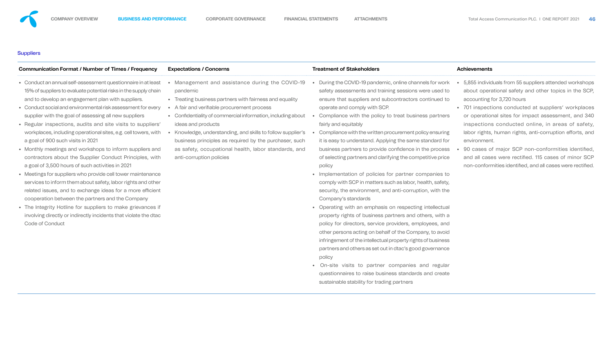## **Suppliers**

| <b>Communication Format / Number of Times / Frequency</b>                                                                                                                                                                                                                                                                                                                                                                                                                                                                                                                                                                                                                                                                                                                                                                                                                                                                                                                                                                                                                   | <b>Expectations / Concerns</b>                                                                                                                                                                                                                                                                                                                                                                                                                                     | <b>Treatment of Stakeholders</b>                                                                                                                                                                                                                                                                                                                                                                                                                                                                                                                                                                                                                                                                                                                                                                                                                                                                                                                                                                                                                                                                                                                                                                                                                                                                          | <b>Achievements</b>                                                                                                                                                                                                                                                                                                                                                                                                                                                                               |
|-----------------------------------------------------------------------------------------------------------------------------------------------------------------------------------------------------------------------------------------------------------------------------------------------------------------------------------------------------------------------------------------------------------------------------------------------------------------------------------------------------------------------------------------------------------------------------------------------------------------------------------------------------------------------------------------------------------------------------------------------------------------------------------------------------------------------------------------------------------------------------------------------------------------------------------------------------------------------------------------------------------------------------------------------------------------------------|--------------------------------------------------------------------------------------------------------------------------------------------------------------------------------------------------------------------------------------------------------------------------------------------------------------------------------------------------------------------------------------------------------------------------------------------------------------------|-----------------------------------------------------------------------------------------------------------------------------------------------------------------------------------------------------------------------------------------------------------------------------------------------------------------------------------------------------------------------------------------------------------------------------------------------------------------------------------------------------------------------------------------------------------------------------------------------------------------------------------------------------------------------------------------------------------------------------------------------------------------------------------------------------------------------------------------------------------------------------------------------------------------------------------------------------------------------------------------------------------------------------------------------------------------------------------------------------------------------------------------------------------------------------------------------------------------------------------------------------------------------------------------------------------|---------------------------------------------------------------------------------------------------------------------------------------------------------------------------------------------------------------------------------------------------------------------------------------------------------------------------------------------------------------------------------------------------------------------------------------------------------------------------------------------------|
| Conduct an annual self-assessment questionnaire in at least<br>15% of suppliers to evaluate potential risks in the supply chain<br>and to develop an engagement plan with suppliers.<br>• Conduct social and environmental risk assessment for every<br>supplier with the goal of assessing all new suppliers<br>Regular inspections, audits and site visits to suppliers'<br>workplaces, including operational sites, e.g. cell towers, with<br>a goal of 900 such visits in 2021<br>• Monthly meetings and workshops to inform suppliers and<br>contractors about the Supplier Conduct Principles, with<br>a goal of 3,500 hours of such activities in 2021<br>• Meetings for suppliers who provide cell tower maintenance<br>services to inform them about safety, labor rights and other<br>related issues, and to exchange ideas for a more efficient<br>cooperation between the partners and the Company<br>• The Integrity Hotline for suppliers to make grievances if<br>involving directly or indirectly incidents that violate the dtac<br><b>Code of Conduct</b> | Management and assistance during the COVID-19<br>pandemic<br>• Treating business partners with fairness and equality<br>A fair and verifiable procurement process<br>• Confidentiality of commercial information, including about<br>ideas and products<br>Knowledge, understanding, and skills to follow supplier's<br>business principles as required by the purchaser, such<br>as safety, occupational health, labor standards, and<br>anti-corruption policies | During the COVID-19 pandemic, online channels for work<br>safety assessments and training sessions were used to<br>ensure that suppliers and subcontractors continued to<br>operate and comply with SCP.<br>Compliance with the policy to treat business partners<br>fairly and equitably<br>Compliance with the written procurement policy ensuring<br>it is easy to understand. Applying the same standard for<br>business partners to provide confidence in the process<br>of selecting partners and clarifying the competitive price<br>policy<br>• Implementation of policies for partner companies to<br>comply with SCP in matters such as labor, health, safety,<br>security, the environment, and anti-corruption, with the<br>Company's standards<br>• Operating with an emphasis on respecting intellectual<br>property rights of business partners and others, with a<br>policy for directors, service providers, employees, and<br>other persons acting on behalf of the Company, to avoid<br>infringement of the intellectual property rights of business<br>partners and others as set out in dtac's good governance<br>policy<br>• On-site visits to partner companies and regular<br>questionnaires to raise business standards and create<br>sustainable stability for trading partners | 5,855 individuals from 55 suppliers attended wo<br>about operational safety and other topics in<br>accounting for 3,720 hours<br>• 701 inspections conducted at suppliers' wor<br>or operational sites for impact assessment,<br>inspections conducted online, in areas of<br>labor rights, human rights, anti-corruption effor-<br>environment.<br>90 cases of major SCP non-conformities id<br>and all cases were rectified. 115 cases of mi<br>non-conformities identified, and all cases were |





e rectified.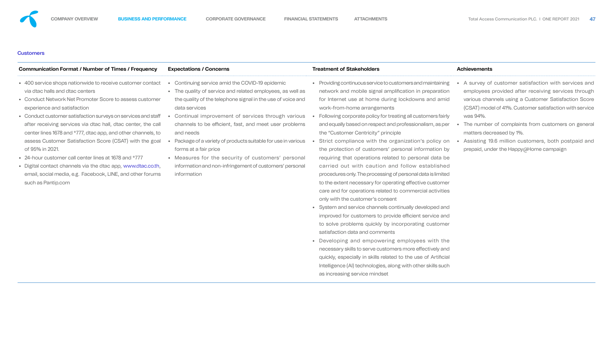## **Customers**

| <b>Communication Format / Number of Times / Frequency</b>                                                                                                                                                                                                                                                                                                                                                                                                                                                                                                                                                                                                                            | <b>Expectations / Concerns</b>                                                                                                                                                                                                                                                                                                                                                                                                                                                                                                                   | <b>Treatment of Stakeholders</b>                                                                                                                                                                                                                                                                                                                                                                                                                                                                                                                                                                                                                                                                                                                                                                                                                                                                                                                                                                                                                                                                                                                                                                                                                                                                                                    | <b>Achievements</b>                                                                                                                                                                                                                                                                                                                                                                  |
|--------------------------------------------------------------------------------------------------------------------------------------------------------------------------------------------------------------------------------------------------------------------------------------------------------------------------------------------------------------------------------------------------------------------------------------------------------------------------------------------------------------------------------------------------------------------------------------------------------------------------------------------------------------------------------------|--------------------------------------------------------------------------------------------------------------------------------------------------------------------------------------------------------------------------------------------------------------------------------------------------------------------------------------------------------------------------------------------------------------------------------------------------------------------------------------------------------------------------------------------------|-------------------------------------------------------------------------------------------------------------------------------------------------------------------------------------------------------------------------------------------------------------------------------------------------------------------------------------------------------------------------------------------------------------------------------------------------------------------------------------------------------------------------------------------------------------------------------------------------------------------------------------------------------------------------------------------------------------------------------------------------------------------------------------------------------------------------------------------------------------------------------------------------------------------------------------------------------------------------------------------------------------------------------------------------------------------------------------------------------------------------------------------------------------------------------------------------------------------------------------------------------------------------------------------------------------------------------------|--------------------------------------------------------------------------------------------------------------------------------------------------------------------------------------------------------------------------------------------------------------------------------------------------------------------------------------------------------------------------------------|
| • 400 service shops nationwide to receive customer contact<br>via dtac halls and dtac centers<br>• Conduct Network Net Promoter Score to assess customer<br>experience and satisfaction<br>• Conduct customer satisfaction surveys on services and staff<br>after receiving services via dtac hall, dtac center, the call<br>center lines 1678 and *777, dtac app, and other channels, to<br>assess Customer Satisfaction Score (CSAT) with the goal<br>of 95% in 2021.<br>• 24-hour customer call center lines at 1678 and *777<br>• Digital contact channels via the dtac app, www.dtac.co.th,<br>email, social media, e.g. Facebook, LINE, and other forums<br>such as Pantip.com | Continuing service amid the COVID-19 epidemic<br>• The quality of service and related employees, as well as<br>the quality of the telephone signal in the use of voice and<br>data services<br>Continual improvement of services through various<br>channels to be efficient, fast, and meet user problems<br>and needs<br>Package of a variety of products suitable for use in various<br>forms at a fair price<br>• Measures for the security of customers' personal<br>information and non-infringement of customers' personal<br>information | • Providing continuous service to customers and maintaining<br>network and mobile signal amplification in preparation<br>for Internet use at home during lockdowns and amid<br>work-from-home arrangements<br>Following corporate policy for treating all customers fairly<br>and equally based on respect and professionalism, as per<br>the "Customer Centricity" principle<br>Strict compliance with the organization's policy on<br>the protection of customers' personal information by<br>requiring that operations related to personal data be<br>carried out with caution and follow established<br>procedures only. The processing of personal data is limited<br>to the extent necessary for operating effective customer<br>care and for operations related to commercial activities<br>only with the customer's consent<br>• System and service channels continually developed and<br>improved for customers to provide efficient service and<br>to solve problems quickly by incorporating customer<br>satisfaction data and comments<br>• Developing and empowering employees with the<br>necessary skills to serve customers more effectively and<br>quickly, especially in skills related to the use of Artificial<br>Intelligence (AI) technologies, along with other skills such<br>as increasing service mindset | A survey of customer satisfaction with serv<br>employees provided after receiving services<br>various channels using a Customer Satisfaction<br>(CSAT) model of 41%. Customer satisfaction wit<br>was 94%.<br>The number of complaints from customers or<br>matters decreased by 1%.<br>Assisting 19.6 million customers, both postposed<br>prepaid, under the Happy a Home campaign |



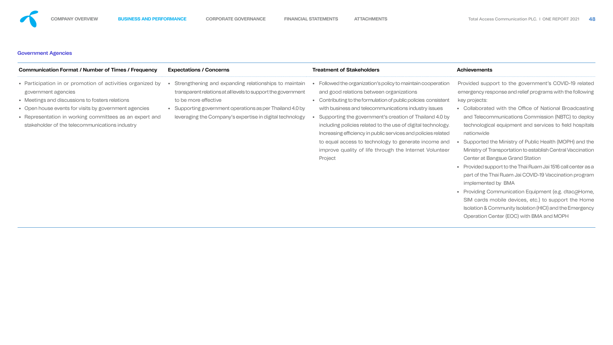## Government Agencies

| <b>Expectations / Concerns</b>                                                                                                                                                                                                                                                                                                                                                                   | <b>Treatment of Stakeholders</b>                                                                                                                                                                                                                                                                                                                                                                                                                                                                                                                           | <b>Achievements</b>                                                                                                                                                                                                                                                                                                                                                                                                                                                                                                                                                                                                                                                                                                                                                                                                   |
|--------------------------------------------------------------------------------------------------------------------------------------------------------------------------------------------------------------------------------------------------------------------------------------------------------------------------------------------------------------------------------------------------|------------------------------------------------------------------------------------------------------------------------------------------------------------------------------------------------------------------------------------------------------------------------------------------------------------------------------------------------------------------------------------------------------------------------------------------------------------------------------------------------------------------------------------------------------------|-----------------------------------------------------------------------------------------------------------------------------------------------------------------------------------------------------------------------------------------------------------------------------------------------------------------------------------------------------------------------------------------------------------------------------------------------------------------------------------------------------------------------------------------------------------------------------------------------------------------------------------------------------------------------------------------------------------------------------------------------------------------------------------------------------------------------|
| • Participation in or promotion of activities organized by<br>Strengthening and expanding relationships to maintain<br>transparent relations at all levels to support the government<br>to be more effective<br>• Supporting government operations as per Thailand 4.0 by<br>• Representation in working committees as an expert and<br>leveraging the Company's expertise in digital technology | Followed the organization's policy to maintain cooperation<br>and good relations between organizations<br>• Contributing to the formulation of public policies consistent<br>with business and telecommunications industry issues<br>Supporting the government's creation of Thailand 4.0 by<br>including policies related to the use of digital technology.<br>Increasing efficiency in public services and policies related<br>to equal access to technology to generate income and<br>improve quality of life through the Internet Volunteer<br>Project | Provided support to the government's COVID-19 related<br>emergency response and relief programs with the following<br>key projects:<br>• Collaborated with the Office of National Broadcasting<br>and Telecommunications Commission (NBTC) to deploy<br>technological equipment and services to field hospitals<br>nationwide<br>Supported the Ministry of Public Health (MOPH) and the<br>Ministry of Transportation to establish Central Vaccination<br>Center at Bangsue Grand Station<br>• Provided support to the Thai Ruam Jai 1516 call center as a<br>part of the Thai Ruam Jai COVID-19 Vaccination program<br>implemented by BMA<br>• Providing Communication Equipment (e.g. dtac@Home,<br>SIM cards mobile devices, etc.) to support the Home<br>Isolation & Community Isolation (HICI) and the Emergency |
|                                                                                                                                                                                                                                                                                                                                                                                                  |                                                                                                                                                                                                                                                                                                                                                                                                                                                                                                                                                            |                                                                                                                                                                                                                                                                                                                                                                                                                                                                                                                                                                                                                                                                                                                                                                                                                       |



Operation Center (EOC) with BMA and MOPH

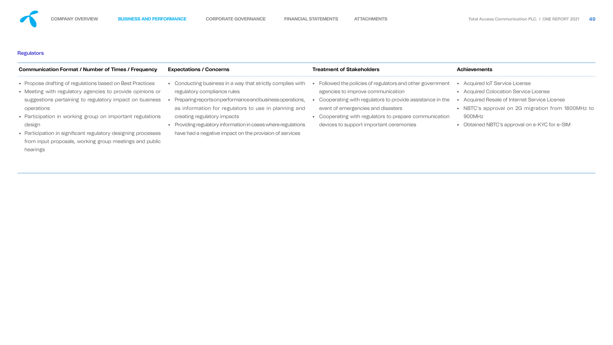## **Regulators**

| <b>Communication Format / Number of Times / Frequency</b>                                                                                                                                                                                                                                                                                                                                                      | <b>Expectations / Concerns</b>                                                                                                                                                                                                                                                                                                                                        | <b>Treatment of Stakeholders</b>                                                                                                                                                                                                                                                                     | <b>Achievements</b>                                                                                                                                                                                                                |
|----------------------------------------------------------------------------------------------------------------------------------------------------------------------------------------------------------------------------------------------------------------------------------------------------------------------------------------------------------------------------------------------------------------|-----------------------------------------------------------------------------------------------------------------------------------------------------------------------------------------------------------------------------------------------------------------------------------------------------------------------------------------------------------------------|------------------------------------------------------------------------------------------------------------------------------------------------------------------------------------------------------------------------------------------------------------------------------------------------------|------------------------------------------------------------------------------------------------------------------------------------------------------------------------------------------------------------------------------------|
| • Propose drafting of regulations based on Best Practices<br>• Meeting with regulatory agencies to provide opinions or<br>suggestions pertaining to regulatory impact on business<br>operations<br>• Participation in working group on important regulations<br>design<br>• Participation in significant regulatory designing processes<br>from input proposals, working group meetings and public<br>hearings | Conducting business in a way that strictly complies with<br>regulatory compliance rules<br>Preparing reports on performance and business operations,<br>as information for regulators to use in planning and<br>creating regulatory impacts<br>Providing regulatory information in cases where regulations<br>have had a negative impact on the provision of services | Followed the policies of regulators and other government<br>agencies to improve communication<br>Cooperating with regulators to provide assistance in the<br>event of emergencies and disasters<br>• Cooperating with regulators to prepare communication<br>devices to support important ceremonies | • Acquired IoT Service License<br>• Acquired Colocation Service License<br>• Acquired Resale of Internet Service License<br>• NBTC's approval on 2G migration from 1800<br>900MHz<br>• Obtained NBTC's approval on e-KYC for e-SIM |

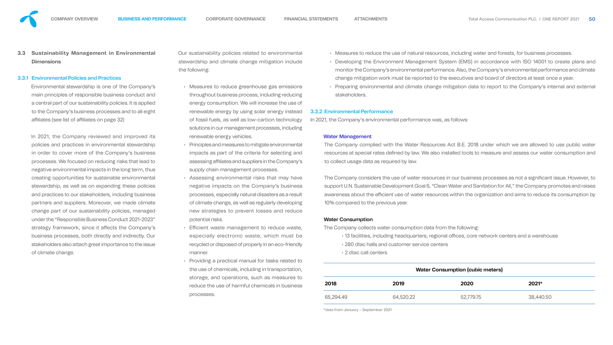

Environmental stewardship is one of the Company's main principles of responsible business conduct and a central part of our sustainability policies. It is applied to the Company's business processes and to all eight affiliates (see list of affiliates on page 32)

## 3.3.1 Environmental Policies and Practices

Our sustainability policies related to environm stewardship and climate change mitigation ine the following:

In 2021, the Company reviewed and improved its policies and practices in environmental stewardship in order to cover more of the Company's business processes. We focused on reducing risks that lead to negative environmental impacts in the long term, thus creating opportunities for sustainable environmental stewardship, as well as on expanding these policies and practices to our stakeholders, including business partners and suppliers. Moreover, we made climate change part of our sustainability policies, managed under the "Responsible Business Conduct 2021-2023" strategy framework, since it affects the Company's business processes, both directly and indirectly. Our stakeholders also attach great importance to the issue of climate change.

- Measures to reduce greenhouse gas emissenders throughout business process, including redu energy consumption. We will increase the use renewable energy by using solar energy instead of fossil fuels, as well as low-carbon techno solutions in our management processes, inclu renewable energy vehicles.
- $\cdot$  Principles and measures to mitigate environmental impacts as part of the criteria for selecting assessing affiliates and suppliers in the Comp supply chain management processes.
- Assessing environmental risks that may negative impacts on the Company's business processes, especially natural disasters as a of climate change, as well as regularly develd new strategies to prevent losses and reduce potential risks.
- Efficient waste management to reduce w especially electronic waste, which must recycled or disposed of properly in an eco-frie manner.
- Providing a practical manual for tasks related the use of chemicals, including in transportation, storage, and operations, such as measure reduce the use of harmful chemicals in busi processes.

|                        | 65,294.49                              | 64,520.22                                                                                                                                                          | 52,779.75                               | 38,440.50                                                                                                                                                                                                            |
|------------------------|----------------------------------------|--------------------------------------------------------------------------------------------------------------------------------------------------------------------|-----------------------------------------|----------------------------------------------------------------------------------------------------------------------------------------------------------------------------------------------------------------------|
| iness                  | 2018                                   | 2019                                                                                                                                                               | 2020                                    | 2021*                                                                                                                                                                                                                |
| ation,<br>es to        |                                        |                                                                                                                                                                    | <b>Water Consumption (cubic meters)</b> |                                                                                                                                                                                                                      |
| ed to                  |                                        |                                                                                                                                                                    |                                         |                                                                                                                                                                                                                      |
|                        | • 2 dtac call centers                  |                                                                                                                                                                    |                                         |                                                                                                                                                                                                                      |
| iendly                 |                                        | • 280 dtac halls and customer service centers                                                                                                                      |                                         |                                                                                                                                                                                                                      |
| aste,<br>st be         |                                        | The Company collects water consumption data from the following:<br>• 13 facilities, including headquarters, regional offices, core network centers and a warehouse |                                         |                                                                                                                                                                                                                      |
|                        | <b>Water Consumption</b>               |                                                                                                                                                                    |                                         |                                                                                                                                                                                                                      |
| duce                   |                                        |                                                                                                                                                                    |                                         |                                                                                                                                                                                                                      |
| oping                  | 10% compared to the previous year.     |                                                                                                                                                                    |                                         |                                                                                                                                                                                                                      |
| result                 |                                        |                                                                                                                                                                    |                                         | awareness about the efficient use of water resources within the organization and aims to reduce its consumption by                                                                                                   |
| iness                  |                                        |                                                                                                                                                                    |                                         | support U.N. Sustainable Development Goal 6, "Clean Water and Sanitation for All," the Company promotes and raises                                                                                                   |
| have                   |                                        |                                                                                                                                                                    |                                         | The Company considers the use of water resources in our business processes as not a significant issue. However, to                                                                                                   |
| any's                  |                                        | to collect usage data as required by law.                                                                                                                          |                                         |                                                                                                                                                                                                                      |
| g and                  |                                        |                                                                                                                                                                    |                                         | resources at special rates defined by law. We also installed tools to measure and assess our water consumption and                                                                                                   |
| าental                 |                                        |                                                                                                                                                                    |                                         | The Company complied with the Water Resources Act B.E. 2018 under which we are allowed to use public water                                                                                                           |
|                        | <b>Water Management</b>                |                                                                                                                                                                    |                                         |                                                                                                                                                                                                                      |
| uding                  |                                        |                                                                                                                                                                    |                                         |                                                                                                                                                                                                                      |
| ology                  |                                        | In 2021, the Company's environmental performance was, as follows:                                                                                                  |                                         |                                                                                                                                                                                                                      |
| <b>ise of</b><br>stead | <b>3.3.2 Environmental Performance</b> |                                                                                                                                                                    |                                         |                                                                                                                                                                                                                      |
| ucing                  | stakeholders.                          |                                                                                                                                                                    |                                         |                                                                                                                                                                                                                      |
| sions                  |                                        |                                                                                                                                                                    |                                         | • Preparing environmental and climate change mitigation data to report to the Company's internal and external                                                                                                        |
|                        |                                        |                                                                                                                                                                    |                                         | monitor the Company's environmental performance. Also, the Company's environmental performance and climate<br>change mitigation work must be reported to the executives and board of directors at least once a year. |
| clude                  |                                        |                                                                                                                                                                    |                                         | • Developing the Environment Management System (EMS) in accordance with ISO 14001 to create plans and                                                                                                                |
| ıental                 |                                        |                                                                                                                                                                    |                                         | • Measures to reduce the use of natural resources, including water and forests, for business processes.                                                                                                              |

\*data from January – September 2021









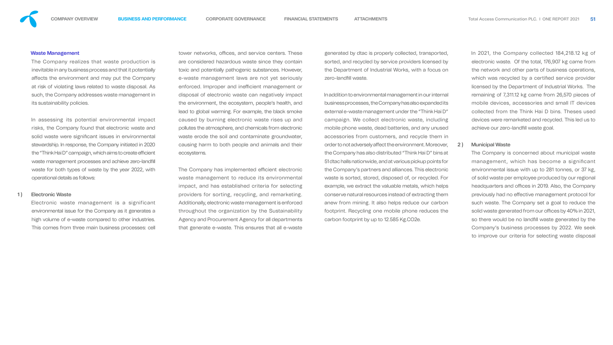

#### Waste Management

The Company realizes that waste production is inevitable in any business process and that it potentially affects the environment and may put the Company at risk of violating laws related to waste disposal. As such, the Company addresses waste management in its sustainability policies.

In assessing its potential environmental impact risks, the Company found that electronic waste and solid waste were significant issues in environmental stewardship. In response, the Company initiated in 2020 the "Think Hai D" campaign, which aims to create efficient waste management processes and achieve zero-landfill waste for both types of waste by the year 2022, with operational details as follows:

#### 1) Electronic Waste

tower networks, offices, and service centers. These are considered hazardous waste since they contain toxic and potentially pathogenic substances. However, e-waste management laws are not yet seriously enforced. Improper and inefficient management or disposal of electronic waste can negatively impact the environment, the ecosystem, people's health, and lead to global warming. For example, the black smoke caused by burning electronic waste rises up and pollutes the atmosphere, and chemicals from electronic waste erode the soil and contaminate groundwater, causing harm to both people and animals and their ecosystems.

Electronic waste management is a significant environmental issue for the Company as it generates a high volume of e-waste compared to other industries. This comes from three main business processes: cell

The Company has implemented efficient electronic waste management to reduce its environmental impact, and has established criteria for selecting providers for sorting, recycling, and remarketing. Additionally, electronic waste management is enforced throughout the organization by the Sustainability Agency and Procurement Agency for all departments that generate e-waste. This ensures that all e-waste

generated by dtac is properly collected, transported, sorted, and recycled by service providers licensed by the Department of Industrial Works, with a focus on zero-landfill waste.

In 2021, the Company collected 184,218.12 kg of electronic waste. Of the total, 176,907 kg came from the network and other parts of business operations, which was recycled by a certified service provider licensed by the Department of Industrial Works. The remaining of 7,311.12 kg came from 26,570 pieces of mobile devices, accessories and small IT devices collected from the Think Hai D bins. Theses used devices were remarketed and recycled. This led us to achieve our zero-landfill waste goal.

## 2) Municipal Waste

In addition to environmental management in our internal business processes, the Company has also expanded its external e-waste management under the "Think Hai D" campaign. We collect electronic waste, including mobile phone waste, dead batteries, and any unused accessories from customers, and recycle them in order to not adversely affect the environment. Moreover, the Company has also distributed "Think Hai D" bins at 51 dtac halls nationwide, and at various pickup points for the Company's partners and alliances. This electronic waste is sorted, stored, disposed of, or recycled. For example, we extract the valuable metals, which helps conserve natural resources instead of extracting them anew from mining. It also helps reduce our carbon footprint. Recycling one mobile phone reduces the carbon footprint by up to 12.585 Kg.CO2e.

The Company is concerned about municipal waste management, which has become a significant environmental issue with up to 281 tonnes, or 37 kg, of solid waste per employee produced by our regional headquarters and offices in 2019. Also, the Company previously had no effective management protocol for such waste. The Company set a goal to reduce the solid waste generated from our offices by 40% in 2021, so there would be no landfill waste generated by the Company's business processes by 2022. We seek to improve our criteria for selecting waste disposal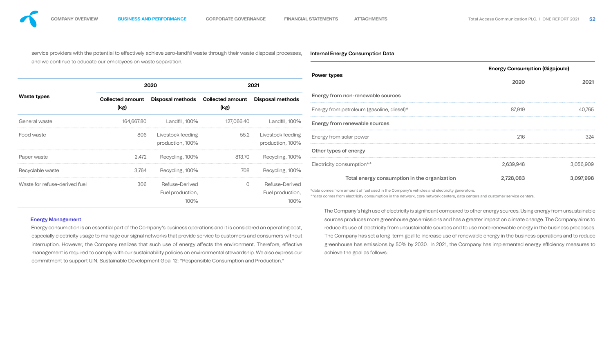service providers with the potential to effectively achieve zero-landfill waste through their waste disposal processes, and we continue to educate our employees on waste separation.

| and we continue to educate our employees on waste separation. |                                                   |                                                    |                                                                                               | <b>Energy Consumption (Gigajoule)</b>        |                    |                                                                                                                                                                                                                                        |  |
|---------------------------------------------------------------|---------------------------------------------------|----------------------------------------------------|-----------------------------------------------------------------------------------------------|----------------------------------------------|--------------------|----------------------------------------------------------------------------------------------------------------------------------------------------------------------------------------------------------------------------------------|--|
|                                                               |                                                   |                                                    |                                                                                               |                                              | 2020               | 2021                                                                                                                                                                                                                                   |  |
| <b>Collected amount</b>                                       | Disposal methods                                  | <b>Collected amount</b>                            | Disposal methods                                                                              | Energy from non-renewable sources            |                    |                                                                                                                                                                                                                                        |  |
| (kg)                                                          |                                                   | (kg)                                               |                                                                                               | Energy from petroleum (gasoline, diesel)*    | 87,919             | 40,765                                                                                                                                                                                                                                 |  |
|                                                               |                                                   |                                                    | Landfill, 100%                                                                                | Energy from renewable sources                |                    |                                                                                                                                                                                                                                        |  |
|                                                               |                                                   | 55.2                                               | Livestock feeding<br>production, 100%                                                         | Energy from solar power                      | 216                | 324                                                                                                                                                                                                                                    |  |
|                                                               |                                                   | 813.70                                             | Recycling, 100%                                                                               | Other types of energy                        |                    |                                                                                                                                                                                                                                        |  |
|                                                               |                                                   | 708                                                | Recycling, 100%                                                                               | Electricity consumption**                    |                    | 3,056,909                                                                                                                                                                                                                              |  |
|                                                               | <b>Refuse-Derived</b><br>Fuel production,<br>100% |                                                    | <b>Refuse-Derived</b><br>Fuel production,<br>100%                                             | Total energy consumption in the organization | 2,728,083          | 3,097,998                                                                                                                                                                                                                              |  |
|                                                               |                                                   | 2020<br>164,667.80<br>806<br>2,472<br>3,764<br>306 | Landfill, 100%<br>Livestock feeding<br>production, 100%<br>Recycling, 100%<br>Recycling, 100% | 2021<br>127,066.40<br>$\overline{O}$         | <b>Power types</b> | 2,639,948<br>*data comes from amount of fuel used in the Company's vehicles and electricity generators.<br>** data comes from electricity consumption in the network, core network centers, data centers and customer service centers. |  |

### Internal Energy Consumption Data





Energy Management Energy consumption is an essential part of the Company's business operations and it is considered an operating cost, especially electricity usage to manage our signal networks that provide service to customers and consumers without interruption. However, the Company realizes that such use of energy affects the environment. Therefore, effective management is required to comply with our sustainability policies on environmental stewardship. We also express our commitment to support U.N. Sustainable Development Goal 12: "Responsible Consumption and Production." The Company's high use of electricity is significant compared to other energy sources. Using energy from unsustainable sources produces more greenhouse gas emissions and has a greater impact on climate change. The Company aims to reduce its use of electricity from unsustainable sources and to use more renewable energy in the business processes. The Company has set a long-term goal to increase use of renewable energy in the business operations and to reduce greenhouse has emissions by 50% by 2030. In 2021, the Company has implemented energy efficiency measures to achieve the goal as follows: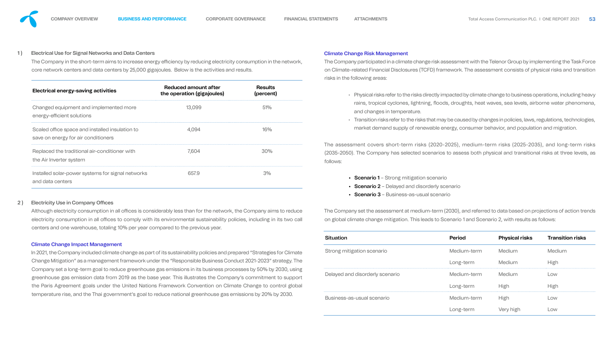

## 1) Electrical Use for Signal Networks and Data Centers

The Company in the short-term aims to increase energy efficiency by reducing electricity consumption in the netw core network centers and data centers by 25,000 gigajoules. Below is the activities and results.

| <b>Electrical energy-saving activities</b>                                             | Reduced amount after<br>the operation (gigajoules) | <b>Results</b><br>(percent) |
|----------------------------------------------------------------------------------------|----------------------------------------------------|-----------------------------|
| Changed equipment and implemented more<br>energy-efficient solutions                   | 13,099                                             | 51%                         |
| Scaled office space and installed insulation to<br>save on energy for air conditioners | 4.094                                              |                             |
| Replaced the traditional air-conditioner with<br>the Air Inverter system               | 7.604                                              |                             |
| Installed solar-power systems for signal networks<br>and data centers                  | 6579                                               |                             |

## 2) Electricity Use in Company Offices

Although electricity consumption in all offices is considerably less than for the network, the Company aims to red electricity consumption in all offices to comply with its environmental sustainability policies, including in its two centers and one warehouse, totaling 10% per year compared to the previous year.

In 2021, the Company included climate change as part of its sustainability policies and prepared "Strategies for Cli Change Mitigation" as a management framework under the "Responsible Business Conduct 2021-2023" strategy Company set a long-term goal to reduce greenhouse gas emissions in its business processes by 50% by 2030, greenhouse gas emission data from 2019 as the base year. This illustrates the Company's commitment to sup the Paris Agreement goals under the United Nations Framework Convention on Climate Change to control global temperature rise, and the Thai government's goal to reduce national greenhouse gas emissions by 20% by 2030.

## Climate Change Impact Management

| <b>Climate Change Risk Management</b>                                                                                                                                                                                                     |                                                                                                                                                                                                                             |                       |                         |  |  |
|-------------------------------------------------------------------------------------------------------------------------------------------------------------------------------------------------------------------------------------------|-----------------------------------------------------------------------------------------------------------------------------------------------------------------------------------------------------------------------------|-----------------------|-------------------------|--|--|
| The Company participated in a climate change risk assessment with the Telenor Group by implementing the Task Force<br>on Climate-related Financial Disclosures (TCFD) framework. The assessment consists of physical risks and transition |                                                                                                                                                                                                                             |                       |                         |  |  |
| risks in the following areas:                                                                                                                                                                                                             |                                                                                                                                                                                                                             |                       |                         |  |  |
|                                                                                                                                                                                                                                           | • Physical risks refer to the risks directly impacted by climate change to business operations, including heavy<br>rains, tropical cyclones, lightning, floods, droughts, heat waves, sea levels, airborne water phenomena, |                       |                         |  |  |
| and changes in temperature.                                                                                                                                                                                                               |                                                                                                                                                                                                                             |                       |                         |  |  |
|                                                                                                                                                                                                                                           | • Transition risks refer to the risks that may be caused by changes in policies, laws, regulations, technologies,<br>market demand supply of renewable energy, consumer behavior, and population and migration.             |                       |                         |  |  |
| The assessment covers short-term risks (2020-2025), medium-term risks (2025-2035), and long-term risks<br>(2035-2050). The Company has selected scenarios to assess both physical and transitional risks at three levels, as<br>follows:  |                                                                                                                                                                                                                             |                       |                         |  |  |
| • Scenario 1 – Strong mitigation scenario<br>• Scenario 2 – Delayed and disorderly scenario<br>• Scenario 3 – Business-as-usual scenario                                                                                                  |                                                                                                                                                                                                                             |                       |                         |  |  |
| The Company set the assessment at medium-term (2030), and referred to data based on projections of action trends<br>on global climate change mitigation. This leads to Scenario 1 and Scenario 2, with results as follows:                |                                                                                                                                                                                                                             |                       |                         |  |  |
| <b>Situation</b>                                                                                                                                                                                                                          | <b>Period</b>                                                                                                                                                                                                               | <b>Physical risks</b> | <b>Transition risks</b> |  |  |
| Strong mitigation scenario                                                                                                                                                                                                                | Medium-term                                                                                                                                                                                                                 | <b>Medium</b>         | Medium                  |  |  |
|                                                                                                                                                                                                                                           | Long-term                                                                                                                                                                                                                   | Medium                | <b>High</b>             |  |  |
| Delayed and disorderly scenario                                                                                                                                                                                                           | Medium-term                                                                                                                                                                                                                 | Medium                | Low                     |  |  |
|                                                                                                                                                                                                                                           | Long-term                                                                                                                                                                                                                   | <b>High</b>           | <b>High</b>             |  |  |
|                                                                                                                                                                                                                                           |                                                                                                                                                                                                                             |                       |                         |  |  |
| Business-as-usual scenario                                                                                                                                                                                                                | Medium-term                                                                                                                                                                                                                 | <b>High</b>           | Low                     |  |  |







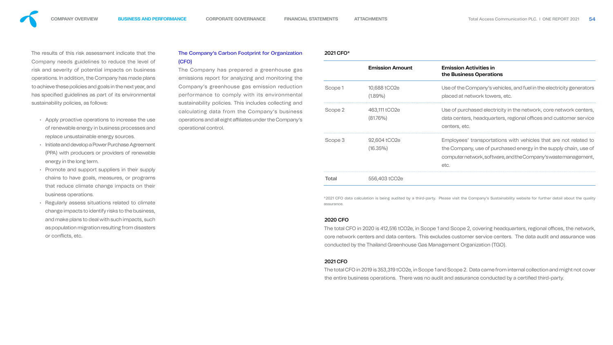

The results of this risk assessment indicate that the Company needs guidelines to reduce the level of risk and severity of potential impacts on business operations. In addition, the Company has made plans to achieve these policies and goals in the next year, and has specified guidelines as part of its environmental sustainability policies, as follows:

- Apply proactive operations to increase the use of renewable energy in business processes and replace unsustainable energy sources.
- Initiate and develop a Power Purchase Agreement (PPA) with producers or providers of renewable energy in the long term.
- Promote and support suppliers in their supply chains to have goals, measures, or programs that reduce climate change impacts on their business operations.
- Regularly assess situations related to climate change impacts to identify risks to the business, and make plans to deal with such impacts, such as population migration resulting from disasters or conflicts, etc.

## The Company's Carbon Footprint for Organization (CFO)

The Company has prepared a greenhouse gas emissions report for analyzing and monitoring the Company's greenhouse gas emission reduction performance to comply with its environmental sustainability policies. This includes collecting and calculating data from the Company's business operations and all eight affiliates under the Company's operational control.

The total CFO in 2020 is 412,516 tCO2e, in Scope 1 and Scope 2, covering headquarters, regional offices, the network, core network centers and data centers. This excludes customer service centers. The data audit and assurance was conducted by the Thailand Greenhouse Gas Management Organization (TGO).

The total CFO in 2019 is 353,319 tCO2e, in Scope 1 and Scope 2. Data came from internal collection and might not cover the entire business operations. There was no audit and assurance conducted by a certified third-party.

2021 CFO\*

|         | <b>Emission Amount</b>                   | <b>Emission Activities in</b><br>the Business Operations                                                                                                                                                        |
|---------|------------------------------------------|-----------------------------------------------------------------------------------------------------------------------------------------------------------------------------------------------------------------|
| Scope 1 | 10,688 tCO <sub>2</sub> e<br>$(1.89\%)$  | Use of the Company's vehicles, and fuel in the electricity generators<br>placed at network towers, etc.                                                                                                         |
| Scope 2 | 463,111 tCO2e<br>$(81.76\%)$             | Use of purchased electricity in the network, core network centers,<br>data centers, headquarters, regional offices and customer service<br>centers, etc.                                                        |
| Scope 3 | 92,604 tCO <sub>2</sub> e<br>$(16.35\%)$ | Employees' transportations with vehicles that are not related to<br>the Company, use of purchased energy in the supply chain, use of<br>computer network, software, and the Company's waste management,<br>etc. |
| Total   | 556,403 tCO2e                            |                                                                                                                                                                                                                 |







\*2021 CFO data calculation is being audited by a third-party. Please visit the Company's Sustainability website for further detail about the quality assurance.

## 2020 CFO

## 2021 CFO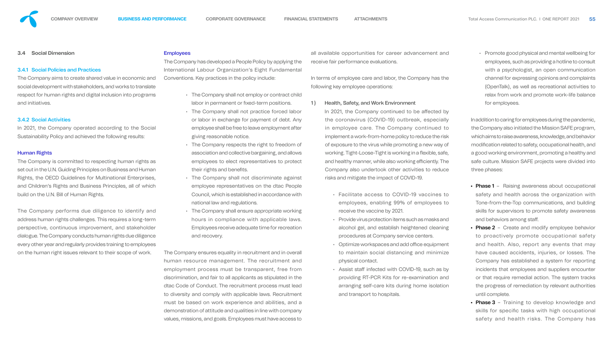## **3.4 Social Dimension**

## 3.4.1 Social Policies and Practices

The Company aims to create shared value in economic and social development with stakeholders, and works to translate respect for human rights and digital inclusion into programs and initiatives.

## 3.4.2 Social Activities

In 2021, the Company operated according to the Social Sustainability Policy and achieved the following results:

## Human Rights

The Company is committed to respecting human rights as set out in the U.N. Guiding Principles on Business and Human Rights, the OECD Guidelines for Multinational Enterprises, and Children's Rights and Business Principles, all of which build on the U.N. Bill of Human Rights.

The Company performs due diligence to identify and address human rights challenges. This requires a long-term perspective, continuous improvement, and stakeholder dialogue. The Company conducts human rights due diligence every other year and regularly provides training to employees on the human right issues relevant to their scope of work.

#### **Employees**

The Company has developed a People Policy by applying the International Labour Organization's Eight Fundamental Conventions. Key practices in the policy include:

> In 2021, the Company continued to be affected by the coronavirus (COVID-19) outbreak, especially in employee care. The Company continued to implement a work-from-home policy to reduce the risk of exposure to the virus while promoting a new way of working. Tight-Loose-Tight is working in a flexible, safe, and healthy manner, while also working efficiently. The Company also undertook other activities to reduce risks and mitigate the impact of COVID-19.

- The Company shall not employ or contract child labor in permanent or fixed-term positions.
- The Company shall not practice forced labor or labor in exchange for payment of debt. Any employee shall be free to leave employment after giving reasonable notice.
- The Company respects the right to freedom of association and collective bargaining, and allows employees to elect representatives to protect their rights and benefits.
- The Company shall not discriminate against employee representatives on the dtac People Council, which is established in accordance with national law and regulations.
- The Company shall ensure appropriate working hours in compliance with applicable laws. Employees receive adequate time for recreation and recovery.

The Company ensures equality in recruitment and in overall human resource management. The recruitment and employment process must be transparent, free from discrimination, and fair to all applicants as stipulated in the dtac Code of Conduct. The recruitment process must lead to diversity and comply with applicable laws. Recruitment must be based on work experience and abilities, and a demonstration of attitude and qualities in line with company values, missions, and goals. Employees must have access to

all available opportunities for career advancement and receive fair performance evaluations.

In terms of employee care and labor, the Company has the following key employee operations:

1) Health, Safety, and Work Environment

- Facilitate access to COVID-19 vaccines to employees, enabling 99% of employees to receive the vaccine by 2021.
- Provide virus protection items such as masks and alcohol gel, and establish heightened cleaning procedures at Company service centers.
- $\cdot$  Optimize workspaces and add office equipment to maintain social distancing and minimize physical contact.
- Assist staff infected with COVID-19, such as by providing RT-PCR Kits for re-examination and arranging self-care kits during home isolation and transport to hospitals.

• Promote good physical and mental wellbeing for employees, such as providing a hotline to consult with a psychologist, an open communication channel for expressing opinions and complaints (OpenTalk), as well as recreational activities to relax from work and promote work-life balance for employees.

In addition to caring for employees during the pandemic, the Company also initiated the Mission SAFE program, which aims to raise awareness, knowledge, and behavior modification related to safety, occupational health, and a good working environment, promoting a healthy and safe culture. Mission SAFE projects were divided into three phases:

- Phase 1 Raising awareness about occupational safety and health across the organization with Tone-from-the-Top communications, and building skills for supervisors to promote safety awareness and behaviors among staff.
- Phase 2 Create and modify employee behavior to proactively promote occupational safety and health. Also, report any events that may have caused accidents, injuries, or losses. The Company has established a system for reporting incidents that employees and suppliers encounter or that require remedial action. The system tracks the progress of remediation by relevant authorities until complete.
- Phase 3 Training to develop knowledge and skills for specific tasks with high occupational safety and health risks. The Company has

- 
-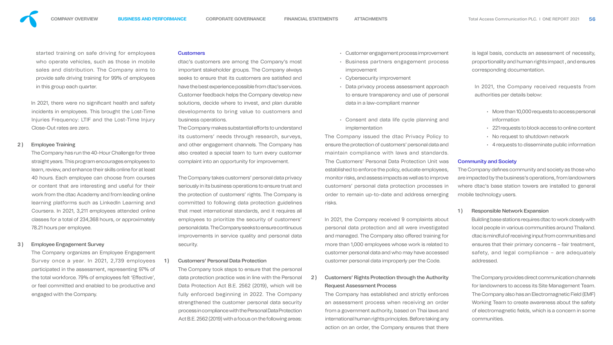

started training on safe driving for employees who operate vehicles, such as those in mobile sales and distribution. The Company aims to provide safe driving training for 99% of employees in this group each quarter.

In 2021, there were no significant health and safety incidents in employees. This brought the Lost-Time Injuries Frequency: LTIF and the Lost-Time Injury Close-Out rates are zero.

## 2) Employee Training

The Company has run the 40-Hour Challenge for three straight years. This program encourages employees to learn, review, and enhance their skills online for at least 40 hours. Each employee can choose from courses or content that are interesting and useful for their work from the dtac Academy and from leading online learning platforms such as LinkedIn Learning and Coursera. In 2021, 3,211 employees attended online classes for a total of 234,368 hours, or approximately 78.21 hours per employee.

The Company makes substantial efforts to understand its customers' needs through research, surveys, and other engagement channels. The Company has also created a special team to turn every customer complaint into an opportunity for improvement.

## 3 ) Employee Engagement Survey

The Company organizes an Employee Engagement Survey once a year. In 2021, 2,739 employees participated in the assessment, representing 97% of the total workforce. 79% of employees felt 'Effective', or feel committed and enabled to be productive and engaged with the Company.

#### **Customers**

dtac's customers are among the Company's most important stakeholder groups. The Company always seeks to ensure that its customers are satisfied and have the best experience possible from dtac's services. Customer feedback helps the Company develop new solutions, decide where to invest, and plan durable developments to bring value to customers and business operations.

> In 2021, the Company received 9 complaints about personal data protection and all were investigated and managed. The Company also offered training for more than 1,000 employees whose work is related to customer personal data and who may have accessed customer personal data improperly per the Code.

2) Customers' Rights Protection through the Authority Request Assessment Process

The Company takes customers' personal data privacy seriously in its business operations to ensure trust and the protection of customers' rights. The Company is committed to following data protection guidelines that meet international standards, and it requires all employees to prioritize the security of customers' personal data. The Company seeks to ensure continuous improvements in service quality and personal data security.

## 1) Customers' Personal Data Protection

The Company defines community and society as those who are impacted by the business's operations, from landowners where dtac's base station towers are installed to general mobile technology users.

## 1) Responsible Network Expansion

The Company took steps to ensure that the personal data protection practice was in line with the Personal Data Protection Act B.E. 2562 (2019), which will be fully enforced beginning in 2022. The Company strengthened the customer personal data security process in compliance with the Personal Data Protection Act B.E. 2562 (2019) with a focus on the following areas:

- Customer engagement process improvement
- Business partners engagement process improvement
- Cybersecurity improvement
- Data privacy process assessment approach to ensure transparency and use of personal data in a law-compliant manner
- Consent and data life cycle planning and implementation

The Company issued the dtac Privacy Policy to ensure the protection of customers' personal data and maintain compliance with laws and standards. The Customers' Personal Data Protection Unit was established to enforce the policy, educate employees, monitor risks, and assess impacts as well as to improve customers' personal data protection processes in order to remain up-to-date and address emerging risks.

The Company has established and strictly enforces an assessment process when receiving an order from a government authority, based on Thai laws and international human rights principles. Before taking any action on an order, the Company ensures that there

is legal basis, conducts an assessment of necessity, proportionality and human rights impact , and ensures corresponding documentation.

In 2021, the Company received requests from authorities per details below:

- More than 10,000 requests to access personal information
- 221 requests to block access to online content
- No request to shutdown network
- 4 requests to disseminate public information

## Community and Society

Building base stations requires dtac to work closely with local people in various communities around Thailand. dtac is mindful of receiving input from communities and ensures that their primary concerns – fair treatment, safety, and legal compliance – are adequately addressed.

The Company provides direct communication channels for landowners to access its Site Management Team. The Company also has an Electromagnetic Field (EMF) Working Team to create awareness about the safety of electromagnetic fields, which is a concern in some communities.











- 
- 
- 
- 
- 
- 
- 
- 
-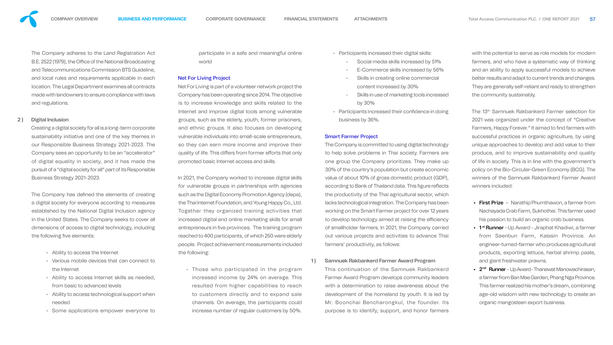The Company adheres to the Land Registration Act B.E. 2522 (1979), the Office of the National Broadcasting and Telecommunications Commission BTS Guideline, and local rules and requirements applicable in each location. The Legal Department examines all contracts made with landowners to ensure compliance with laws and regulations.

## 2 ) Digital Inclusion

Creating a digital society for all is a long-term corporate sustainability initiative and one of the key themes in our Responsible Business Strategy 2021-2023. The Company sees an opportunity to be an "accelerator" of digital equality in society, and it has made the pursuit of a "digital society for all" part of its Responsible Business Strategy 2021-2023.

The Company has defined the elements of creating a digital society for everyone according to measures established by the National Digital Inclusion agency in the United States. The Company seeks to cover all dimensions of access to digital technology, including the following five elements:

participate in a safe and meaningful world

- Ability to access the Internet
- Various mobile devices that can connect to the Internet
- Ability to access Internet skills as needed, from basic to advanced levels
- Ability to access technological support when needed
- Some applications empower everyone to

## Net For Living Project

Net For Living is part of a volunteer network project the Company has been operating since 2014. The objective is to increase knowledge and skills related to the Internet and improve digital tools among vulnerable groups, such as the elderly, youth, former prisoners, and ethnic groups. It also focuses on developing vulnerable individuals into small-scale entrepreneurs, so they can earn more income and improve their quality of life. This differs from former efforts that only promoted basic Internet access and skills.

In 2021, the Company worked to increase digital skills for vulnerable groups in partnerships with agencies such as the Digital Economy Promotion Agency (depa), the Thai Internet Foundation, and Young Happy Co., Ltd. Together they organized training activities that increased digital and online marketing skills for small entrepreneurs in five provinces. The training program reached to 400 participants, of which 250 were elderly people. Project achievement measurements included the following:

• Those who participated in the program increased income by 24% on average. This resulted from higher capabilities to reach to customers directly and to expand sale channels. On average, the participants could increase number of regular customers by 50%.

- First Prize Narathip Phumthawon, a farmer from Nachayada Crab Farm, Sukhothai. This farmer used his passion to build an organic crab business.
- 1<sup>st</sup> Runner Up Award Jiraphat Khadiwi, a farmer from Saenbun Farm, Kalasin Province. An engineer-turned-farmer who produces agricultural products, exporting lettuce, herbal shrimp paste, and giant freshwater prawns.
- 2<sup>nd</sup> Runner Up Award Thanawat Manowachirasan, a farmer from Ban Mae Garden, Phang Nga Province. This farmer realized his mother's dream, combining age-old wisdom with new technology to create an organic mangosteen export business.

- Participants increased their digital skills:
	- Social media skills increased by 51%
	- E-Commerce skills increased by 56%
	- Skills in creating online commercial content increased by 30%
	- Skills in use of marketing tools increased by 30%
	- $\cdot$  Participants increased their confidence in doing business by 36%.

## Smart Farmer Project

The Company is committed to using digital technology to help solve problems in Thai society. Farmers are one group the Company prioritizes. They make up 30% of the country's population but create economic value of about 10% of gross domestic product (GDP), according to Bank of Thailand data. This figure reflects the productivity of the Thai agricultural sector, which lacks technological integration. The Company has been working on the Smart Farmer project for over 12 years to develop technology aimed at raising the efficiency of smallholder farmers. In 2021, the Company carried out various projects and activities to advance Thai farmers' productivity, as follows:

## 1 ) Samnuek Rakbankerd Farmer Award Program

This continuation of the Samnuek Rakbankerd Farmer Award Program develops community leaders with a determination to raise awareness about the development of the homeland by youth. It is led by Mr. Boonchai Bencharongkul, the founder. Its purpose is to identify, support, and honor farmers

with the potential to serve as role models for modern farmers, and who have a systematic way of thinking and an ability to apply successful models to achieve better results and adapt to current trends and changes. They are generally self-reliant and ready to strengthen the community sustainably.

The 13th Samnuek Rakbankerd Farmer selection for 2021 was organized under the concept of "Creative Farmers, Happy Forever." It aimed to find farmers with successful practices in organic agriculture, by using unique approaches to develop and add value to their produce, and to improve sustainability and quality of life in society. This is in line with the government's policy on the Bio-Circular-Green Economy (BCG). The winners of the Samnuek Rakbankerd Farmer Award winners included:

| onlin |  |
|-------|--|
|       |  |

- 
- 
-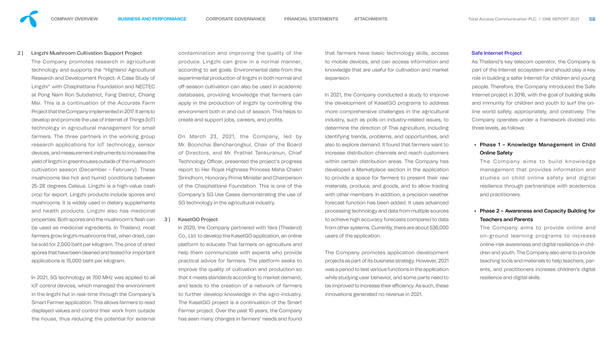

## 2 ) Lingzhi Mushroom Cultivation Support Project

The Company promotes research in agricultural technology and supports the "Highland Agricultural Research and Development Project: A Case Study of Lingzhi" with Chaiphattana Foundation and NECTEC at Pong Nam Ron Subdistrict, Fang District, Chiang Mai. This is a continuation of the Accurate Farm Project that the Company implemented in 2017. It aims to develop and promote the use of Internet of Things (IoT) technology in agricultural management for small farmers. The three partners in the working group research applications for IoT technology, sensor devices, and measurement instruments to increase the yield of lingzhi in greenhouses outside of the mushroom cultivation season (December - February). These mushrooms like hot and humid conditions between 25-28 degrees Celsius. Lingzhi is a high-value cash crop for export. Lingzhi products include spores and mushrooms. It is widely used in dietary supplements and health products. Lingzhi also has medicinal properties. Both spores and the mushroom's flesh can be used as medicinal ingredients. In Thailand, most farmers grow lingzhi mushrooms that, when dried, can be sold for 2,000 baht per kilogram. The price of dried spores that have been cleaned and tested for important applications is 15,000 baht per kilogram.

contamination and improving the quality of the produce. Lingzhi can grow in a normal manner, according to set goals. Environmental data from the experimental production of lingzhi in both normal and off-season cultivation can also be used in academic databases, providing knowledge that farmers can apply in the production of lingzhi by controlling the environment both in and out of season. This helps to create and support jobs, careers, and profits.

In 2021, 5G technology at 700 MHz was applied to all IoT control devices, which managed the environment in the lingzhi hut in real-time through the Company's Smart Farmer application. This allows farmers to read displayed values and control their work from outside the house, thus reducing the potential for external On March 23, 2021, the Company, led by Mr. Boonchai Bencharongkul, Chair of the Board of Directors, and Mr. Prathet Tankuranun, Chief Technology Officer, presented the project's progress report to Her Royal Highness Princess Maha Chakri Sirindhorn, Honorary Prime Minister and Chairperson of the Chaiphattana Foundation. This is one of the Company's 5G Use Cases demonstrating the use of 5G technology in the agricultural industry.

## 3) KasetGO Project

The Company aims to build knowledge management that provides information and studies on child online safety and digital resilience through partnerships with academics and practitioners.

In 2020, the Company partnered with Yara (Thailand) Co., Ltd. to develop the KasetGO application, an online platform to educate Thai farmers on agriculture and help them communicate with experts who provide practical advice for farmers. The platform seeks to improve the quality of cultivation and production so that it meets standards according to market demand, and leads to the creation of a network of farmers to further develop knowledge in the agro-industry. The KasetGO project is a continuation of the Smart Farmer project. Over the past 10 years, the Company has seen many changes in farmers' needs and found

that farmers have basic technology skills, access to mobile devices, and can access information and knowledge that are useful for cultivation and market expansion.

In 2021, the Company conducted a study to improve the development of KasetGO programs to address more comprehensive challenges in the agricultural industry, such as polls on industry-related issues, to determine the direction of Thai agriculture, including identifying trends, problems, and opportunities, and also to explore demand. It found that farmers want to increase distribution channels and reach customers within certain distribution areas. The Company has developed a Marketplace section in the application to provide a space for farmers to present their raw materials, produce, and goods, and to allow trading with other members. In addition, a precision weather forecast function has been added. It uses advanced processing technology and data from multiple sources to achieve high accuracy forecasts compared to data from other systems. Currently, there are about 536,000 users of the application.

The Company promotes application development projects as part of its business strategy. However, 2021 was a period to test various functions in the application while studying user behavior, and some parts need to be improved to increase their efficiency. As such, these innovations generated no revenue in 2021.

## Safe Internet Project

As Thailand's key telecom operator, the Company is part of the Internet ecosystem and should play a key role in building a safer Internet for children and young people. Therefore, the Company introduced the Safe Internet project in 2016, with the goal of building skills and immunity for children and youth to surf the online world safely, appropriately, and creatively. The Company operates under a framework divided into three levels, as follows:

## • Phase 1 – Knowledge Management in Child Online Safety

## • Phase 2 – Awareness and Capacity Building for Teachers and Parents

The Company aims to provide online and on-ground learning programs to increase online-risk awareness and digital resilience in children and youth. The Company also aims to provide teaching tools and materials to help teachers, parents, and practitioners increase children's digital resilience and digital skills.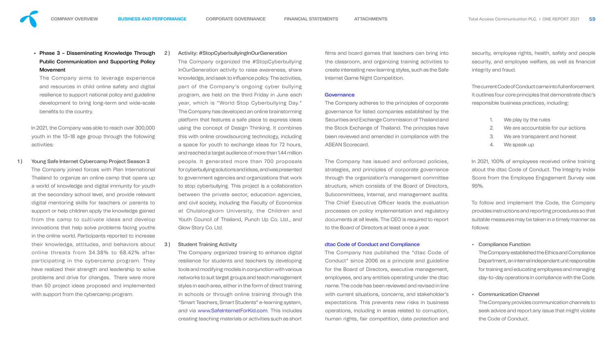• Phase 3 – Disseminating Knowledge Through Public Communication and Supporting Policy Movement

The Company aims to leverage experience and resources in child online safety and digital resilience to support national policy and guideline development to bring long-term and wide-scale benefits to the country.

In 2021, the Company was able to reach over 300,000 youth in the 13–18 age group through the following activities:

- 1) Young Safe Internet Cybercamp Project Season 3 The Company joined forces with Plan International Thailand to organize an online camp that opens up a world of knowledge and digital immunity for youth at the secondary school level, and provide relevant digital mentoring skills for teachers or parents to support or help children apply the knowledge gained from the camp to cultivate ideas and develop innovations that help solve problems facing youths in the online world. Participants reported to increase their knowledge, attitudes, and behaviors about online threats from 34.38% to 68.42% after participating in the cybercamp program. They have realized their strength and leadership to solve problems and drive for changes. There were more than 50 project ideas proposed and implemented with support from the cybercamp program.
- 2 ) Activity: #StopCyberbullyingInOurGeneration The Company organized the #StopCyberbullying InOurGeneration activity to raise awareness, share knowledge, and seek to influence policy. The activities, part of the Company's ongoing cyber bullying program, are held on the third Friday in June each year, which is "World Stop Cyberbullying Day." The Company has developed an online brainstorming platform that features a safe place to express ideas using the concept of Design Thinking. It combines this with online crowdsourcing technology, including a space for youth to exchange ideas for 72 hours, and reached a target audience of more than 1.44 million people. It generated more than 700 proposals for cyberbullying solutions and ideas, and was presented to government agencies and organizations that work to stop cyberbullying. This project is a collaboration between the private sector, education agencies, and civil society, including the Faculty of Economics at Chulalongkorn University, the Children and Youth Council of Thailand, Punch Up Co. Ltd., and Glow Story Co. Ltd.

films and board games that teachers can bring into the classroom, and organizing training activities to create interesting new learning styles, such as the Safe Internet Game Night Competition.

## **Governance**

## 3 ) Student Training Activity

In 2021, 100% of employees received online training about the dtac Code of Conduct. The Integrity Index Score from the Employee Engagement Survey was 95%.

The Company organized training to enhance digital resilience for students and teachers by developing tools and modifying models in conjunction with various networks to suit target groups and teach management styles in each area, either in the form of direct training in schools or through online training through the "Smart Teachers, Smart Students" e-learning system, and via www.SafeInternetForKid.com. This includes creating teaching materials or activities such as short The Company adheres to the principles of corporate governance for listed companies established by the Securities and Exchange Commission of Thailand and the Stock Exchange of Thailand. The principles have been reviewed and amended in compliance with the ASEAN Scorecard.

The Company has issued and enforced policies, strategies, and principles of corporate governance through the organization's management committee structure, which consists of the Board of Directors, Subcommittees, Internal, and management audits. The Chief Executive Officer leads the evaluation processes on policy implementation and regulatory documents at all levels. The CEO is required to report to the Board of Directors at least once a year.

## dtac Code of Conduct and Compliance

The Company has published the "dtac Code of Conduct" since 2006 as a principle and guideline for the Board of Directors, executive management, employees, and any entities operating under the dtac name. The code has been reviewed and revised in line with current situations, concerns, and stakeholder's expectations. This prevents new risks in business operations, including in areas related to corruption, human rights, fair competition, data protection and

security, employee rights, health, safety and people security, and employee welfare, as well as financial integrity and fraud.

The current Code of Conduct came into full enforcement. It outlines four core principles that demonstrate dtac's responsible business practices, including:

- 1. We play by the rules
- 2. We are accountable for our actions
- 3. We are transparent and honest
- 4. We speak up

To follow and implement the Code, the Company provides instructions and reporting procedures so that suitable measures may be taken in a timely manner as follows:

## • Compliance Function

The Company established the Ethics and Compliance Department, an internal independent unit responsible for training and educating employees and managing day-to-day operations in compliance with the Code.

## • Communication Channel

The Company provides communication channels to seek advice and report any issue that might violate the Code of Conduct.





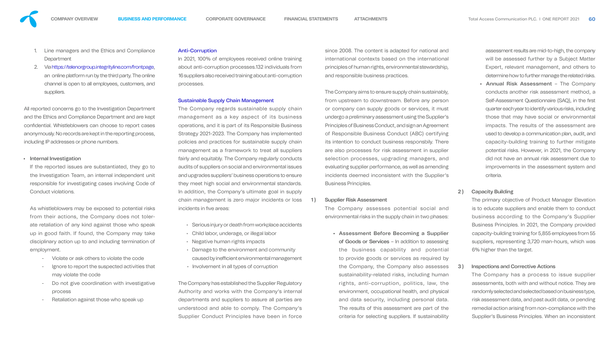- 1. Line managers and the Ethics and Compliance **Department**
- 2. Via https://telenorgroup.integrityline.com/frontpage, an online platform run by the third party. The online channel is open to all employees, customers, and suppliers.

All reported concerns go to the Investigation Department and the Ethics and Compliance Department and are kept confidential. Whistleblowers can choose to report cases anonymously. No records are kept in the reporting process, including IP addresses or phone numbers.

## • Internal Investigation

- Violate or ask others to violate the code
- Ignore to report the suspected activities that may violate the code
- Do not give coordination with investigative process
- Retaliation against those who speak up

If the reported issues are substantiated, they go to the Investigation Team, an internal independent unit responsible for investigating cases involving Code of Conduct violations.

The Company regards sustainable supply chain management as a key aspect of its business operations, and it is part of its Responsible Business Strategy 2021-2023. The Company has implemented policies and practices for sustainable supply chain management as a framework to treat all suppliers fairly and equitably. The Company regularly conducts audits of suppliers on social and environmental issues and upgrades suppliers' business operations to ensure they meet high social and environmental standards. In addition, the Company's ultimate goal in supply chain management is zero major incidents or loss incidents in five areas:

As whistleblowers may be exposed to potential risks from their actions, the Company does not tolerate retaliation of any kind against those who speak up in good faith. If found, the Company may take disciplinary action up to and including termination of employment.

## Anti-Corruption

In 2021, 100% of employees received online training about anti-corruption processes.132 individuals from 16 suppliers also received training about anti-corruption processes.

## Sustainable Supply Chain Management

- Serious injury or death from workplace accidents
- Child labor, underage, or illegal labor
- Negative human rights impacts
- Damage to the environment and community caused by inefficient environmental management
- Involvement in all types of corruption

The Company has established the Supplier Regulatory Authority and works with the Company's internal departments and suppliers to assure all parties are understood and able to comply. The Company's Supplier Conduct Principles have been in force since 2008. The content is adapted for national and international contexts based on the international principles of human rights, environmental stewardship, and responsible business practices.

The Company aims to ensure supply chain sustainably, from upstream to downstream. Before any person or company can supply goods or services, it must undergo a preliminary assessment using the Supplier's Principles of Business Conduct, and sign an Agreement of Responsible Business Conduct (ABC) certifying its intention to conduct business responsbily. There are also processes for risk assessment in supplier selection processes, upgrading managers, and evaluating supplier performance, as well as amending incidents deemed inconsistent with the Supplier's Business Principles.

## 1) Supplier Risk Assessment

The Company assesses potential social and environmental risks in the supply chain in two phases:

• Assessment Before Becoming a Supplier of Goods or Services – In addition to assessing the business capability and potential to provide goods or services as required by the Company, the Company also assesses sustainability-related risks, including human rights, anti-corruption, politics, law, the environment, occupational health, and physical and data security, including personal data. The results of this assessment are part of the criteria for selecting suppliers. If sustainability

assessment results are mid-to-high, the company will be assessed further by a Subject Matter Expert, relevant management, and others to determine how to further manage the related risks.

• Annual Risk Assessment – The Company conducts another risk assessment method, a Self-Assessment Questionnaire (SAQ), in the first quarter each year to identify various risks, including those that may have social or environmental impacts. The results of the assessment are used to develop a communication plan, audit, and capacity-building training to further mitigate potential risks. However, in 2021, the Company did not have an annual risk assessment due to improvements in the assessment system and criteria.

## 2) Capacity Building

The primary objective of Product Manager Elevation is to educate suppliers and enable them to conduct business according to the Company's Supplier Business Principles. In 2021, the Company provided capacity-building training for 5,855 employees from 55 suppliers, representing 3,720 man-hours, which was 6% higher than the target.

## 3 ) Inspections and Corrective Actions

The Company has a process to issue supplier assessments, both with and without notice. They are randomly selected and selected based on business type, risk assessment data, and past audit data, or pending remedial action arising from non-compliance with the Supplier's Business Principles. When an inconsistent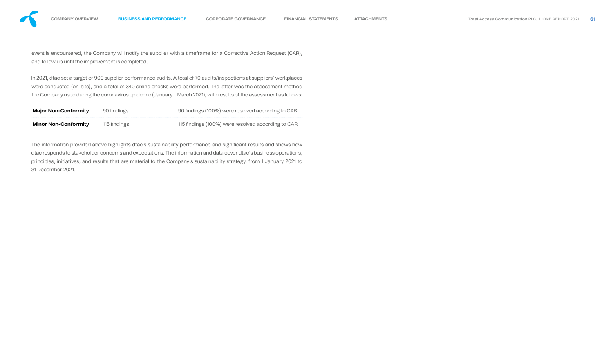event is encountered, the Company will notify the supplier with a timeframe for a Corrective Action Request (CAR), and follow up until the improvement is completed.

In 2021, dtac set a target of 900 supplier performance audits. A total of 70 audits/inspections at suppliers' workplaces were conducted (on-site), and a total of 340 online checks were performed. The latter was the assessment method the Company used during the coronavirus epidemic (January – March 2021), with results of the assessment as follows:

The information provided above highlights dtac's sustainability performance and significant results and shows how dtac responds to stakeholder concerns and expectations. The information and data cover dtac's business operations, principles, initiatives, and results that are material to the Company's sustainability strategy, from 1 January 2021 to 31 December 2021.

| <b>Major Non-Conformity</b> | 90 findings  | 90 findings (100%) were resolved according to CAR  |
|-----------------------------|--------------|----------------------------------------------------|
| <b>Minor Non-Conformity</b> | 115 findings | 115 findings (100%) were resolved according to CAR |

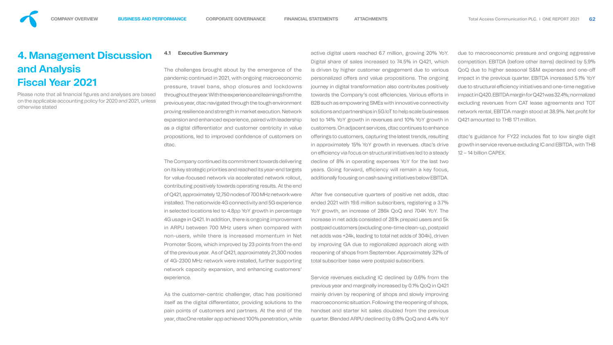The Company continued its commitment towards delivering on its key strategic priorities and reached its year-end targets for value-focused network via accelerated network rollout, contributing positively towards operating results. At the end of Q421, approximately 12,750 nodes of 700 MHz network were installed. The nationwide 4G connectivity and 5G experience in selected locations led to 4.8pp YoY growth in percentage 4G usage in Q421. In addition, there is ongoing improvement in ARPU between 700 MHz users when compared with non-users, while there is increased momentum in Net Promoter Score, which improved by 23 points from the end of the previous year. As of Q421, approximately 21,300 nodes of 4G-2300 MHz network were installed, further supporting network capacity expansion, and enhancing customers' After five consecutive quarters of positive net adds, dtac ended 2021 with 19.6 million subscribers, registering a 3.7% YoY growth, an increase of 286k QoQ and 704K YoY. The increase in net adds consisted of 281k prepaid users and 5k postpaid customers (excluding one-time clean-up, postpaid net adds was +24k, leading to total net adds of 304k), driven by improving GA due to regionalized approach along with reopening of shops from September. Approximately 32% of total subscriber base were postpaid subscribers. Service revenues excluding IC declined by 0.6% from the

**4.1 Executive Summary** The challenges brought about by the emergence of the pandemic continued in 2021, with ongoing macroeconomic pressure, travel bans, shop closures and lockdowns throughout the year. With the experience and learnings from the previous year, dtac navigated through the tough environment proving resilience and strength in market execution. Network expansion and enhanced experience, paired with leadership as a digital differentiator and customer centricity in value propositions, led to improved confidence of customers on dtac. active digital users reached 6.7 million, growing 20% YoY. Digital share of sales increased to 74.5% in Q421, which is driven by higher customer engagement due to various personalized offers and value propositions. The ongoing journey in digital transformation also contributes positively towards the Company's cost efficiencies. Various efforts in B2B such as empowering SMEs with innovative connectivity solutions and partnerships in 5G IoT to help scale businesses led to 14% YoY growth in revenues and 10% YoY growth in customers. On adjacent services, dtac continues to enhance offerings to customers, capturing the latest trends, resulting in approximately 15% YoY growth in revenues. dtac's drive on efficiency via focus on structural initiatives led to a steady decline of 8% in operating expenses YoY for the last two years. Going forward, efficiency will remain a key focus, additionally focusing on cash saving initiatives below EBITDA. due to macroeconomic pressure and ongoing aggressive competition. EBITDA (before other items) declined by 5.9% QoQ due to higher seasonal S&M expenses and one-o impact in the previous quarter. EBITDA increased 5.1% YoY due to structural efficiency initiatives and one-time negative impact in Q420. EBITDA margin for Q421 was 32.4%; normalized excluding revenues from CAT lease agreements and TOT network rental, EBITDA margin stood at 38.9%. Net profit for Q421 amounted to THB 171 million. dtac's guidance for FY22 includes flat to low single digit growth in service revenue excluding IC and EBITDA, with THB 12 – 14 billion CAPEX.

Please note that all financial figures and analyses are based on the applicable accounting policy for 2020 and 2021, unless otherwise stated

experience. As the customer-centric challenger, dtac has positioned itself as the digital differentiator, providing solutions to the pain points of customers and partners. At the end of the year, dtacOne retailer app achieved 100% penetration, while previous year and marginally increased by 0.1% QoQ in Q421 mainly driven by reopening of shops and slowly improving macroeconomic situation. Following the reopening of shops, handset and starter kit sales doubled from the previous quarter. Blended ARPU declined by 0.8% QoQ and 4.4% YoY

<span id="page-45-0"></span>

# **4. Management Discussion and Analysis Fiscal Year 2021**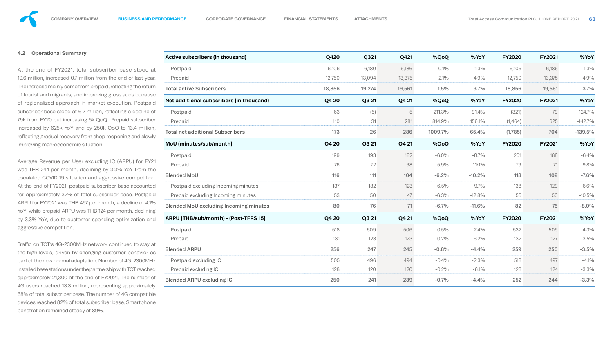## **4.2 Operational Summary**

At the end of FY2021, total subscriber base stood at 19.6 million, increased 0.7 million from the end of last year. The increase mainly came from prepaid, reflecting the return of tourist and migrants, and improving gross adds because of regionalized approach in market execution. Postpaid subscriber base stood at 6.2 million, reflecting a decline of 79k from FY20 but increasing 5k QoQ. Prepaid subscriber increased by 625k YoY and by 250k QoQ to 13.4 million, reflecting gradual recovery from shop reopening and slowly improving macroeconomic situation.

Traffic on TOT's 4G-2300MHz network continued to stay at the high levels, driven by changing customer behavior as part of the new normal adaptation. Number of 4G-2300MHz installed base stations under the partnership with TOT reached approximately 21,300 at the end of FY2021. The number of 4G users reached 13.3 million, representing approximately 68% of total subscriber base. The number of 4G compatible devices reached 82% of total subscriber base. Smartphone penetration remained steady at 89%.

Average Revenue per User excluding IC (ARPU) for FY21 was THB 244 per month, declining by 3.3% YoY from the escalated COVID-19 situation and aggressive competition. At the end of FY2021, postpaid subscriber base accounted for approximately 32% of total subscriber base. Postpaid ARPU for FY2021 was THB 497 per month, a decline of 4.1% YoY, while prepaid ARPU was THB 124 per month, declining by 3.3% YoY, due to customer spending optimization and aggressive competition.

| Active subscribers (in thousand)              | <b>Q420</b>  | Q321   | Q421   | %QoQ       | %YoY      | <b>FY2020</b> | <b>FY2021</b> | %YoY      |
|-----------------------------------------------|--------------|--------|--------|------------|-----------|---------------|---------------|-----------|
| Postpaid                                      | 6,106        | 6,180  | 6,186  | 0.1%       | 1.3%      | 6,106         | 6,186         | 1.3%      |
| Prepaid                                       | 12,750       | 13,094 | 13,375 | 2.1%       | 4.9%      | 12,750        | 13,375        | 4.9%      |
| <b>Total active Subscribers</b>               | 18,856       | 19,274 | 19,561 | 1.5%       | 3.7%      | 18,856        | 19,561        | 3.7%      |
| Net additional subscribers (in thousand)      | <b>Q4 20</b> | Q3 21  | Q4 21  | %QoQ       | %YoY      | <b>FY2020</b> | <b>FY2021</b> | %YoY      |
| Postpaid                                      | 63           | (5)    | 5      | $-211.3\%$ | $-91.4%$  | (321)         | 79            | $-124.7%$ |
| Prepaid                                       | 110          | 31     | 281    | 814.9%     | 156.1%    | (1,464)       | 625           | $-142.7%$ |
| <b>Total net additional Subscribers</b>       | 173          | 26     | 286    | 1009.7%    | 65.4%     | (1,785)       | 704           | $-139.5%$ |
| MoU (minutes/sub/month)                       | Q4 20        | Q3 21  | Q4 21  | %QoQ       | %YoY      | <b>FY2020</b> | <b>FY2021</b> | %YoY      |
| Postpaid                                      | 199          | 193    | 182    | $-6.0\%$   | $-8.7\%$  | 201           | 188           | $-6.4%$   |
| Prepaid                                       | 76           | 72     | 68     | $-5.9\%$   | $-11/1\%$ | 79            | 71            | $-9.8%$   |
| <b>Blended MoU</b>                            | 116          | 111    | 104    | $-6.2\%$   | $-10.2\%$ | 118           | 109           | $-7.6%$   |
| Postpaid excluding Incoming minutes           | 137          | 132    | 123    | $-6.5\%$   | $-9.7\%$  | 138           | 129           | $-6.6%$   |
| Prepaid excluding Incoming minutes            | 53           | 50     | 47     | $-6.3\%$   | $-12.8%$  | 55            | 50            | $-10.5\%$ |
| <b>Blended MoU excluding Incoming minutes</b> | 80           | 76     | 71     | $-6.7\%$   | $-11.6%$  | 82            | 75            | $-8.0%$   |
| <b>ARPU (THB/sub/month) - (Post-TFRS 15)</b>  | <b>Q4 20</b> | Q3 21  | Q4 21  | %QoQ       | %YoY      | <b>FY2020</b> | <b>FY2021</b> | %YoY      |
| Postpaid                                      | 518          | 509    | 506    | $-0.5\%$   | $-2.4\%$  | 532           | 509           | $-4.3%$   |
| Prepaid                                       | 131          | 123    | 123    | $-0.2\%$   | $-6.2\%$  | 132           | 127           | $-3.5%$   |
| <b>Blended ARPU</b>                           | 256          | 247    | 245    | $-0.8%$    | $-4.4%$   | 259           | 250           | $-3.5%$   |
| Postpaid excluding IC                         | 505          | 496    | 494    | $-0.4%$    | $-2.3%$   | 518           | 497           | $-4.1%$   |
| Prepaid excluding IC                          | 128          | 120    | 120    | $-0.2\%$   | $-6.1\%$  | 128           | 124           | $-3.3%$   |
| <b>Blended ARPU excluding IC</b>              | 250          | 241    | 239    | $-0.7%$    | $-4.4%$   | 252           | 244           | $-3.3%$   |

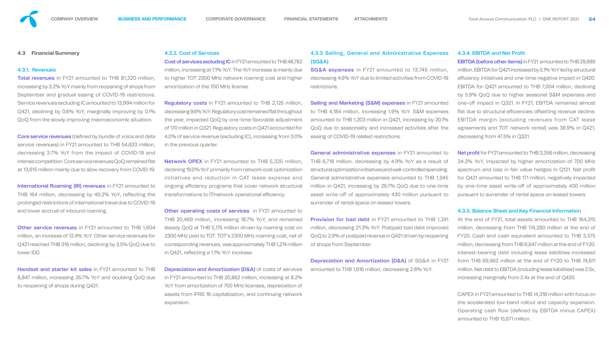## **4.3 Financial Summary**

### 4.3.1. Revenues

Total revenues in FY21 amounted to THB 81,320 million, increasing by 3.2% YoY mainly from reopening of shops from September and gradual easing of COVID-19 restrictions. Service revenues excluding IC amounted to 13,994 million for Q421, declining by 0.6% YoY, marginally improving by 0.1% QoQ from the slowly improving macroeconomic situation.

**Core service revenues** (defined by bundle of voice and data service revenues) in FY21 amounted to THB 54,633 million, decreasing 3.7% YoY from the impact of COVID-19 and intense competition. Core service revenues QoQ remained flat at 13,615 million mainly due to slow recovery from COVID-19.

International Roaming (IR) revenues in FY21 amounted to THB 164 million, decreasing by 40.2% YoY, reflecting the prolonged restrictions of international travel due to COVID-19 and lower accrual of inbound roaming.

Other service revenues in FY21 amounted to THB 1,604 million, an increase of 12.4% YoY. Other service revenues for Q421 reached THB 316 million, declining by 3.5% QoQ due to lower IDD.

Cost of services excluding IC in FY21 amounted to THB 48,782 million, increasing at 7.1% YoY. The YoY increase is mainly due to higher TOT 2300 MHz network roaming cost and higher amortization of the 700 MHz license.

Regulatory costs in FY21 amounted to THB 2,125 million, decreasing 9.6% Yo Y. Regulatory cost remained flat throughout the year, impacted QoQ by one-time favorable adjustment of 170 million in Q321. Regulatory costs in Q421 accounted for 4.0% of service revenue (excluding IC), increasing from 3.0% in the previous quarter.

Network OPEX in FY21 amounted to THB 5,325 million, declining 19.0% YoY primarily from network cost optimization initiatives and reduction in CAT lease expense and ongoing efficiency programs that cover network structural transformations to IT/network operational efficiency.

**Other operating costs of services** in FY21 amounted to THB 20,469 million, increasing 18.7% YoY, and remained steady QoQ at THB 5,175 million driven by roaming cost on 2300 MHz paid to TOT. TOT's 2300 MHz roaming cost, net of corresponding revenues, was approximately THB 1,274 million in  $Q421$ , reflecting a 1.1% YoY increase.

Handset and starter kit sales in FY21 amounted to THB 8,847 million, increasing 26.7% YoY and doubling QoQ due to reopening of shops during Q421.

## 4.3.2. Cost of Services

**Depreciation and Amortization (D&A)** of costs of services in FY21 amounted to THB 20,862 million, increasing at 8.2% YoY from amortization of 700 MHz licenses, depreciation of assets from IFRS 16 capitalization, and continuing network expansion.

Selling and Marketing (S&M) expenses in FY21 amounted to THB 4,184 million, increasing 1.9% YoY. S&M expenses amounted to THB 1,203 million in Q421, increasing by 20.1% QoQ due to seasonality and increased activities after the easing of COVID-19 related restrictions.

**Provision for bad debt in FY21 amounted to THB 1,241** million, decreasing 21.3% YoY. Postpaid bad debt improved QoQ to 2.9% of postpaid revenue in Q421 driven by reopening of shops from September.

Net profit for FY21 amounted to THB 3,356 million, decreasing 34.3% YoY, impacted by higher amortization of 700 MHz spectrum and loss in fair value hedges in Q121. Net profit for Q421 amounted to THB 171 million, negatively impacted by one-time asset write-off of approximately 430 million pursuant to surrender of rental space on leased towers.

4.3.3. Selling, General and Administrative Expenses (SG&A)

SG&A expenses in FY21 amounted to 13,745 million, decreasing 4.6% YoY due to limited activities from COVID-19 restrictions.

General administrative expenses in FY21 amounted to THB 6,716 million, decreasing by 4.9% YoY as a result of structural optimization initiatives and well-controlled spending. General administrative expenses amounted to THB 1,945 million in Q421, increasing by 26.7% QoQ due to one-time asset write-off of approximately 430 million pursuant to surrender of rental space on leased towers.

Depreciation and Amortization (D&A) of SG&A in FY21 amounted to THB 1,616 million, decreasing 2.8% YoY.

## 4.3.4. EBITDA and Net Profit

EBITDA (before other items) in FY21 amounted to THB 29,989 million. EBITDA for Q421 increased by 5.1% YoY led by structural efficiency initiatives and one-time negative impact in Q420. EBITDA for Q421 amounted to THB 7,004 million, declining by 5.9% QoQ due to higher seasonal S&M expenses and one-off impact in Q321. In FY21, EBITDA remained almost flat due to structural efficiencies offsetting revenue decline. EBITDA margin (excluding revenues from CAT lease agreements and TOT network rental) was 38.9% in Q421, decreasing from 47.5% in Q321.

## 4.3.5. Balance Sheet and Key Financial Information

At the end of FY21, total assets amounted to THB 164,315 million, decreasing from THB 174,280 million at the end of FY20. Cash and cash equivalent amounted to THB 3,575 million, decreasing from THB 6,647 million at the end of FY20. Interest-bearing debt including lease liabilities increased from THB 69,962 million at the end of FY20 to THB 74,611 million. Net debt to EBITDA (including lease liabilities) was 2.5x, increasing marginally from 2.4x at the end of Q420.

CAPEX in FY21 amounted to THB 14,318 million with focus on the accelerated low-band rollout and capacity expansion. Operating cash flow (defined by EBITDA minus CAPEX) amounted to THB 15,671 million.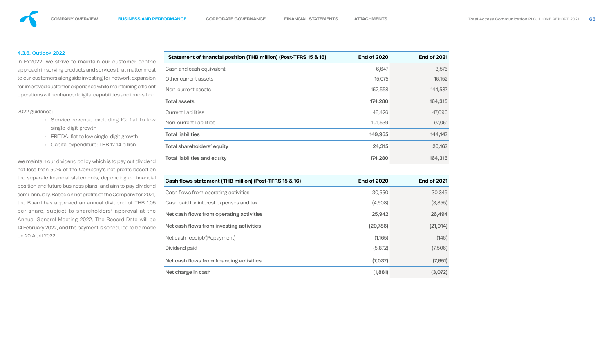## 4.3.6. Outlook 2022

In FY2022, we strive to maintain our customer-centric approach in serving products and services that matter most to our customers alongside investing for network expansion for improved customer experience while maintaining efficient operations with enhanced digital capabilities and innovation.

- Service revenue excluding IC: flat to low single-digit growth
- EBITDA: flat to low single-digit growth
- Capital expenditure: THB 12-14 billion

## 2022 guidance:

We maintain our dividend policy which is to pay out dividend not less than 50% of the Company's net profits based on the separate financial statements, depending on financial position and future business plans, and aim to pay dividend semi-annually. Based on net profits of the Company for 2021, the Board has approved an annual dividend of THB 1.05 per share, subject to shareholders' approval at the Annual General Meeting 2022. The Record Date will be 14 February 2022, and the payment is scheduled to be made on 20 April 2022.

| Statement of financial position (THB million) (Post-TFRS 15 & 16) | <b>End of 2020</b> | <b>End of 2021</b> |
|-------------------------------------------------------------------|--------------------|--------------------|
| Cash and cash equivalent                                          | 6,647              | 3,575              |
| Other current assets                                              | 15,075             | 16,152             |
| Non-current assets                                                | 152,558            | 144,587            |
| <b>Total assets</b>                                               | 174,280            | 164,315            |
| <b>Current liabilities</b>                                        | 48,426             | 47,096             |
| Non-current liabilities                                           | 101,539            | 97,051             |
| <b>Total liabilities</b>                                          | 149,965            | 144,147            |
| <b>Total shareholders' equity</b>                                 | 24,315             | 20,167             |
| <b>Total liabilities and equity</b>                               | 174,280            | 164,315            |
|                                                                   |                    |                    |

## **Cash flows statement (THB million) (Post-TFRS 15**

Cash flows from operating activities

Cash paid for interest expenses and tax

Net cash flows from operating activities

Net cash flows from investing activities

Net cash receipt/(Repayment)

Dividend paid

Net cash flows from financing activities

Net charge in cash

| 816 | <b>End of 2020</b> | <b>End of 2021</b> |
|-----|--------------------|--------------------|
|     | 30,550             | 30,349             |
|     | (4,608)            | (3,855)            |
|     | 25,942             | 26,494             |
|     | (20, 786)          | (21, 914)          |
|     | (1,165)            | (146)              |
|     | (5,872)            | (7,506)            |
|     | (7,037)            | (7,651)            |
|     | (1,881)            | (3,072)            |

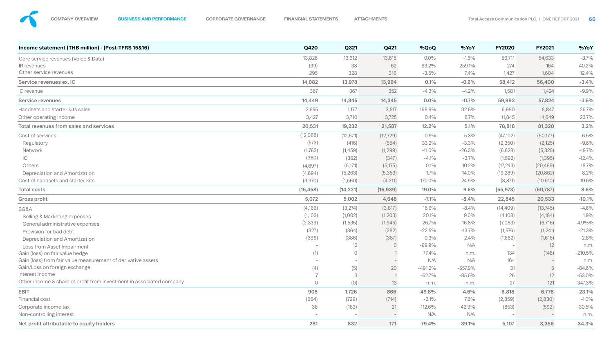

| Income statement (THB million) - (Post-TFRS 15&16)                   | <b>Q420</b>              | Q321           | Q421      | %QoQ       | %YoY       | <b>FY2020</b> | <b>FY2021</b> | %YoY       |
|----------------------------------------------------------------------|--------------------------|----------------|-----------|------------|------------|---------------|---------------|------------|
| Core service revenues (Voice & Data)                                 | 13,826                   | 13,612         | 13,615    | $0.0\%$    | $-1.5\%$   | 56,711        | 54,633        | $-3.7\%$   |
| IR revenues                                                          | (39)                     | 38             | 62        | 63.2%      | $-259.1\%$ | 274           | 164           | $-40.2%$   |
| Other service revenues                                               | 295                      | 328            | 316       | $-3.5\%$   | 7.4%       | 1,427         | 1,604         | 12.4%      |
| Service revenues ex. IC                                              | 14,082                   | 13,978         | 13,994    | 0.1%       | $-0.6%$    | 58,412        | 56,400        | $-3.4%$    |
| IC revenue                                                           | 367                      | 367            | 352       | $-4.3\%$   | $-4.2\%$   | 1,581         | 1,424         | $-9.9\%$   |
| <b>Service revenues</b>                                              | 14,449                   | 14,345         | 14,345    | $0.0\%$    | $-0.7%$    | 59,993        | 57,824        | $-3.6%$    |
| Handsets and starter kits sales                                      | 2,655                    | 1,177          | 3,517     | 198.9%     | 32.5%      | 6,980         | 8,847         | 26.7%      |
| Other operating income                                               | 3,427                    | 3,710          | 3,725     | $0.4\%$    | 8.7%       | 11,845        | 14,649        | 23.7%      |
| Total revenues from sales and services                               | 20,531                   | 19,232         | 21,587    | 12.2%      | 5.1%       | 78,818        | 81,320        | 3.2%       |
| Cost of services                                                     | (12,088)                 | (12, 671)      | (12, 729) | 0.5%       | 5.3%       | (47,102)      | (50, 177)     | 6.5%       |
| Regulatory                                                           | (573)                    | (416)          | (554)     | 33.2%      | $-3.3\%$   | (2,350)       | (2,125)       | $-9.6%$    |
| Network                                                              | (1,763)                  | (1,459)        | (1,299)   | $-11.0\%$  | $-26.3%$   | (6,628)       | (5, 325)      | $-19.7%$   |
| IC.                                                                  | (360)                    | (362)          | (347)     | $-4.1\%$   | $-3.7\%$   | (1, 592)      | (1, 395)      | $-12.4%$   |
| Others                                                               | (4,697)                  | (5, 171)       | (5, 175)  | $0.1\%$    | 10.2%      | (17, 243)     | (20, 469)     | 18.7%      |
| Depreciation and Amortization                                        | (4,694)                  | (5,263)        | (5, 353)  | $1.7\%$    | 14.0%      | (19, 289)     | (20, 862)     | 8.2%       |
| Cost of handsets and starter kits                                    | (3,370)                  | (1,560)        | (4, 211)  | 170.0%     | 24.9%      | (8, 871)      | (10,610)      | 19.6%      |
| <b>Total costs</b>                                                   | (15, 458)                | (14, 231)      | (16, 939) | 19.0%      | 9.6%       | (55, 973)     | (60, 787)     | 8.6%       |
| <b>Gross profit</b>                                                  | 5,072                    | 5,002          | 4,648     | $-7.1\%$   | $-8.4%$    | 22,845        | 20,533        | $-10.1%$   |
| SG&A                                                                 | (4,166)                  | (3,274)        | (3,817)   | 16.6%      | $-8.4%$    | (14, 409)     | (13, 745)     | $-4.6%$    |
| <b>Selling &amp; Marketing expenses</b>                              | (1,103)                  | (1,002)        | (1,203)   | 20.1%      | $9.0\%$    | (4,108)       | (4, 184)      | 1.9%       |
| General administrative expenses                                      | (2, 339)                 | (1, 535)       | (1, 945)  | 26.7%      | $-16.8%$   | (7,063)       | (6, 716)      | $-4.9\%$ % |
| Provision for bad debt                                               | (327)                    | (364)          | (282)     | $-22.5\%$  | $-13.7\%$  | (1, 576)      | (1,241)       | $-21.3%$   |
| <b>Depreciation and Amortization</b>                                 | (396)                    | (386)          | (387)     | 0.3%       | $-2.4%$    | (1,662)       | (1,616)       | $-2.8%$    |
| Loss from Asset Impairment                                           |                          | 12             |           | $-99.9\%$  | N/A        |               | 12            | n.m.       |
| Gain (loss) on fair value hedge                                      | (1)                      | $\overline{0}$ |           | 77.4%      | n.m.       | 134           | (148)         | $-210.5%$  |
| Gain (loss) from fair value measurement of derivative assets         |                          |                |           | N/A        | N/A        | 164           |               | n.m.       |
| Gain/Loss on foreign exchange                                        | (4)                      | (5)            | 20        | $-491.2\%$ | $-557.9%$  | 31            |               | $-84.6%$   |
| Interest income                                                      |                          |                |           | $-62.7\%$  | $-85.5%$   | 26            | 12            | $-53.0\%$  |
| Other income & share of profit from investment in associated company |                          | (0)            | 13        | n.m.       | n.m.       | 27            | 121           | 347.3%     |
| <b>EBIT</b>                                                          | 908                      | 1,726          | 866       | $-49.8%$   | $-4.6%$    | 8,818         | 6,778         | $-23.1%$   |
| Financial cost                                                       | (664)                    | (729)          | (714)     | $-2.1\%$   | 7.6%       | (2,859)       | (2,830)       | $-1.0\%$   |
| Corporate income tax                                                 | 36                       | (163)          | 21        | $-112.6\%$ | $-42.9%$   | (853)         | (592)         | $-30.5%$   |
| Non-controlling interest                                             | $\overline{\phantom{a}}$ |                |           | N/A        | N/A        |               |               | n.m.       |
| Net profit attributable to equity holders                            | 281                      | 832            | 171       | $-79.4%$   | $-39.1%$   | 5,107         | 3,356         | $-34.3%$   |

## EBIT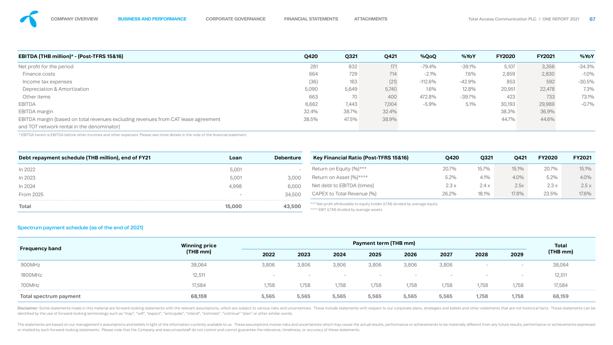

| <b>EBITDA (THB million)* - (Post-TFRS 15&amp;16)</b>                               | <b>Q420</b> | Q321  | Q421  | %QoQ       | %YoY     | <b>FY2020</b> | <b>FY2021</b> | %YoY     |
|------------------------------------------------------------------------------------|-------------|-------|-------|------------|----------|---------------|---------------|----------|
| Net profit for the period                                                          | 281         | 832   | 171   | $-79.4%$   | $-39.1%$ | 5,107         | 3,356         | $-34.3%$ |
| Finance costs                                                                      | 664         | 729   | 714   | $-2.1\%$   | 7.6%     | 2,859         | 2,830         | $-1.0\%$ |
| Income tax expenses                                                                | (36)        | 163   | (21)  | $-112.6\%$ | $-42.9%$ | 853           | 592           | $-30.5%$ |
| <b>Depreciation &amp; Amortization</b>                                             | 5,090       | 5,649 | 5,740 | 1.6%       | 12.8%    | 20,951        | 22,478        | 7.3%     |
| Other items                                                                        | 663         | 70    | 400   | 472.8%     | $-39.7%$ | 423           | 733           | 73.1%    |
| <b>EBITDA</b>                                                                      | 6,662       | 7,443 | 7,004 | $-5.9\%$   | 5.1%     | 30,193        | 29,989        | $-0.7%$  |
| <b>EBITDA</b> margin                                                               | 32.4%       | 38.7% | 32.4% |            |          | 38.3%         | 36.9%         |          |
| EBITDA margin (based on total revenues excluding revenues from CAT lease agreement | 38.5%       | 47.5% | 38.9% |            |          | 44.7%         | 44.6%         |          |
| and TOT network rental in the denominator)                                         |             |       |       |            |          |               |               |          |

\* EBITDA herein is EBITDA before other incomes and other expenses. Please see more details in the note of the nancial statement.

## Spectrum payment schedule (as of the end of 2021)

|                        | <b>Winning price</b> | <b>Payment term (THB mm)</b> |                          |                          |                          |                          |       |       |                          | <b>Total</b> |
|------------------------|----------------------|------------------------------|--------------------------|--------------------------|--------------------------|--------------------------|-------|-------|--------------------------|--------------|
| <b>Frequency band</b>  |                      | (THB mm)<br>2022             | 2023                     | 2024                     | 2025                     | 2026                     | 2027  | 2028  | 2029                     | (THB mm)     |
| 900MHz                 | 38,064               | 3,806                        | 3,806                    | 3,806                    | 3,806                    | 3,806                    | 3,806 |       | $\overline{\phantom{a}}$ | 38,064       |
| <b>1800MHz</b>         | 12,511               | $\overline{\phantom{a}}$     | $\overline{\phantom{a}}$ | $\overline{\phantom{a}}$ | $\overline{\phantom{a}}$ | $\overline{\phantom{0}}$ |       |       |                          | 12,511       |
| 700MHz                 | 17,584               | 1,758                        | 1,758                    | 1,758                    | 1,758                    | 1,758                    | 1,758 | 1,758 | 1,758                    | 17,584       |
| Total spectrum payment | 68,159               | 5,565                        | 5,565                    | 5,565                    | 5,565                    | 5,565                    | 5,565 | 1,758 | 1,758                    | 68,159       |

Disclaimer: Some statements made in this material are forward-looking statements with the relevant assumptions, which are subject to various risks and uncertainties. These include statements with respect to our corporate p identified by the use of forward-looking terminology such as "may", "will", "expect", "anticipate", "intend", "estimate", "continue" "plan" or other similar words.

The statements are based on our management's assumptions and beliefs in light of the information currently available to us. These assumptions involve risks and uncertainties which may cause the actual results, performance or implied by such forward-looking statements. Please note that the Company and executives/staff do not control and cannot guarantee the relevance, timeliness, or accuracy of these statements.

15.1% 4.0% 2.5 x 17.6%

| Debt repayment schedule (THB million), end of FY21 | Loan   | <b>Debenture</b> | Key Financial Ratio (Post-TFRS 15&16)                                                                                     | <b>Q420</b> | Q321  | Q421  | <b>FY2020</b> | <b>FY2021</b> |
|----------------------------------------------------|--------|------------------|---------------------------------------------------------------------------------------------------------------------------|-------------|-------|-------|---------------|---------------|
| In 2022                                            | 5,001  |                  | Return on Equity (%)***                                                                                                   | 20.7%       | 15.7% | 15.1% | 20.7%         | 15.1%         |
| In 2023                                            | 5,001  | 3,000            | Return on Asset (%)****                                                                                                   | 5.2%        | 4.1%  | 4.0%  | 5.2%          | 4.0%          |
| In 2024                                            | 4,998  | 6,000            | Net debt to EBITDA (times)                                                                                                | 2.3x        | 2.4x  | 2.5x  | 2.3x          | 2.5x          |
| <b>From 2025</b>                                   |        | 34,500           | CAPEX to Total Revenue (%)                                                                                                | 26.2%       | 18.1% | 17.8% | 23.5%         | 17.6%         |
| <b>Total</b>                                       | 15,000 | 43,500           | *** Net profit attributable to equity holder (LTM) divided by average equity<br>**** EBIT (LTM) divided by average assets |             |       |       |               |               |

\*\*\*\* EBIT (LTM) divided by average assets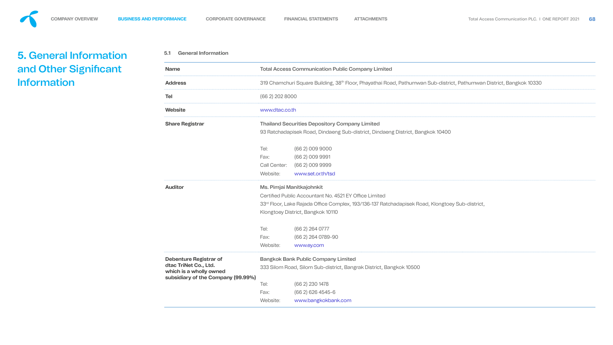<span id="page-51-0"></span>

**Address** 319 Chamchuri Square Building, 38th Floor, Phayathai Road, Pathumwan Sub-district, Pathumwan District, Bangkok 10330

## **Share Registrar** Thailand Securities Depository Company Limited

lapisek Road, Dindaeng Sub-district, Dindaeng District, Bangkok 10400

- (66 2) 009 9000
- Fax: (66 2) 009 9991
- (66 2) 009 9999
- www.set.or.th/tsd

## **Manitkajohnkit**

ublic Accountant No. 4521 EY Office Limited Lake Rajada Office Complex, 193/136-137 Ratchadapisek Road, Klongtoey Sub-district, District, Bangkok 10110

Tel: (66 2) 264 0777 (66 2) 264 0789-90 www.ey.com

## Bank Public Company Limited

30ad, Silom Sub-district, Bangrak District, Bangkok 10500

Tel: (66 2) 230 1478 (66 2) 626 4545-6 www.bangkokbank.com

| . |  |
|---|--|
|   |  |
|   |  |
|   |  |
|   |  |
|   |  |
|   |  |
|   |  |
|   |  |
|   |  |
|   |  |
|   |  |
|   |  |
|   |  |
|   |  |
|   |  |
|   |  |
|   |  |
|   |  |
|   |  |
|   |  |
|   |  |
|   |  |
|   |  |
|   |  |
|   |  |
|   |  |
|   |  |
|   |  |
|   |  |

| <b>Name</b>                                                                                                             | <b>Total Access Co</b>                                                                               |                               |
|-------------------------------------------------------------------------------------------------------------------------|------------------------------------------------------------------------------------------------------|-------------------------------|
| <b>Address</b>                                                                                                          | 319 Chamchuri                                                                                        |                               |
| <b>Tel</b>                                                                                                              | $(662)$ 202 8000                                                                                     |                               |
| <b>Website</b>                                                                                                          | www.dtac.co.th                                                                                       |                               |
| <b>Share Registrar</b>                                                                                                  | <b>Thailand Secur</b><br>93 Ratchadapis                                                              |                               |
|                                                                                                                         | Tel:<br>Fax:<br><b>Call Center:</b><br>Website:                                                      | $\mathcal{U}$<br>$\mathsf{V}$ |
| <b>Auditor</b>                                                                                                          | Ms. Pimjai Man<br><b>Certified Public</b><br>33 <sup>rd</sup> Floor, Lake<br><b>Klongtoey Distri</b> |                               |
|                                                                                                                         | Tel:                                                                                                 |                               |
|                                                                                                                         | Fax:<br>Website:                                                                                     | V                             |
| <b>Debenture Registrar of</b><br>dtac TriNet Co., Ltd.<br>which is a wholly owned<br>subsidiary of the Company (99.99%) | <b>Bangkok Bank</b><br>333 Silom Road                                                                |                               |

## ss Communication Public Company Limited

**5.1 General Information**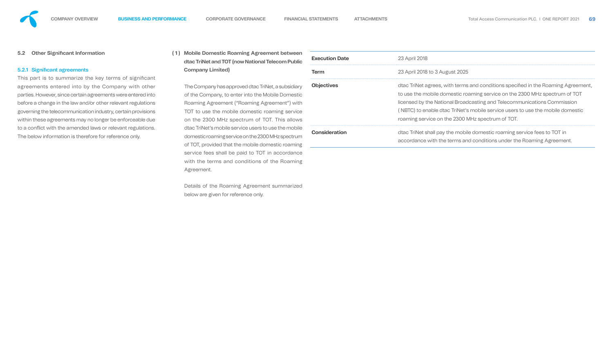| <b>tween</b><br><b>Public</b>          | <b>Execution Date</b> | 23 April 2018                                                                                                                                                                                                                                                                                                                |
|----------------------------------------|-----------------------|------------------------------------------------------------------------------------------------------------------------------------------------------------------------------------------------------------------------------------------------------------------------------------------------------------------------------|
|                                        | <b>Term</b>           | 23 April 2018 to 3 August 2025                                                                                                                                                                                                                                                                                               |
| sidiary<br>nestic<br>") with<br>ervice | <b>Objectives</b>     | dtac TriNet agrees, with terms and conditions specified in the Roaming Agreement,<br>to use the mobile domestic roaming service on the 2300 MHz spectrum of TOT<br>licensed by the National Broadcasting and Telecommunications Commission<br>(NBTC) to enable dtac TriNet's mobile service users to use the mobile domestic |
| allows                                 |                       | roaming service on the 2300 MHz spectrum of TOT.                                                                                                                                                                                                                                                                             |
| nobile<br>ectrum<br>aming              | <b>Consideration</b>  | dtac TriNet shall pay the mobile domestic roaming service fees to TOT in<br>accordance with the terms and conditions under the Roaming Agreement.                                                                                                                                                                            |
| dance<br>าminσ                         |                       |                                                                                                                                                                                                                                                                                                                              |

| $\sim$ 1  | $\bullet$ |
|-----------|-----------|
|           |           |
|           |           |
|           |           |
|           |           |
|           |           |
|           |           |
|           |           |
|           |           |
|           |           |
|           |           |
|           |           |
|           |           |
|           |           |
|           |           |
|           |           |
| ement,    |           |
|           |           |
| <b>OT</b> |           |
|           |           |
|           |           |

This part is to summarize the key terms of significant agreements entered into by the Company with other parties. However, since certain agreements were entered into before a change in the law and/or other relevant regulations governing the telecommunication industry, certain provisions within these agreements may no longer be enforceable due to a conflict with the amended laws or relevant regulations. The below information is therefore for reference only.

## **5.2 Other Significant Information**

## 5.2.1 Significant agreements

**(1) Mobile Domestic Roaming Agreement bet** dtac TriNet and TOT (now National Telecom I **Company Limited)**

> The Company has approved dtac TriNet, a subsi of the Company, to enter into the Mobile Don Roaming Agreement ("Roaming Agreement" TOT to use the mobile domestic roaming se on the 2300 MHz spectrum of TOT. This a dtac TriNet's mobile service users to use the no domestic roaming service on the 2300 MHz spe of TOT, provided that the mobile domestic roa service fees shall be paid to TOT in accord with the terms and conditions of the Roaming Agreement.

> Details of the Roaming Agreement summarized below are given for reference only.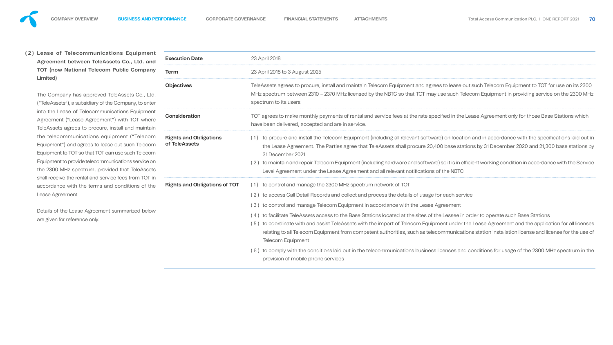

**( 2 ) Lease of Telecommunications Equipment Agreement between TeleAssets Co., Ltd. and TOT (now National Telecom Public Company Limited)**

The Company has approved TeleAssets Co., Ltd. ("TeleAssets"), a subsidiary of the Company, to enter into the Lease of Telecommunications Equipment Agreement ("Lease Agreement") with TOT where TeleAssets agrees to procure, install and maintain the telecommunications equipment ("Telecom Equipment") and agrees to lease out such Telecom Equipment to TOT so that TOT can use such Telecom Equipment to provide telecommunications service on the 2300 MHz spectrum, provided that TeleAssets shall receive the rental and service fees from TOT in accordance with the terms and conditions of the Lease Agreement.

Details of the Lease Agreement summarized below are given for reference only.

## **Term** 23 April 2018 to 3 August 2025

bes to procure, install and maintain Telecom Equipment and agrees to lease out such Telecom Equipment to TOT for use on its 2300 oetween 2310 – 2370 MHz licensed by the NBTC so that TOT may use such Telecom Equipment in providing service on the 2300 MHz JSers.

nake monthly payments of rental and service fees at the rate specified in the Lease Agreement only for those Base Stations which ered, accepted and are in service.

and install the Telecom Equipment (including all relevant software) on location and in accordance with the specifications laid out in Agreement. The Parties agree that TeleAssets shall procure 20,400 base stations by 31 December 2020 and 21,300 base stations by 9er 2021

i and repair Telecom Equipment (including hardware and software) so it is in efficient working condition in accordance with the Service ement under the Lease Agreement and all relevant notifications of the NBTC

and manage the 2300 MHz spectrum network of TOT

Call Detail Records and collect and process the details of usage for each service

and manage Telecom Equipment in accordance with the Lease Agreement

theleAssets access to the Base Stations located at the sites of the Lessee in order to operate such Base Stations

ate with and assist TeleAssets with the import of Telecom Equipment under the Lease Agreement and the application for all licenses all Telecom Equipment from competent authorities, such as telecommunications station installation license and license for the use of quipment

with the conditions laid out in the telecommunications business licenses and conditions for usage of the 2300 MHz spectrum in the mobile phone services





| <b>Execution Date</b>                                 | 23 April 2018                                                                                                                                              |  |  |  |
|-------------------------------------------------------|------------------------------------------------------------------------------------------------------------------------------------------------------------|--|--|--|
| <b>Term</b>                                           | 23 April 2018 to 3                                                                                                                                         |  |  |  |
| <b>Objectives</b>                                     | <b>TeleAssets agree</b><br>MHz spectrum b<br>spectrum to its u                                                                                             |  |  |  |
| <b>Consideration</b>                                  | TOT agrees to m<br>have been delive                                                                                                                        |  |  |  |
| <b>Rights and Obligations</b><br>of TeleAssets        | $(1)$ to procure:<br>the Lease A<br>31 Decemb<br>(2) to maintain<br><b>Level Agree</b>                                                                     |  |  |  |
| <b>Rights and Obligations of TOT</b> (1) to control a | (2) to access C<br>$(3)$ to control a<br>$(4)$ to facilitate<br>(5) to coordina<br>relating to a<br><b>Telecom Ec</b><br>$(6)$ to comply v<br>provision of |  |  |  |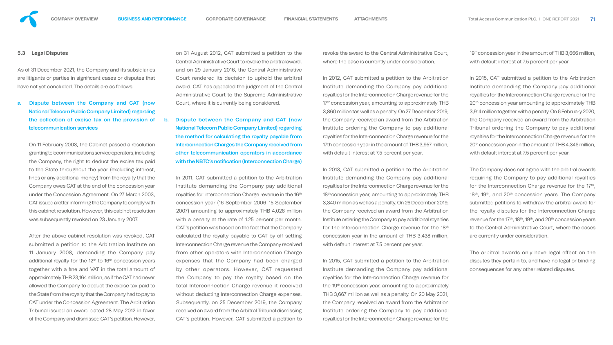#### **5.3 Legal Disputes**

As of 31 December 2021, the Company and its subsidiaries are litigants or parties in significant cases or disputes that have not yet concluded. The details are as follows:

## a. Dispute between the Company and CAT (now National Telecom Public Company Limited) regarding the collection of excise tax on the provision of telecommunication services

On 11 February 2003, the Cabinet passed a resolution granting telecommunications service operators, including the Company, the right to deduct the excise tax paid to the State throughout the year (excluding interest, fines or any additional money) from the royalty that the Company owes CAT at the end of the concession year under the Concession Agreement. On 27 March 2003, CAT issued a letter informing the Company to comply with this cabinet resolution. However, this cabinet resolution was subsequently revoked on 23 January 2007.

b. Dispute between the Company and CAT (now National Telecom Public Company Limited) regarding the method for calculating the royalty payable from Interconnection Charges the Company received from other telecommunication operators in accordance with the NBTC's notification (Interconnection Charge)

After the above cabinet resolution was revoked, CAT submitted a petition to the Arbitration Institute on 11 January 2008, demanding the Company pay additional royalty for the 12<sup>th</sup> to 16<sup>th</sup> concession years together with a fine and VAT in the total amount of approximately THB 23,164 million, as if the CAT had never allowed the Company to deduct the excise tax paid to the State from the royalty that the Company had to pay to CAT under the Concession Agreement. The Arbitration Tribunal issued an award dated 28 May 2012 in favor of the Company and dismissed CAT's petition. However,

on 31 August 2012, CAT submitted a petition to the Central Administrative Court to revoke the arbitral award, and on 29 January 2016, the Central Administrative Court rendered its decision to uphold the arbitral award. CAT has appealed the judgment of the Central Administrative Court to the Supreme Administrative Court, where it is currently being considered.

> In 2013, CAT submitted a petition to the Arbitration Institute demanding the Company pay additional royalties for the Interconnection Charge revenue for the 18<sup>th</sup> concession year, amounting to approximately THB 3,340 million as well as a penalty. On 26 December 2019, the Company received an award from the Arbitration Institute ordering the Company to pay additional royalties for the Interconnection Charge revenue for the 18<sup>th</sup> concession year in the amount of THB 3,438 million, with default interest at 7.5 percent per year.

19<sup>th</sup> concession year in the amount of THB 3,666 million, with default interest at 7.5 percent per year.

In 2011, CAT submitted a petition to the Arbitration Institute demanding the Company pay additional royalties for Interconnection Charge revenue in the 16<sup>th</sup> concession year (16 September 2006–15 September 2007) amounting to approximately THB 4,026 million with a penalty at the rate of 1.25 percent per month. CAT's petition was based on the fact that the Company calculated the royalty payable to CAT by off setting Interconnection Charge revenue the Company received from other operators with Interconnection Charge expenses that the Company had been charged by other operators. However, CAT requested the Company to pay the royalty based on the total Interconnection Charge revenue it received without deducting Interconnection Charge expenses. Subsequently, on 25 December 2019, the Company received an award from the Arbitral Tribunal dismissing CAT's petition. However, CAT submitted a petition to



The arbitral awards only have legal effect on the disputes they pertain to, and have no legal or binding consequences for any other related disputes.

revoke the award to the Central Administrative Court, where the case is currently under consideration.

In 2012, CAT submitted a petition to the Arbitration Institute demanding the Company pay additional royalties for the Interconnection Charge revenue for the 17<sup>th</sup> concession year, amounting to approximately THB 3,860 million tas well as a penalty. On 27 December 2019, the Company received an award from the Arbitration Institute ordering the Company to pay additional royalties for the Interconnection Charge revenue for the 17th concession year in the amount of THB 3,957 million, with default interest at 7.5 percent per year.

In 2015, CAT submitted a petition to the Arbitration Institute demanding the Company pay additional royalties for the Interconnection Charge revenue for the 19<sup>th</sup> concession year, amounting to approximately THB 3,667 million as well as a penalty. On 20 May 2021, the Company received an award from the Arbitration Institute ordering the Company to pay additional royalties for the Interconnection Charge revenue for the

In 2015, CAT submitted a petition to the Arbitration Institute demanding the Company pay additional royalties for the Interconnection Charge revenue for the 20<sup>th</sup> concession year amounting to approximately THB 3,914 million together with a penalty. On 6 February 2020, the Company received an award from the Arbitration Tribunal ordering the Company to pay additional royalties for the Interconnection Charge revenue for the 20<sup>th</sup> concession year in the amount of THB 4,346 million, with default interest at 7.5 percent per year.

The Company does not agree with the arbitral awards requiring the Company to pay additional royalties for the Interconnection Charge revenue for the  $17<sup>th</sup>$ ,  $18<sup>th</sup>$ , 19<sup>th</sup>, and 20<sup>th</sup> concession years. The Company submitted petitions to withdraw the arbitral award for the royalty disputes for the Interconnection Charge revenue for the 17<sup>th</sup>, 18<sup>th</sup>, 19<sup>th</sup>, and 20<sup>th</sup> concession years to the Central Administrative Court, where the cases are currently under consideration.